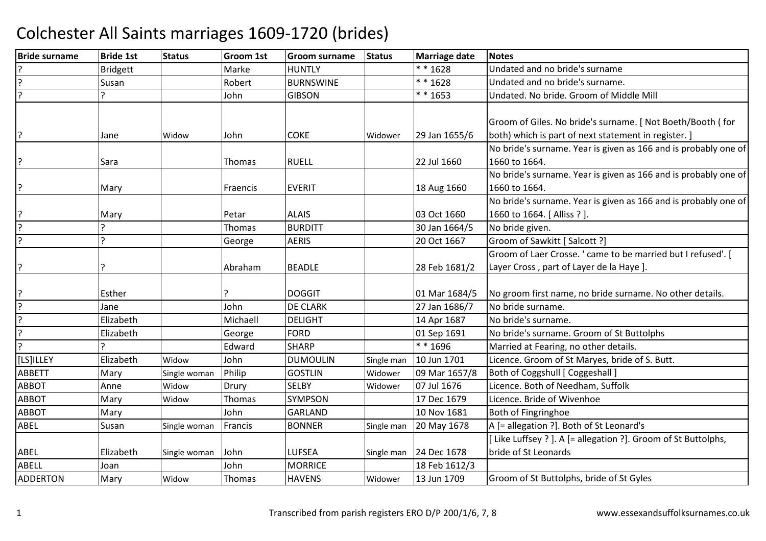| <b>Bride surname</b> | <b>Bride 1st</b> | <b>Status</b> | <b>Groom 1st</b> | <b>Groom surname</b> | <b>Status</b> | <b>Marriage date</b> | <b>Notes</b>                                                    |
|----------------------|------------------|---------------|------------------|----------------------|---------------|----------------------|-----------------------------------------------------------------|
|                      | <b>Bridgett</b>  |               | Marke            | <b>HUNTLY</b>        |               | $* * 1628$           | Undated and no bride's surname                                  |
|                      | Susan            |               | Robert           | <b>BURNSWINE</b>     |               | * * 1628             | Undated and no bride's surname.                                 |
|                      | ς                |               | John             | <b>GIBSON</b>        |               | $* * 1653$           | Undated. No bride. Groom of Middle Mill                         |
|                      |                  |               |                  |                      |               |                      | Groom of Giles. No bride's surname. [ Not Boeth/Booth (for      |
|                      | Jane             | Widow         | John             | <b>COKE</b>          | Widower       | 29 Jan 1655/6        | both) which is part of next statement in register. ]            |
|                      |                  |               |                  |                      |               |                      | No bride's surname. Year is given as 166 and is probably one of |
|                      | Sara             |               | Thomas           | <b>RUELL</b>         |               | 22 Jul 1660          | 1660 to 1664.                                                   |
|                      |                  |               |                  |                      |               |                      | No bride's surname. Year is given as 166 and is probably one of |
|                      | Mary             |               | Fraencis         | <b>EVERIT</b>        |               | 18 Aug 1660          | 1660 to 1664.                                                   |
|                      |                  |               |                  |                      |               |                      | No bride's surname. Year is given as 166 and is probably one of |
|                      | Mary             |               | Petar            | <b>ALAIS</b>         |               | 03 Oct 1660          | 1660 to 1664. [Alliss ?].                                       |
|                      | ς                |               | Thomas           | <b>BURDITT</b>       |               | 30 Jan 1664/5        | No bride given.                                                 |
|                      | ς                |               | George           | <b>AERIS</b>         |               | 20 Oct 1667          | Groom of Sawkitt [ Salcott ?]                                   |
|                      |                  |               |                  |                      |               |                      | Groom of Laer Crosse. ' came to be married but I refused'. [    |
|                      |                  |               | Abraham          | <b>BEADLE</b>        |               | 28 Feb 1681/2        | Layer Cross, part of Layer de la Haye ].                        |
|                      | Esther           |               |                  | <b>DOGGIT</b>        |               | 01 Mar 1684/5        | No groom first name, no bride surname. No other details.        |
|                      | Jane             |               | John             | <b>DE CLARK</b>      |               | 27 Jan 1686/7        | No bride surname.                                               |
|                      | Elizabeth        |               | Michaell         | <b>DELIGHT</b>       |               | 14 Apr 1687          | No bride's surname.                                             |
|                      | Elizabeth        |               | George           | <b>FORD</b>          |               | 01 Sep 1691          | No bride's surname. Groom of St Buttolphs                       |
|                      |                  |               | Edward           | <b>SHARP</b>         |               | ** 1696              | Married at Fearing, no other details.                           |
| [LS]ILLEY            | Elizabeth        | Widow         | John             | <b>DUMOULIN</b>      | Single man    | 10 Jun 1701          | Licence. Groom of St Maryes, bride of S. Butt.                  |
| <b>ABBETT</b>        | Mary             | Single woman  | Philip           | <b>GOSTLIN</b>       | Widower       | 09 Mar 1657/8        | Both of Coggshull [ Coggeshall ]                                |
| <b>ABBOT</b>         | Anne             | Widow         | Drury            | <b>SELBY</b>         | Widower       | 07 Jul 1676          | Licence. Both of Needham, Suffolk                               |
| <b>ABBOT</b>         | Mary             | Widow         | Thomas           | <b>SYMPSON</b>       |               | 17 Dec 1679          | Licence. Bride of Wivenhoe                                      |
| <b>ABBOT</b>         | Mary             |               | John             | <b>GARLAND</b>       |               | 10 Nov 1681          | Both of Fingringhoe                                             |
| ABEL                 | Susan            | Single woman  | Francis          | <b>BONNER</b>        | Single man    | 20 May 1678          | A [= allegation ?]. Both of St Leonard's                        |
|                      |                  |               |                  |                      |               |                      | Like Luffsey ? ]. A [= allegation ?]. Groom of St Buttolphs,    |
| ABEL                 | Elizabeth        | Single woman  | John             | LUFSEA               | Single man    | 24 Dec 1678          | bride of St Leonards                                            |
| <b>ABELL</b>         | Joan             |               | John             | <b>MORRICE</b>       |               | 18 Feb 1612/3        |                                                                 |
| <b>ADDERTON</b>      | Mary             | Widow         | Thomas           | <b>HAVENS</b>        | Widower       | 13 Jun 1709          | Groom of St Buttolphs, bride of St Gyles                        |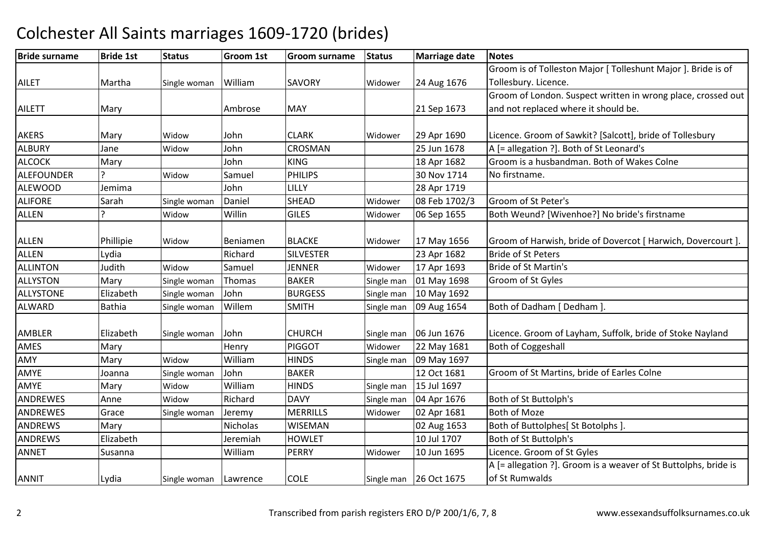| <b>Bride surname</b> | <b>Bride 1st</b> | <b>Status</b> | <b>Groom 1st</b> | <b>Groom surname</b> | <b>Status</b> | <b>Marriage date</b> | <b>Notes</b>                                                    |
|----------------------|------------------|---------------|------------------|----------------------|---------------|----------------------|-----------------------------------------------------------------|
|                      |                  |               |                  |                      |               |                      | Groom is of Tolleston Major [ Tolleshunt Major ]. Bride is of   |
| <b>AILET</b>         | Martha           | Single woman  | William          | <b>SAVORY</b>        | Widower       | 24 Aug 1676          | Tollesbury. Licence.                                            |
|                      |                  |               |                  |                      |               |                      | Groom of London. Suspect written in wrong place, crossed out    |
| <b>AILETT</b>        | Mary             |               | Ambrose          | <b>MAY</b>           |               | 21 Sep 1673          | and not replaced where it should be.                            |
|                      |                  |               |                  |                      |               |                      |                                                                 |
| <b>AKERS</b>         | Mary             | Widow         | John             | <b>CLARK</b>         | Widower       | 29 Apr 1690          | Licence. Groom of Sawkit? [Salcott], bride of Tollesbury        |
| <b>ALBURY</b>        | Jane             | Widow         | John             | <b>CROSMAN</b>       |               | 25 Jun 1678          | A [= allegation ?]. Both of St Leonard's                        |
| <b>ALCOCK</b>        | Mary             |               | John             | <b>KING</b>          |               | 18 Apr 1682          | Groom is a husbandman. Both of Wakes Colne                      |
| <b>ALEFOUNDER</b>    |                  | Widow         | Samuel           | <b>PHILIPS</b>       |               | 30 Nov 1714          | No firstname.                                                   |
| <b>ALEWOOD</b>       | Jemima           |               | John             | LILLY                |               | 28 Apr 1719          |                                                                 |
| <b>ALIFORE</b>       | Sarah            | Single woman  | Daniel           | <b>SHEAD</b>         | Widower       | 08 Feb 1702/3        | Groom of St Peter's                                             |
| <b>ALLEN</b>         | ς                | Widow         | Willin           | <b>GILES</b>         | Widower       | 06 Sep 1655          | Both Weund? [Wivenhoe?] No bride's firstname                    |
|                      |                  |               |                  |                      |               |                      |                                                                 |
| <b>ALLEN</b>         | Phillipie        | Widow         | Beniamen         | <b>BLACKE</b>        | Widower       | 17 May 1656          | Groom of Harwish, bride of Dovercot [ Harwich, Dovercourt ].    |
| <b>ALLEN</b>         | Lydia            |               | Richard          | <b>SILVESTER</b>     |               | 23 Apr 1682          | <b>Bride of St Peters</b>                                       |
| <b>ALLINTON</b>      | Judith           | Widow         | Samuel           | <b>JENNER</b>        | Widower       | 17 Apr 1693          | <b>Bride of St Martin's</b>                                     |
| <b>ALLYSTON</b>      | Mary             | Single woman  | Thomas           | <b>BAKER</b>         | Single man    | 01 May 1698          | Groom of St Gyles                                               |
| <b>ALLYSTONE</b>     | Elizabeth        | Single woman  | John             | <b>BURGESS</b>       | Single man    | 10 May 1692          |                                                                 |
| <b>ALWARD</b>        | <b>Bathia</b>    | Single woman  | Willem           | <b>SMITH</b>         | Single man    | 09 Aug 1654          | Both of Dadham [ Dedham ].                                      |
|                      |                  |               |                  |                      |               |                      |                                                                 |
| AMBLER               | Elizabeth        | Single woman  | John             | <b>CHURCH</b>        | Single man    | 06 Jun 1676          | Licence. Groom of Layham, Suffolk, bride of Stoke Nayland       |
| AMES                 | Mary             |               | Henry            | <b>PIGGOT</b>        | Widower       | 22 May 1681          | <b>Both of Coggeshall</b>                                       |
| AMY                  | Mary             | Widow         | William          | <b>HINDS</b>         | Single man    | 09 May 1697          |                                                                 |
| AMYE                 | Joanna           | Single woman  | John             | <b>BAKER</b>         |               | 12 Oct 1681          | Groom of St Martins, bride of Earles Colne                      |
| AMYE                 | Mary             | Widow         | William          | <b>HINDS</b>         | Single man    | 15 Jul 1697          |                                                                 |
| ANDREWES             | Anne             | Widow         | Richard          | <b>DAVY</b>          | Single man    | 04 Apr 1676          | Both of St Buttolph's                                           |
| <b>ANDREWES</b>      | Grace            | Single woman  | Jeremy           | <b>MERRILLS</b>      | Widower       | 02 Apr 1681          | <b>Both of Moze</b>                                             |
| <b>ANDREWS</b>       | Mary             |               | Nicholas         | <b>WISEMAN</b>       |               | 02 Aug 1653          | Both of Buttolphes[ St Botolphs ].                              |
| <b>ANDREWS</b>       | Elizabeth        |               | Jeremiah         | <b>HOWLET</b>        |               | 10 Jul 1707          | Both of St Buttolph's                                           |
| <b>ANNET</b>         | Susanna          |               | William          | PERRY                | Widower       | 10 Jun 1695          | Licence. Groom of St Gyles                                      |
|                      |                  |               |                  |                      |               |                      | A [= allegation ?]. Groom is a weaver of St Buttolphs, bride is |
| <b>ANNIT</b>         | Lydia            | Single woman  | Lawrence         | <b>COLE</b>          | Single man    | 26 Oct 1675          | of St Rumwalds                                                  |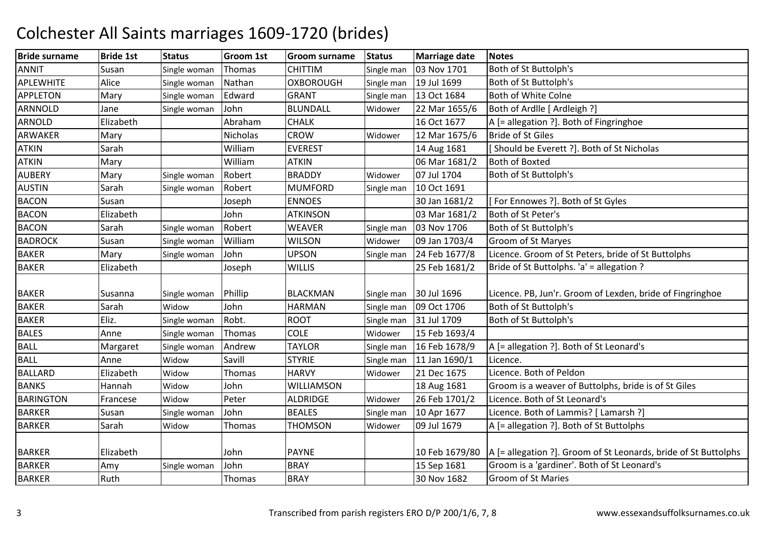| <b>Bride surname</b> | <b>Bride 1st</b> | <b>Status</b> | Groom 1st | <b>Groom surname</b> | <b>Status</b> | <b>Marriage date</b> | <b>Notes</b>                                                                     |
|----------------------|------------------|---------------|-----------|----------------------|---------------|----------------------|----------------------------------------------------------------------------------|
| <b>ANNIT</b>         | Susan            | Single woman  | Thomas    | <b>CHITTIM</b>       | Single man    | 03 Nov 1701          | Both of St Buttolph's                                                            |
| APLEWHITE            | Alice            | Single woman  | Nathan    | <b>OXBOROUGH</b>     | Single man    | 19 Jul 1699          | Both of St Buttolph's                                                            |
| <b>APPLETON</b>      | Mary             | Single woman  | Edward    | <b>GRANT</b>         | Single man    | 13 Oct 1684          | Both of White Colne                                                              |
| ARNNOLD              | Jane             | Single woman  | John      | <b>BLUNDALL</b>      | Widower       | 22 Mar 1655/6        | Both of Ardlle [ Ardleigh ?]                                                     |
| <b>ARNOLD</b>        | Elizabeth        |               | Abraham   | <b>CHALK</b>         |               | 16 Oct 1677          | A [= allegation ?]. Both of Fingringhoe                                          |
| ARWAKER              | Mary             |               | Nicholas  | <b>CROW</b>          | Widower       | 12 Mar 1675/6        | <b>Bride of St Giles</b>                                                         |
| <b>ATKIN</b>         | Sarah            |               | William   | <b>EVEREST</b>       |               | 14 Aug 1681          | Should be Everett ?]. Both of St Nicholas                                        |
| <b>ATKIN</b>         | Mary             |               | William   | <b>ATKIN</b>         |               | 06 Mar 1681/2        | <b>Both of Boxted</b>                                                            |
| <b>AUBERY</b>        | Mary             | Single woman  | Robert    | <b>BRADDY</b>        | Widower       | 07 Jul 1704          | Both of St Buttolph's                                                            |
| <b>AUSTIN</b>        | Sarah            | Single woman  | Robert    | <b>MUMFORD</b>       | Single man    | 10 Oct 1691          |                                                                                  |
| <b>BACON</b>         | Susan            |               | Joseph    | <b>ENNOES</b>        |               | 30 Jan 1681/2        | [For Ennowes ?]. Both of St Gyles                                                |
| <b>BACON</b>         | Elizabeth        |               | John      | <b>ATKINSON</b>      |               | 03 Mar 1681/2        | Both of St Peter's                                                               |
| <b>BACON</b>         | Sarah            | Single woman  | Robert    | <b>WEAVER</b>        | Single man    | 03 Nov 1706          | Both of St Buttolph's                                                            |
| <b>BADROCK</b>       | Susan            | Single woman  | William   | <b>WILSON</b>        | Widower       | 09 Jan 1703/4        | <b>Groom of St Maryes</b>                                                        |
| <b>BAKER</b>         | Mary             | Single woman  | John      | <b>UPSON</b>         | Single man    | 24 Feb 1677/8        | Licence. Groom of St Peters, bride of St Buttolphs                               |
| <b>BAKER</b>         | Elizabeth        |               | Joseph    | <b>WILLIS</b>        |               | 25 Feb 1681/2        | Bride of St Buttolphs. 'a' = allegation ?                                        |
| <b>BAKER</b>         | Susanna          | Single woman  | Phillip   | <b>BLACKMAN</b>      | Single man    | 30 Jul 1696          | Licence. PB, Jun'r. Groom of Lexden, bride of Fingringhoe                        |
| <b>BAKER</b>         | Sarah            | Widow         | John      | <b>HARMAN</b>        | Single man    | 09 Oct 1706          | Both of St Buttolph's                                                            |
| <b>BAKER</b>         | Eliz.            | Single woman  | Robt.     | <b>ROOT</b>          | Single man    | 31 Jul 1709          | Both of St Buttolph's                                                            |
| <b>BALES</b>         | Anne             | Single woman  | Thomas    | <b>COLE</b>          | Widower       | 15 Feb 1693/4        |                                                                                  |
| <b>BALL</b>          | Margaret         | Single woman  | Andrew    | <b>TAYLOR</b>        | Single man    | 16 Feb 1678/9        | A [= allegation ?]. Both of St Leonard's                                         |
| <b>BALL</b>          | Anne             | Widow         | Savill    | <b>STYRIE</b>        | Single man    | 11 Jan 1690/1        | Licence.                                                                         |
| <b>BALLARD</b>       | Elizabeth        | Widow         | Thomas    | <b>HARVY</b>         | Widower       | 21 Dec 1675          | Licence. Both of Peldon                                                          |
| <b>BANKS</b>         | Hannah           | Widow         | John      | WILLIAMSON           |               | 18 Aug 1681          | Groom is a weaver of Buttolphs, bride is of St Giles                             |
| <b>BARINGTON</b>     | Francese         | Widow         | Peter     | <b>ALDRIDGE</b>      | Widower       | 26 Feb 1701/2        | Licence. Both of St Leonard's                                                    |
| <b>BARKER</b>        | Susan            | Single woman  | John      | <b>BEALES</b>        | Single man    | 10 Apr 1677          | Licence. Both of Lammis? [ Lamarsh ?]                                            |
| <b>BARKER</b>        | Sarah            | Widow         | Thomas    | <b>THOMSON</b>       | Widower       | 09 Jul 1679          | A [= allegation ?]. Both of St Buttolphs                                         |
| <b>BARKER</b>        | Elizabeth        |               | John      | <b>PAYNE</b>         |               |                      | 10 Feb 1679/80   A [= allegation ?]. Groom of St Leonards, bride of St Buttolphs |
| <b>BARKER</b>        | Amy              | Single woman  | John      | <b>BRAY</b>          |               | 15 Sep 1681          | Groom is a 'gardiner'. Both of St Leonard's                                      |
| <b>BARKER</b>        | Ruth             |               | Thomas    | <b>BRAY</b>          |               | 30 Nov 1682          | <b>Groom of St Maries</b>                                                        |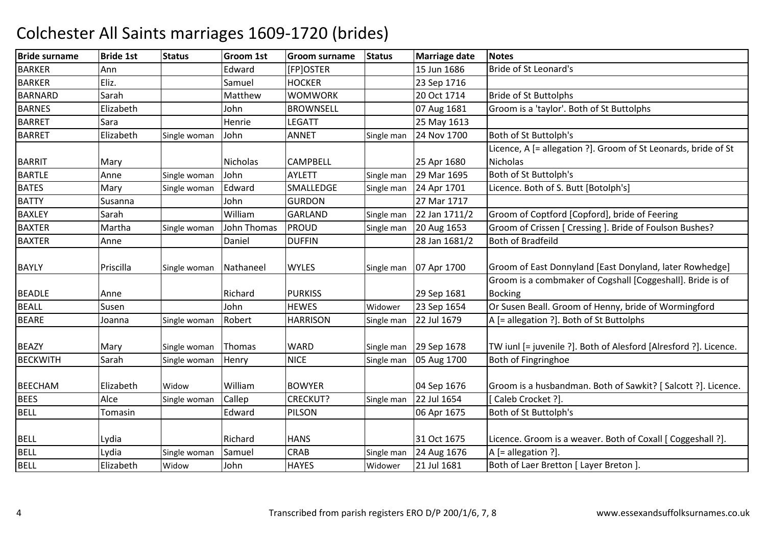| <b>Bride surname</b> | <b>Bride 1st</b> | <b>Status</b> | Groom 1st   | <b>Groom surname</b> | <b>Status</b> | <b>Marriage date</b> | <b>Notes</b>                                                     |
|----------------------|------------------|---------------|-------------|----------------------|---------------|----------------------|------------------------------------------------------------------|
| <b>BARKER</b>        | Ann              |               | Edward      | [FP]OSTER            |               | 15 Jun 1686          | <b>Bride of St Leonard's</b>                                     |
| <b>BARKER</b>        | Eliz.            |               | Samuel      | <b>HOCKER</b>        |               | 23 Sep 1716          |                                                                  |
| <b>BARNARD</b>       | Sarah            |               | Matthew     | <b>WOMWORK</b>       |               | 20 Oct 1714          | <b>Bride of St Buttolphs</b>                                     |
| <b>BARNES</b>        | Elizabeth        |               | John        | <b>BROWNSELL</b>     |               | 07 Aug 1681          | Groom is a 'taylor'. Both of St Buttolphs                        |
| <b>BARRET</b>        | Sara             |               | Henrie      | <b>LEGATT</b>        |               | 25 May 1613          |                                                                  |
| <b>BARRET</b>        | Elizabeth        | Single woman  | John        | <b>ANNET</b>         | Single man    | 24 Nov 1700          | Both of St Buttolph's                                            |
|                      |                  |               |             |                      |               |                      | Licence, A [= allegation ?]. Groom of St Leonards, bride of St   |
| <b>BARRIT</b>        | Mary             |               | Nicholas    | <b>CAMPBELL</b>      |               | 25 Apr 1680          | Nicholas                                                         |
| <b>BARTLE</b>        | Anne             | Single woman  | John        | <b>AYLETT</b>        | Single man    | 29 Mar 1695          | Both of St Buttolph's                                            |
| <b>BATES</b>         | Mary             | Single woman  | Edward      | SMALLEDGE            | Single man    | 24 Apr 1701          | Licence. Both of S. Butt [Botolph's]                             |
| <b>BATTY</b>         | Susanna          |               | John        | <b>GURDON</b>        |               | 27 Mar 1717          |                                                                  |
| <b>BAXLEY</b>        | Sarah            |               | William     | <b>GARLAND</b>       | Single man    | 22 Jan 1711/2        | Groom of Coptford [Copford], bride of Feering                    |
| <b>BAXTER</b>        | Martha           | Single woman  | John Thomas | <b>PROUD</b>         | Single man    | 20 Aug 1653          | Groom of Crissen [ Cressing ]. Bride of Foulson Bushes?          |
| <b>BAXTER</b>        | Anne             |               | Daniel      | <b>DUFFIN</b>        |               | 28 Jan 1681/2        | <b>Both of Bradfeild</b>                                         |
|                      |                  |               |             |                      |               |                      |                                                                  |
| <b>BAYLY</b>         | Priscilla        | Single woman  | Nathaneel   | <b>WYLES</b>         | Single man    | 07 Apr 1700          | Groom of East Donnyland [East Donyland, later Rowhedge]          |
|                      |                  |               |             |                      |               |                      | Groom is a combmaker of Cogshall [Coggeshall]. Bride is of       |
| <b>BEADLE</b>        | Anne             |               | Richard     | <b>PURKISS</b>       |               | 29 Sep 1681          | <b>Bocking</b>                                                   |
| <b>BEALL</b>         | Susen            |               | John        | <b>HEWES</b>         | Widower       | 23 Sep 1654          | Or Susen Beall. Groom of Henny, bride of Wormingford             |
| <b>BEARE</b>         | Joanna           | Single woman  | Robert      | <b>HARRISON</b>      | Single man    | 22 Jul 1679          | A [= allegation ?]. Both of St Buttolphs                         |
|                      |                  |               |             |                      |               |                      |                                                                  |
| <b>BEAZY</b>         | Mary             | Single woman  | Thomas      | WARD                 | Single man    | 29 Sep 1678          | TW iunl [= juvenile ?]. Both of Alesford [Alresford ?]. Licence. |
| <b>BECKWITH</b>      | Sarah            | Single woman  | Henry       | <b>NICE</b>          | Single man    | 05 Aug 1700          | Both of Fingringhoe                                              |
|                      |                  |               |             |                      |               |                      |                                                                  |
| <b>BEECHAM</b>       | Elizabeth        | Widow         | William     | <b>BOWYER</b>        |               | 04 Sep 1676          | Groom is a husbandman. Both of Sawkit? [Salcott ?]. Licence.     |
| <b>BEES</b>          | Alce             | Single woman  | Callep      | CRECKUT?             | Single man    | 22 Jul 1654          | Caleb Crocket ?].                                                |
| <b>BELL</b>          | Tomasin          |               | Edward      | PILSON               |               | 06 Apr 1675          | Both of St Buttolph's                                            |
|                      |                  |               |             |                      |               |                      |                                                                  |
| <b>BELL</b>          | Lydia            |               | Richard     | <b>HANS</b>          |               | 31 Oct 1675          | Licence. Groom is a weaver. Both of Coxall [ Coggeshall ?].      |
| <b>BELL</b>          | Lydia            | Single woman  | Samuel      | <b>CRAB</b>          | Single man    | 24 Aug 1676          | $A$ [= allegation ?].                                            |
| <b>BELL</b>          | Elizabeth        | Widow         | John        | <b>HAYES</b>         | Widower       | 21 Jul 1681          | Both of Laer Bretton [ Layer Breton ].                           |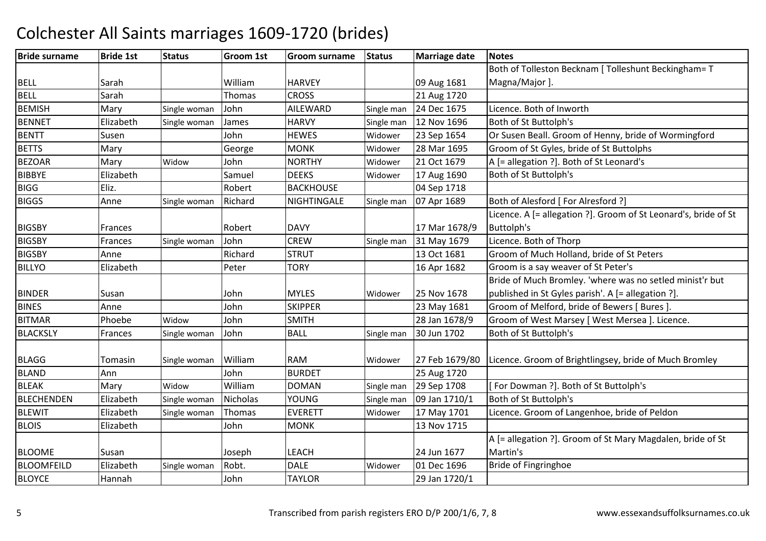#### Bride surnamee |Bride 1st |Status | Groom 1st | Groom surname | Status | Marriage date | Notes BELL Sarah William HARVEY 09 Aug 1681 21 Aug 1720 Both of Tolleston Becknam [ Tolleshunt Beckingham= T Magna/Major ]. BELL Sarahh 1991 Thomas CROSS 1992 21 Aug 1720 BEMISHMary Single woman John JAILEWARD Single man 24 Dec 1675 Licence. Both of Inworth Institute Unit and Single man 12 Nov 1696 Both of St Buttolph's **BENNET**  ElizabethHARVY Single man 12 Nov 1696 Both of St Buttolph's<br>HEWES Widower 23 Sep 1654 Or Susen Beall. Groot BENTT SusenJohn HEWES Widower 23 Sep 1654 Or Susen Beall. Groom of Henny, bride of Wormingford<br>George MONK Widower 28 Mar 1695 Groom of St Gyles, bride of St Buttolphs BETTSS Mary George George MONK<br>John NORTHY Widower 28 Mar 1695 Groom of St Gyles, bride of St Buttolphs<br>Widower 21 Oct 1679 A l= allegation ?l. Both of St Leonard's BEZOARR Mary Widow Vidow John NORTHY Widower 21 Oct 1679 A [= allegation ?]. Both of St Leonard's<br>Samuel DEEKS Widower 17 Aug 1690 Both of St Buttolph's **BIBBYF**  ElizabethDEEKS Widower 17 Aug 1690 Both of St Buttolph's<br>BACKHOUSE 04 Sep 1718 BIGGG Eliz. Robert BACKHOUSE 04 Sep 1718 BIGGS AnneSingle woman Richard NIGHTINGALE Single man | 07 Apr 1689 | Both of Alesford [ For Alresford ?] BIGSBY Frances Robert DAVY 17 Mar 1678/9 Licence. A [= allegation ?]. Groom of St Leonard's, bride of St Buttolph'sW Single man 31 May 1679 Licence. Both of Thorp<br>12 Oct 1681 Cream of Much Halland **BIGSBY** Frances Single woman John CREW<br>STRUT BIGSBY Anne RichardSTRUT 13 Oct 1681 Groom of Much Holland, bride of St Peters<br>TORY 16 Apr 1682 Groom is a sav weaver of St Peter's BILLYO Elizabeth Peter TORY 16 Apr 1682 Groom is a say weaver of St Peter's BINDER Susan Susan John MYLES Widower 25 Nov 1678 23 May 1681 Bride of Much Bromley. 'where was no setled minist'r but published in St Gyles parish'. A [= allegation ?]. BINES Annee John John John SKIPPER 23 May 1681 Groom of Melford, bride of Bewers [ Bures ].<br>28 Jan 1678/9 Groom of West Marsey [ West Mersea ]. Lice BITMARPhoebe Widow John SMITH 28 Jan 1678/9 Groom of West Marsey [West Mersea ]. Licence.<br>John BALL Single man 30 Jun 1702 Both of St Buttolph's **BLACKSLY** Frances Single woman Both of St Buttolph's BLAGG Tomasin<br>BLAND Ann Single woman William RAM<br>RAM TIOP RURDET Widower 27 Feb 1679/80 Licence. Groom of Brightlingsey, bride of Much Bromley<br>25 Aug 1720 BLANDD Ann John BURDET 25 Aug 1720 BLEAKMary Widow<br>Flizabeth Single v Widow William<br>Single woman Nicholas DOMAN Single man 29 Sep 1708 [ For Dowman ?]. Both of St Buttolph's<br>YOUNG Single man 09 Jan 1710/1 Both of St Buttolph's BLECHENDENN Elizabeth Single woman Nicholas YOUNG Single man 09 Jan 1710/1 Both of St Buttolph's BLEWIT ElizabethSingle woman Thomas EVERETT Widower 17 May 1701 Licence. Groom of Langenhoe, bride of Peldon<br>John MONK 13 Nov 1715 BLOIS Elizabeth John MONK 13 Nov 1715 BLOOME Susan Joseph LEACH 24 Jun 1677 01 Dec 1696 A [= allegation ?]. Groom of St Mary Magdalen, bride of St Martin'sBride of Fingringhoe BLOOMFEILDD Elizabeth Single woman Robt. DALE Widower 01 Dec 1696 Bride of Fingringhoe BLOYCE Hannah John TAYLOR29 Jan 1720/1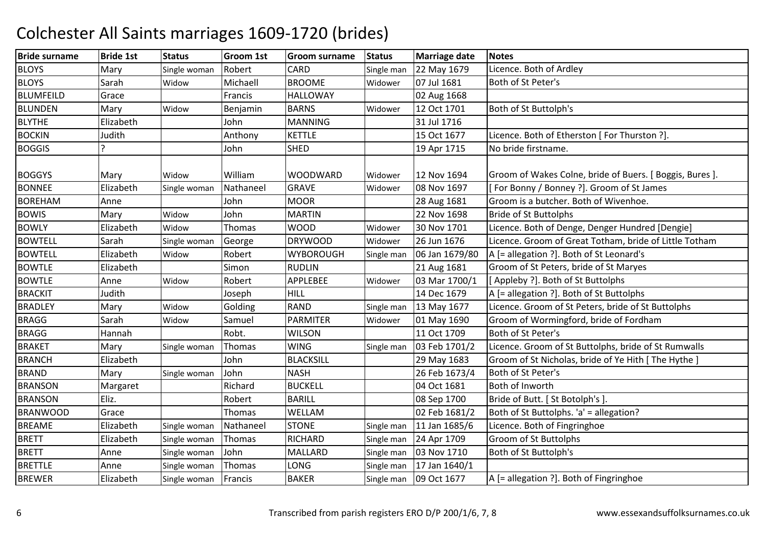| <b>Bride surname</b> | <b>Bride 1st</b> | <b>Status</b> | <b>Groom 1st</b> | <b>Groom surname</b> | <b>Status</b> | Marriage date  | <b>Notes</b>                                             |
|----------------------|------------------|---------------|------------------|----------------------|---------------|----------------|----------------------------------------------------------|
| <b>BLOYS</b>         | Mary             | Single woman  | Robert           | <b>CARD</b>          | Single man    | 22 May 1679    | Licence. Both of Ardley                                  |
| <b>BLOYS</b>         | Sarah            | Widow         | Michaell         | <b>BROOME</b>        | Widower       | 07 Jul 1681    | Both of St Peter's                                       |
| <b>BLUMFEILD</b>     | Grace            |               | Francis          | <b>HALLOWAY</b>      |               | 02 Aug 1668    |                                                          |
| <b>BLUNDEN</b>       | Mary             | Widow         | Benjamin         | <b>BARNS</b>         | Widower       | 12 Oct 1701    | Both of St Buttolph's                                    |
| <b>BLYTHE</b>        | Elizabeth        |               | John             | <b>MANNING</b>       |               | 31 Jul 1716    |                                                          |
| <b>BOCKIN</b>        | Judith           |               | Anthony          | <b>KETTLE</b>        |               | 15 Oct 1677    | Licence. Both of Etherston [ For Thurston ?].            |
| <b>BOGGIS</b>        | C                |               | John             | <b>SHED</b>          |               | 19 Apr 1715    | No bride firstname.                                      |
| <b>BOGGYS</b>        | Mary             | Widow         | William          | <b>WOODWARD</b>      | Widower       | 12 Nov 1694    | Groom of Wakes Colne, bride of Buers. [ Boggis, Bures ]. |
| <b>BONNEE</b>        | Elizabeth        | Single woman  | Nathaneel        | <b>GRAVE</b>         | Widower       | 08 Nov 1697    | [For Bonny / Bonney ?]. Groom of St James                |
| <b>BOREHAM</b>       | Anne             |               | John             | <b>MOOR</b>          |               | 28 Aug 1681    | Groom is a butcher. Both of Wivenhoe.                    |
| <b>BOWIS</b>         | Mary             | Widow         | John             | <b>MARTIN</b>        |               | 22 Nov 1698    | <b>Bride of St Buttolphs</b>                             |
| <b>BOWLY</b>         | Elizabeth        | Widow         | Thomas           | <b>WOOD</b>          | Widower       | 30 Nov 1701    | Licence. Both of Denge, Denger Hundred [Dengie]          |
| <b>BOWTELL</b>       | Sarah            | Single woman  | George           | <b>DRYWOOD</b>       | Widower       | 26 Jun 1676    | Licence. Groom of Great Totham, bride of Little Totham   |
| <b>BOWTELL</b>       | Elizabeth        | Widow         | Robert           | <b>WYBOROUGH</b>     | Single man    | 06 Jan 1679/80 | A [= allegation ?]. Both of St Leonard's                 |
| <b>BOWTLE</b>        | Elizabeth        |               | Simon            | <b>RUDLIN</b>        |               | 21 Aug 1681    | Groom of St Peters, bride of St Maryes                   |
| <b>BOWTLE</b>        | Anne             | Widow         | Robert           | APPLEBEE             | Widower       | 03 Mar 1700/1  | [Appleby ?]. Both of St Buttolphs                        |
| <b>BRACKIT</b>       | Judith           |               | Joseph           | <b>HILL</b>          |               | 14 Dec 1679    | A [= allegation ?]. Both of St Buttolphs                 |
| <b>BRADLEY</b>       | Mary             | Widow         | Golding          | <b>RAND</b>          | Single man    | 13 May 1677    | Licence. Groom of St Peters, bride of St Buttolphs       |
| <b>BRAGG</b>         | Sarah            | Widow         | Samuel           | <b>PARMITER</b>      | Widower       | 01 May 1690    | Groom of Wormingford, bride of Fordham                   |
| <b>BRAGG</b>         | Hannah           |               | Robt.            | <b>WILSON</b>        |               | 11 Oct 1709    | Both of St Peter's                                       |
| <b>BRAKET</b>        | Mary             | Single woman  | Thomas           | <b>WING</b>          | Single man    | 03 Feb 1701/2  | Licence. Groom of St Buttolphs, bride of St Rumwalls     |
| <b>BRANCH</b>        | Elizabeth        |               | John             | <b>BLACKSILL</b>     |               | 29 May 1683    | Groom of St Nicholas, bride of Ye Hith [ The Hythe ]     |
| <b>BRAND</b>         | Mary             | Single woman  | John             | <b>NASH</b>          |               | 26 Feb 1673/4  | Both of St Peter's                                       |
| <b>BRANSON</b>       | Margaret         |               | Richard          | <b>BUCKELL</b>       |               | 04 Oct 1681    | Both of Inworth                                          |
| <b>BRANSON</b>       | Eliz.            |               | Robert           | <b>BARILL</b>        |               | 08 Sep 1700    | Bride of Butt. [St Botolph's]                            |
| <b>BRANWOOD</b>      | Grace            |               | Thomas           | WELLAM               |               | 02 Feb 1681/2  | Both of St Buttolphs. 'a' = allegation?                  |
| <b>BREAME</b>        | Elizabeth        | Single woman  | Nathaneel        | <b>STONE</b>         | Single man    | 11 Jan 1685/6  | Licence. Both of Fingringhoe                             |
| <b>BRETT</b>         | Elizabeth        | Single woman  | Thomas           | <b>RICHARD</b>       | Single man    | 24 Apr 1709    | Groom of St Buttolphs                                    |
| <b>BRETT</b>         | Anne             | Single woman  | John             | <b>MALLARD</b>       | Single man    | 03 Nov 1710    | Both of St Buttolph's                                    |
| <b>BRETTLE</b>       | Anne             | Single woman  | Thomas           | LONG                 | Single man    | 17 Jan 1640/1  |                                                          |
| <b>BREWER</b>        | Elizabeth        | Single woman  | Francis          | <b>BAKER</b>         | Single man    | 09 Oct 1677    | A [= allegation ?]. Both of Fingringhoe                  |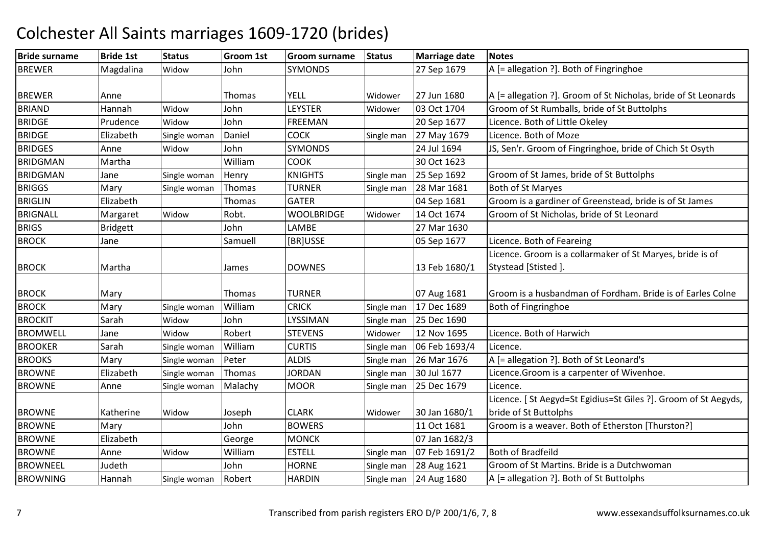| <b>Bride surname</b> | <b>Bride 1st</b> | <b>Status</b> | <b>Groom 1st</b> | <b>Groom surname</b> | <b>Status</b> | <b>Marriage date</b> | <b>Notes</b>                                                    |
|----------------------|------------------|---------------|------------------|----------------------|---------------|----------------------|-----------------------------------------------------------------|
| <b>BREWER</b>        | Magdalina        | Widow         | John             | <b>SYMONDS</b>       |               | 27 Sep 1679          | A [= allegation ?]. Both of Fingringhoe                         |
|                      |                  |               |                  |                      |               |                      |                                                                 |
| <b>BREWER</b>        | Anne             |               | Thomas           | YELL                 | Widower       | 27 Jun 1680          | A [= allegation ?]. Groom of St Nicholas, bride of St Leonards  |
| <b>BRIAND</b>        | Hannah           | Widow         | John             | <b>LEYSTER</b>       | Widower       | 03 Oct 1704          | Groom of St Rumballs, bride of St Buttolphs                     |
| <b>BRIDGE</b>        | Prudence         | Widow         | John             | <b>FREEMAN</b>       |               | 20 Sep 1677          | Licence. Both of Little Okeley                                  |
| <b>BRIDGE</b>        | Elizabeth        | Single woman  | Daniel           | <b>COCK</b>          | Single man    | 27 May 1679          | Licence. Both of Moze                                           |
| <b>BRIDGES</b>       | Anne             | Widow         | John             | <b>SYMONDS</b>       |               | 24 Jul 1694          | JS, Sen'r. Groom of Fingringhoe, bride of Chich St Osyth        |
| <b>BRIDGMAN</b>      | Martha           |               | William          | <b>COOK</b>          |               | 30 Oct 1623          |                                                                 |
| <b>BRIDGMAN</b>      | Jane             | Single woman  | Henry            | <b>KNIGHTS</b>       | Single man    | 25 Sep 1692          | Groom of St James, bride of St Buttolphs                        |
| <b>BRIGGS</b>        | Mary             | Single woman  | Thomas           | <b>TURNER</b>        | Single man    | 28 Mar 1681          | Both of St Maryes                                               |
| <b>BRIGLIN</b>       | Elizabeth        |               | Thomas           | <b>GATER</b>         |               | 04 Sep 1681          | Groom is a gardiner of Greenstead, bride is of St James         |
| <b>BRIGNALL</b>      | Margaret         | Widow         | Robt.            | WOOLBRIDGE           | Widower       | 14 Oct 1674          | Groom of St Nicholas, bride of St Leonard                       |
| <b>BRIGS</b>         | <b>Bridgett</b>  |               | John             | LAMBE                |               | 27 Mar 1630          |                                                                 |
| <b>BROCK</b>         | Jane             |               | Samuell          | [BR]USSE             |               | 05 Sep 1677          | Licence. Both of Feareing                                       |
|                      |                  |               |                  |                      |               |                      | Licence. Groom is a collarmaker of St Maryes, bride is of       |
| <b>BROCK</b>         | Martha           |               | James            | <b>DOWNES</b>        |               | 13 Feb 1680/1        | Stystead [Stisted].                                             |
|                      |                  |               |                  |                      |               |                      |                                                                 |
| <b>BROCK</b>         | Mary             |               | Thomas           | <b>TURNER</b>        |               | 07 Aug 1681          | Groom is a husbandman of Fordham. Bride is of Earles Colne      |
| <b>BROCK</b>         | Mary             | Single woman  | William          | <b>CRICK</b>         | Single man    | 17 Dec 1689          | Both of Fingringhoe                                             |
| <b>BROCKIT</b>       | Sarah            | Widow         | John             | LYSSIMAN             | Single man    | 25 Dec 1690          |                                                                 |
| <b>BROMWELL</b>      | Jane             | Widow         | Robert           | <b>STEVENS</b>       | Widower       | 12 Nov 1695          | Licence. Both of Harwich                                        |
| <b>BROOKER</b>       | Sarah            | Single woman  | William          | <b>CURTIS</b>        | Single man    | 06 Feb 1693/4        | Licence.                                                        |
| <b>BROOKS</b>        | Mary             | Single woman  | Peter            | <b>ALDIS</b>         | Single man    | 26 Mar 1676          | A [= allegation ?]. Both of St Leonard's                        |
| <b>BROWNE</b>        | Elizabeth        | Single woman  | Thomas           | <b>JORDAN</b>        | Single man    | 30 Jul 1677          | Licence. Groom is a carpenter of Wivenhoe.                      |
| <b>BROWNE</b>        | Anne             | Single woman  | Malachy          | <b>MOOR</b>          | Single man    | 25 Dec 1679          | Licence.                                                        |
|                      |                  |               |                  |                      |               |                      | Licence. [ St Aegyd=St Egidius=St Giles ?]. Groom of St Aegyds, |
| <b>BROWNE</b>        | Katherine        | Widow         | Joseph           | <b>CLARK</b>         | Widower       | 30 Jan 1680/1        | bride of St Buttolphs                                           |
| <b>BROWNE</b>        | Mary             |               | John             | <b>BOWERS</b>        |               | 11 Oct 1681          | Groom is a weaver. Both of Etherston [Thurston?]                |
| <b>BROWNE</b>        | Elizabeth        |               | George           | <b>MONCK</b>         |               | 07 Jan 1682/3        |                                                                 |
| <b>BROWNE</b>        | Anne             | Widow         | William          | <b>ESTELL</b>        | Single man    | 07 Feb 1691/2        | <b>Both of Bradfeild</b>                                        |
| <b>BROWNEEL</b>      | Judeth           |               | John             | <b>HORNE</b>         | Single man    | 28 Aug 1621          | Groom of St Martins. Bride is a Dutchwoman                      |
| <b>BROWNING</b>      | Hannah           | Single woman  | Robert           | <b>HARDIN</b>        | Single man    | 24 Aug 1680          | A [= allegation ?]. Both of St Buttolphs                        |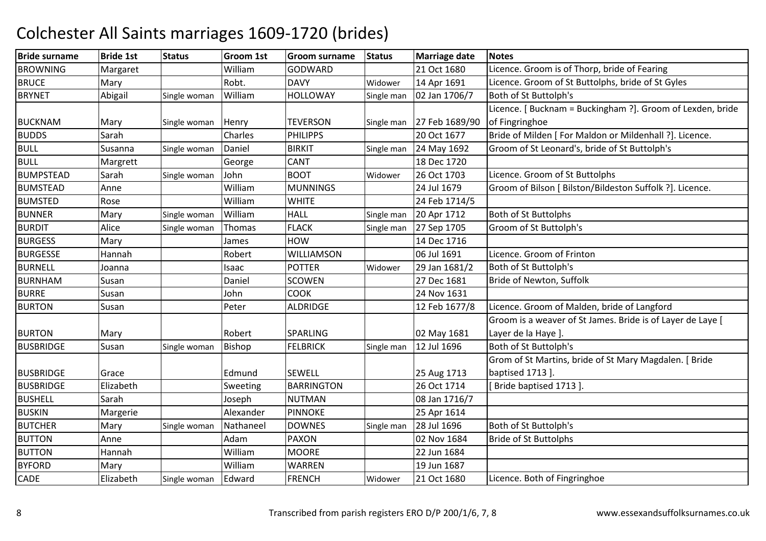#### Bride surnamee |Bride 1st |Status | Groom 1st | Groom surname | Status | Marriage date | Notes **BROWNING** Margaret William<br>
Mary Robt. GODWARD 21 Oct 1680 Licence. Groom is of Thorp, bride of Fearing<br>DAVY Widower 14 Apr 1691 Licence. Groom of St Buttolphs, bride of St G **BRUCE** E Mary Robt. DAVY Widower 14 Apr 1691 Licence. Groom of St Buttolphs, bride of St Gyles **BRYNET**  Abigail Single woman WilliamHOLLOWAY Single man 02 Jan 1706/7 Both of St Buttolph's BUCKNAM Mary Single woman Henry TEVERSON<br>BUDDS Sarah Charles PHILIPPS Single man 27 Feb 1689/90 Licence. [ Bucknam = Buckingham ?]. Groom of Lexden, bride of Fingringhoeh Charles PHILIPPS 20 Oct 1677 Bride of Milden [ For Maldon or Mildenhall ?]. Licence. BUDDS SarahBULL SusannaSingle woman Daniel BIRKIT Single man 24 May 1692 Groom of St Leonard's, bride of St Buttolph's BULL Margrett GeorgeCANT 18 Dec 1720<br>ROOT Widower 26 Oct 1703 26 Oct 1703 **BUMPSTEAD** Sarah Single woman John BOOT Widower 26 Oct 1703 Licence. Groom of St Buttolphs<br>Anne William MUNNINGS 24 Jul 1679 Groom of Bilson I Bilston/Bildes BUMSTEADD Anne William William MUNNINGS 24 Jul 1679 Groom of Bilson [ Bilston/Bildeston Suffolk ?]. Licence.<br>William WHITE 24 Feb 1714/5 BUMSTEDD Rose William William WHITE 24 Feb 1714/5<br>William HALL Single man 20 Apr 1712 BUNNERMary Single woman William<br>Alice Single woman Thomas HALL Single man 20 Apr 1712 Both of St Buttolphs<br>FLACK Single man 27 Sep 1705 Groom of St Buttolpl BURDITAlice<br>Mary Single woman Thomas FLAC Groom of St Buttolph's **BURGESS** S Mary **James** HOW 14 Dec 1716<br>06 Jul 1691 **BURGESSE**  Hannah Robert WILLIAMSON06 Jul 1691 Licence. Groom of Frinton<br>Widower 29 Jan 1681/2 Both of St Buttolph's BURNELL Joannaa | Isaac | POTTER POTTER Widower 29 Jan 1681/2 Both of St Buttolph's<br>SCOWEN 27 Dec 1681 Bride of Newton, Suffolk BURNHAMM Susan Daniel SCOWEN 27 Dec 1681 Bride of Newton, Suffolk<br>COOK 221 Dec 1681 BURRESusan<br>Susan John COOK 24 Nov 1631 BURTONPeter **ALDRIDGE** 12 Feb 1677/8 Licence. Groom of Malden, bride of Langford BURTON Mary Robert SPARLING 02 May 1681 Groom is a weaver of St James. Bride is of Layer de Laye [ Layer de la Haye ]. BUSBRIDGE SusanSingle woman Bishop FELBRICK Single man 12 Jul 1696 Both of St Buttolph's BUSBRIDGE Grace | Grace Edmund SEWELL | 25 Aug 1713 26 Oct 1714 Grom of St Martins, bride of St Mary Magdalen. [ Bride baptised 1713 ]. BUSBRIDGE ElizabethSweeting **BARRINGTON** [ Bride baptised 1713 ]. BUSHELL Sarah Joseph NUTMAN**NUTMAN** 08 Jan 1716/7<br>PINNOKE 25 Apr 1614 BUSKINN Margerie Alexander PINNOKE 25 Apr 1614 **BUTCHER** R Mary Single woman Nathaneel DOWNES Single man 28 Jul 1696 Both of St Buttolph's BUTTONN Anne Adam Adam PAXON 02 Nov 1684 Bride of St Buttolphs<br>
William MOORE 22 Jun 1684 BUTTONN Hannah William m MOORE 22 Jun 1684 BYFORDD Mary William William WARREN | 19 Jun 1687<br>| Edward FRENCH Widower 21 Oct 1680 CADE ElizabethSingle woman Licence. Both of Fingringhoe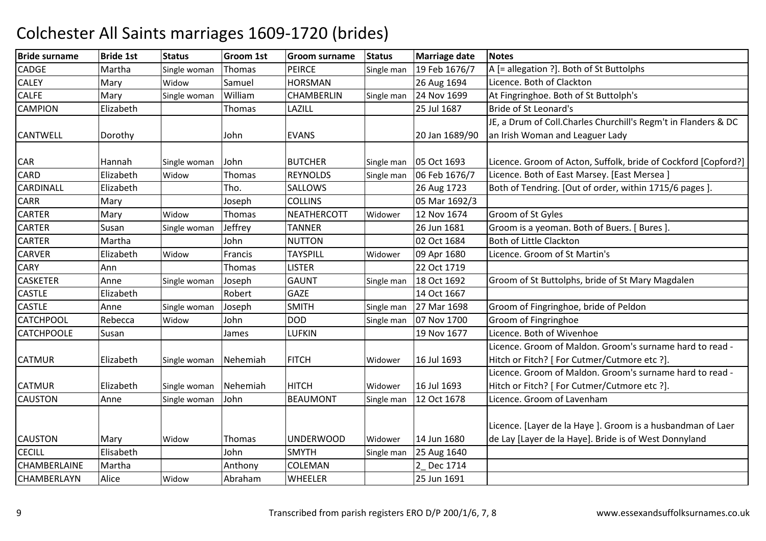| <b>Bride surname</b> | <b>Bride 1st</b> | <b>Status</b> | Groom 1st | <b>Groom surname</b> | <b>Status</b> | <b>Marriage date</b> | <b>Notes</b>                                                    |
|----------------------|------------------|---------------|-----------|----------------------|---------------|----------------------|-----------------------------------------------------------------|
| <b>CADGE</b>         | Martha           | Single woman  | Thomas    | <b>PEIRCE</b>        | Single man    | 19 Feb 1676/7        | A [= allegation ?]. Both of St Buttolphs                        |
| <b>CALEY</b>         | Mary             | Widow         | Samuel    | <b>HORSMAN</b>       |               | 26 Aug 1694          | Licence. Both of Clackton                                       |
| <b>CALFE</b>         | Mary             | Single woman  | William   | CHAMBERLIN           | Single man    | 24 Nov 1699          | At Fingringhoe. Both of St Buttolph's                           |
| <b>CAMPION</b>       | Elizabeth        |               | Thomas    | LAZILL               |               | 25 Jul 1687          | Bride of St Leonard's                                           |
|                      |                  |               |           |                      |               |                      | JE, a Drum of Coll. Charles Churchill's Regm't in Flanders & DC |
| <b>CANTWELL</b>      | Dorothy          |               | John      | <b>EVANS</b>         |               | 20 Jan 1689/90       | an Irish Woman and Leaguer Lady                                 |
|                      |                  |               |           |                      |               |                      |                                                                 |
| <b>CAR</b>           | Hannah           | Single woman  | John      | <b>BUTCHER</b>       | Single man    | 05 Oct 1693          | Licence. Groom of Acton, Suffolk, bride of Cockford [Copford?]  |
| CARD                 | Elizabeth        | Widow         | Thomas    | <b>REYNOLDS</b>      | Single man    | 06 Feb 1676/7        | Licence. Both of East Marsey. [East Mersea]                     |
| CARDINALL            | Elizabeth        |               | Tho.      | <b>SALLOWS</b>       |               | 26 Aug 1723          | Both of Tendring. [Out of order, within 1715/6 pages].          |
| CARR                 | Mary             |               | Joseph    | <b>COLLINS</b>       |               | 05 Mar 1692/3        |                                                                 |
| <b>CARTER</b>        | Mary             | Widow         | Thomas    | <b>NEATHERCOTT</b>   | Widower       | 12 Nov 1674          | Groom of St Gyles                                               |
| <b>CARTER</b>        | Susan            | Single woman  | Jeffrey   | <b>TANNER</b>        |               | 26 Jun 1681          | Groom is a yeoman. Both of Buers. [ Bures ].                    |
| <b>CARTER</b>        | Martha           |               | John      | <b>NUTTON</b>        |               | 02 Oct 1684          | <b>Both of Little Clackton</b>                                  |
| <b>CARVER</b>        | Elizabeth        | Widow         | Francis   | <b>TAYSPILL</b>      | Widower       | 09 Apr 1680          | Licence. Groom of St Martin's                                   |
| <b>CARY</b>          | Ann              |               | Thomas    | <b>LISTER</b>        |               | 22 Oct 1719          |                                                                 |
| <b>CASKETER</b>      | Anne             | Single woman  | Joseph    | <b>GAUNT</b>         | Single man    | 18 Oct 1692          | Groom of St Buttolphs, bride of St Mary Magdalen                |
| <b>CASTLE</b>        | Elizabeth        |               | Robert    | <b>GAZE</b>          |               | 14 Oct 1667          |                                                                 |
| <b>CASTLE</b>        | Anne             | Single woman  | Joseph    | <b>SMITH</b>         | Single man    | 27 Mar 1698          | Groom of Fingringhoe, bride of Peldon                           |
| <b>CATCHPOOL</b>     | Rebecca          | Widow         | John      | <b>DOD</b>           | Single man    | 07 Nov 1700          | Groom of Fingringhoe                                            |
| <b>CATCHPOOLE</b>    | Susan            |               | James     | LUFKIN               |               | 19 Nov 1677          | Licence. Both of Wivenhoe                                       |
|                      |                  |               |           |                      |               |                      | Licence. Groom of Maldon. Groom's surname hard to read -        |
| <b>CATMUR</b>        | Elizabeth        | Single woman  | Nehemiah  | <b>FITCH</b>         | Widower       | 16 Jul 1693          | Hitch or Fitch? [ For Cutmer/Cutmore etc ?].                    |
|                      |                  |               |           |                      |               |                      | Licence. Groom of Maldon. Groom's surname hard to read -        |
| <b>CATMUR</b>        | Elizabeth        | Single woman  | Nehemiah  | <b>HITCH</b>         | Widower       | 16 Jul 1693          | Hitch or Fitch? [ For Cutmer/Cutmore etc ?].                    |
| <b>CAUSTON</b>       | Anne             | Single woman  | John      | <b>BEAUMONT</b>      | Single man    | 12 Oct 1678          | Licence. Groom of Lavenham                                      |
|                      |                  |               |           |                      |               |                      |                                                                 |
|                      |                  |               |           |                      |               |                      | Licence. [Layer de la Haye]. Groom is a husbandman of Laer      |
| <b>CAUSTON</b>       | Mary             | Widow         | Thomas    | <b>UNDERWOOD</b>     | Widower       | 14 Jun 1680          | de Lay [Layer de la Haye]. Bride is of West Donnyland           |
| <b>CECILL</b>        | Elisabeth        |               | John      | <b>SMYTH</b>         | Single man    | 25 Aug 1640          |                                                                 |
| CHAMBERLAINE         | Martha           |               | Anthony   | <b>COLEMAN</b>       |               | 2 Dec 1714           |                                                                 |
| CHAMBERLAYN          | Alice            | Widow         | Abraham   | <b>WHEELER</b>       |               | 25 Jun 1691          |                                                                 |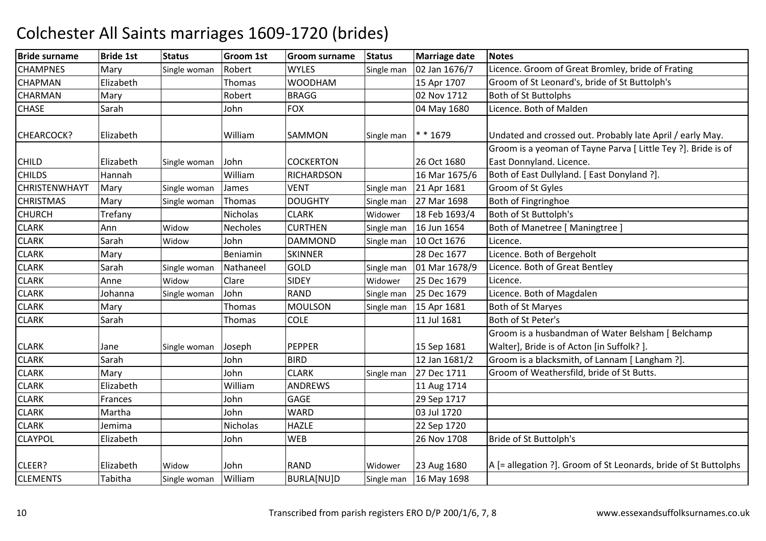| <b>Bride surname</b> | <b>Bride 1st</b> | <b>Status</b> | Groom 1st | Groom surname     | <b>Status</b> | <b>Marriage date</b> | <b>Notes</b>                                                    |
|----------------------|------------------|---------------|-----------|-------------------|---------------|----------------------|-----------------------------------------------------------------|
| <b>CHAMPNES</b>      | Mary             | Single woman  | Robert    | <b>WYLES</b>      | Single man    | 02 Jan 1676/7        | Licence. Groom of Great Bromley, bride of Frating               |
| <b>CHAPMAN</b>       | Elizabeth        |               | Thomas    | <b>WOODHAM</b>    |               | 15 Apr 1707          | Groom of St Leonard's, bride of St Buttolph's                   |
| <b>CHARMAN</b>       | Mary             |               | Robert    | <b>BRAGG</b>      |               | 02 Nov 1712          | Both of St Buttolphs                                            |
| <b>CHASE</b>         | Sarah            |               | John      | <b>FOX</b>        |               | 04 May 1680          | Licence. Both of Malden                                         |
| <b>CHEARCOCK?</b>    | Elizabeth        |               | William   | SAMMON            | Single man    | * * 1679             | Undated and crossed out. Probably late April / early May.       |
|                      |                  |               |           |                   |               |                      | Groom is a yeoman of Tayne Parva [ Little Tey ?]. Bride is of   |
| <b>CHILD</b>         | Elizabeth        | Single woman  | John      | <b>COCKERTON</b>  |               | 26 Oct 1680          | East Donnyland. Licence.                                        |
| <b>CHILDS</b>        | Hannah           |               | William   | <b>RICHARDSON</b> |               | 16 Mar 1675/6        | Both of East Dullyland. [ East Donyland ?].                     |
| CHRISTENWHAYT        | Mary             | Single woman  | James     | <b>VENT</b>       | Single man    | 21 Apr 1681          | Groom of St Gyles                                               |
| <b>CHRISTMAS</b>     | Mary             | Single woman  | Thomas    | <b>DOUGHTY</b>    | Single man    | 27 Mar 1698          | Both of Fingringhoe                                             |
| <b>CHURCH</b>        | Trefany          |               | Nicholas  | <b>CLARK</b>      | Widower       | 18 Feb 1693/4        | Both of St Buttolph's                                           |
| <b>CLARK</b>         | Ann              | Widow         | Necholes  | <b>CURTHEN</b>    | Single man    | 16 Jun 1654          | Both of Manetree [ Maningtree ]                                 |
| <b>CLARK</b>         | Sarah            | Widow         | John      | <b>DAMMOND</b>    | Single man    | 10 Oct 1676          | Licence.                                                        |
| <b>CLARK</b>         | Mary             |               | Beniamin  | <b>SKINNER</b>    |               | 28 Dec 1677          | Licence. Both of Bergeholt                                      |
| <b>CLARK</b>         | Sarah            | Single woman  | Nathaneel | GOLD              | Single man    | 01 Mar 1678/9        | Licence. Both of Great Bentley                                  |
| <b>CLARK</b>         | Anne             | Widow         | Clare     | <b>SIDEY</b>      | Widower       | 25 Dec 1679          | Licence.                                                        |
| <b>CLARK</b>         | Johanna          | Single woman  | John      | <b>RAND</b>       | Single man    | 25 Dec 1679          | Licence. Both of Magdalen                                       |
| <b>CLARK</b>         | Mary             |               | Thomas    | <b>MOULSON</b>    | Single man    | 15 Apr 1681          | Both of St Maryes                                               |
| <b>CLARK</b>         | Sarah            |               | Thomas    | <b>COLE</b>       |               | 11 Jul 1681          | Both of St Peter's                                              |
|                      |                  |               |           |                   |               |                      | Groom is a husbandman of Water Belsham [ Belchamp               |
| <b>CLARK</b>         | Jane             | Single woman  | Joseph    | <b>PEPPER</b>     |               | 15 Sep 1681          | Walter], Bride is of Acton [in Suffolk?].                       |
| <b>CLARK</b>         | Sarah            |               | John      | <b>BIRD</b>       |               | 12 Jan 1681/2        | Groom is a blacksmith, of Lannam [ Langham ?].                  |
| <b>CLARK</b>         | Mary             |               | John      | <b>CLARK</b>      | Single man    | 27 Dec 1711          | Groom of Weathersfild, bride of St Butts.                       |
| <b>CLARK</b>         | Elizabeth        |               | William   | <b>ANDREWS</b>    |               | 11 Aug 1714          |                                                                 |
| <b>CLARK</b>         | Frances          |               | John      | GAGE              |               | 29 Sep 1717          |                                                                 |
| <b>CLARK</b>         | Martha           |               | John      | <b>WARD</b>       |               | 03 Jul 1720          |                                                                 |
| <b>CLARK</b>         | Jemima           |               | Nicholas  | <b>HAZLE</b>      |               | 22 Sep 1720          |                                                                 |
| <b>CLAYPOL</b>       | Elizabeth        |               | John      | <b>WEB</b>        |               | 26 Nov 1708          | Bride of St Buttolph's                                          |
|                      |                  |               |           |                   |               |                      |                                                                 |
| CLEER?               | Elizabeth        | Widow         | John      | <b>RAND</b>       | Widower       | 23 Aug 1680          | A [= allegation ?]. Groom of St Leonards, bride of St Buttolphs |
| <b>CLEMENTS</b>      | Tabitha          | Single woman  | William   | BURLA[NU]D        | Single man    | 16 May 1698          |                                                                 |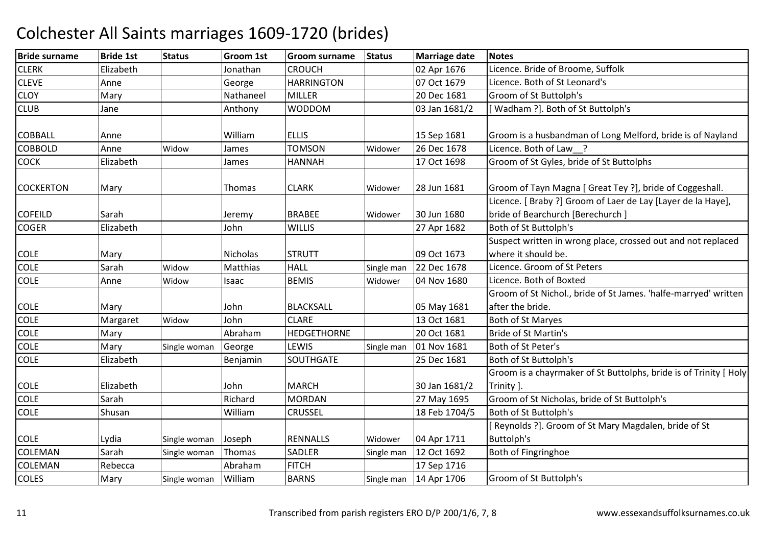| <b>Bride surname</b> | <b>Bride 1st</b> | <b>Status</b> | Groom 1st       | <b>Groom surname</b> | <b>Status</b> | <b>Marriage date</b> | <b>Notes</b>                                                                                     |
|----------------------|------------------|---------------|-----------------|----------------------|---------------|----------------------|--------------------------------------------------------------------------------------------------|
| <b>CLERK</b>         | Elizabeth        |               | Jonathan        | <b>CROUCH</b>        |               | 02 Apr 1676          | Licence. Bride of Broome, Suffolk                                                                |
| <b>CLEVE</b>         | Anne             |               | George          | <b>HARRINGTON</b>    |               | 07 Oct 1679          | Licence. Both of St Leonard's                                                                    |
| <b>CLOY</b>          | Mary             |               | Nathaneel       | <b>MILLER</b>        |               | 20 Dec 1681          | Groom of St Buttolph's                                                                           |
| <b>CLUB</b>          | Jane             |               | Anthony         | <b>WODDOM</b>        |               | 03 Jan 1681/2        | [Wadham ?]. Both of St Buttolph's                                                                |
| <b>COBBALL</b>       | Anne             |               | William         | <b>ELLIS</b>         |               | 15 Sep 1681          | Groom is a husbandman of Long Melford, bride is of Nayland                                       |
| <b>COBBOLD</b>       | Anne             | Widow         | James           | <b>TOMSON</b>        | Widower       | 26 Dec 1678          | Licence. Both of Law ?                                                                           |
| <b>COCK</b>          | Elizabeth        |               | James           | <b>HANNAH</b>        |               | 17 Oct 1698          | Groom of St Gyles, bride of St Buttolphs                                                         |
| <b>COCKERTON</b>     | Mary             |               | Thomas          | <b>CLARK</b>         | Widower       | 28 Jun 1681          | Groom of Tayn Magna [ Great Tey ?], bride of Coggeshall.                                         |
| <b>COFEILD</b>       | Sarah            |               | Jeremy          | <b>BRABEE</b>        | Widower       | 30 Jun 1680          | Licence. [ Braby ?] Groom of Laer de Lay [Layer de la Haye],<br>bride of Bearchurch [Berechurch] |
| <b>COGER</b>         | Elizabeth        |               | John            | <b>WILLIS</b>        |               | 27 Apr 1682          | Both of St Buttolph's                                                                            |
|                      |                  |               |                 |                      |               |                      | Suspect written in wrong place, crossed out and not replaced                                     |
| <b>COLE</b>          | Mary             |               | <b>Nicholas</b> | <b>STRUTT</b>        |               | 09 Oct 1673          | where it should be.                                                                              |
| <b>COLE</b>          | Sarah            | Widow         | Matthias        | <b>HALL</b>          | Single man    | 22 Dec 1678          | Licence. Groom of St Peters                                                                      |
| <b>COLE</b>          | Anne             | Widow         | Isaac           | <b>BEMIS</b>         | Widower       | 04 Nov 1680          | Licence. Both of Boxted                                                                          |
|                      |                  |               |                 |                      |               |                      | Groom of St Nichol., bride of St James. 'halfe-marryed' written                                  |
| <b>COLE</b>          | Mary             |               | John            | <b>BLACKSALL</b>     |               | 05 May 1681          | after the bride.                                                                                 |
| <b>COLE</b>          | Margaret         | Widow         | John            | <b>CLARE</b>         |               | 13 Oct 1681          | Both of St Maryes                                                                                |
| COLE                 | Mary             |               | Abraham         | <b>HEDGETHORNE</b>   |               | 20 Oct 1681          | <b>Bride of St Martin's</b>                                                                      |
| <b>COLE</b>          | Mary             | Single woman  | George          | LEWIS                | Single man    | 01 Nov 1681          | Both of St Peter's                                                                               |
| <b>COLE</b>          | Elizabeth        |               | Benjamin        | SOUTHGATE            |               | 25 Dec 1681          | Both of St Buttolph's                                                                            |
|                      |                  |               |                 | <b>MARCH</b>         |               |                      | Groom is a chayrmaker of St Buttolphs, bride is of Trinity [ Holy                                |
| <b>COLE</b>          | Elizabeth        |               | John            |                      |               | 30 Jan 1681/2        | Trinity ].                                                                                       |
| <b>COLE</b>          | Sarah            |               | Richard         | <b>MORDAN</b>        |               | 27 May 1695          | Groom of St Nicholas, bride of St Buttolph's                                                     |
| <b>COLE</b>          | Shusan           |               | William         | <b>CRUSSEL</b>       |               | 18 Feb 1704/5        | Both of St Buttolph's                                                                            |
|                      |                  |               |                 |                      |               |                      | [Reynolds ?]. Groom of St Mary Magdalen, bride of St                                             |
| <b>COLE</b>          | Lydia            | Single woman  | Joseph          | <b>RENNALLS</b>      | Widower       | 04 Apr 1711          | Buttolph's                                                                                       |
| <b>COLEMAN</b>       | Sarah            | Single woman  | Thomas          | SADLER               | Single man    | 12 Oct 1692          | Both of Fingringhoe                                                                              |
| <b>COLEMAN</b>       | Rebecca          |               | Abraham         | <b>FITCH</b>         |               | 17 Sep 1716          |                                                                                                  |
| <b>COLES</b>         | Mary             | Single woman  | William         | <b>BARNS</b>         | Single man    | 14 Apr 1706          | Groom of St Buttolph's                                                                           |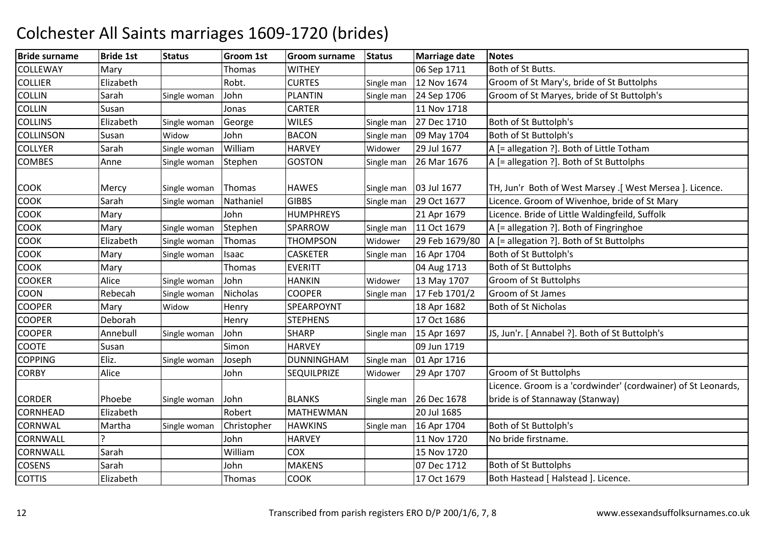| <b>Bride surname</b> | <b>Bride 1st</b> | <b>Status</b> | Groom 1st   | Groom surname      | <b>Status</b> | <b>Marriage date</b> | <b>Notes</b>                                                  |
|----------------------|------------------|---------------|-------------|--------------------|---------------|----------------------|---------------------------------------------------------------|
| <b>COLLEWAY</b>      | Mary             |               | Thomas      | <b>WITHEY</b>      |               | 06 Sep 1711          | Both of St Butts.                                             |
| <b>COLLIER</b>       | Elizabeth        |               | Robt.       | <b>CURTES</b>      | Single man    | 12 Nov 1674          | Groom of St Mary's, bride of St Buttolphs                     |
| <b>COLLIN</b>        | Sarah            | Single woman  | John        | <b>PLANTIN</b>     | Single man    | 24 Sep 1706          | Groom of St Maryes, bride of St Buttolph's                    |
| <b>COLLIN</b>        | Susan            |               | Jonas       | <b>CARTER</b>      |               | 11 Nov 1718          |                                                               |
| <b>COLLINS</b>       | Elizabeth        | Single woman  | George      | <b>WILES</b>       | Single man    | 27 Dec 1710          | Both of St Buttolph's                                         |
| <b>COLLINSON</b>     | Susan            | Widow         | John        | <b>BACON</b>       | Single man    | 09 May 1704          | Both of St Buttolph's                                         |
| <b>COLLYER</b>       | Sarah            | Single woman  | William     | <b>HARVEY</b>      | Widower       | 29 Jul 1677          | A [= allegation ?]. Both of Little Totham                     |
| <b>COMBES</b>        | Anne             | Single woman  | Stephen     | <b>GOSTON</b>      | Single man    | 26 Mar 1676          | A [= allegation ?]. Both of St Buttolphs                      |
| <b>COOK</b>          | Mercy            | Single woman  | Thomas      | <b>HAWES</b>       | Single man    | 03 Jul 1677          | TH, Jun'r Both of West Marsey .[ West Mersea ]. Licence.      |
| <b>COOK</b>          | Sarah            | Single woman  | Nathaniel   | <b>GIBBS</b>       | Single man    | 29 Oct 1677          | Licence. Groom of Wivenhoe, bride of St Mary                  |
| COOK                 | Mary             |               | John        | <b>HUMPHREYS</b>   |               | 21 Apr 1679          | Licence. Bride of Little Waldingfeild, Suffolk                |
| COOK                 | Mary             | Single woman  | Stephen     | SPARROW            | Single man    | 11 Oct 1679          | A [= allegation ?]. Both of Fingringhoe                       |
| <b>COOK</b>          | Elizabeth        | Single woman  | Thomas      | <b>THOMPSON</b>    | Widower       | 29 Feb 1679/80       | A [= allegation ?]. Both of St Buttolphs                      |
| COOK                 | Mary             | Single woman  | Isaac       | <b>CASKETER</b>    | Single man    | 16 Apr 1704          | Both of St Buttolph's                                         |
| COOK                 | Mary             |               | Thomas      | <b>EVERITT</b>     |               | 04 Aug 1713          | <b>Both of St Buttolphs</b>                                   |
| <b>COOKER</b>        | Alice            | Single woman  | John        | <b>HANKIN</b>      | Widower       | 13 May 1707          | <b>Groom of St Buttolphs</b>                                  |
| <b>COON</b>          | Rebecah          | Single woman  | Nicholas    | <b>COOPER</b>      | Single man    | 17 Feb 1701/2        | Groom of St James                                             |
| <b>COOPER</b>        | Mary             | Widow         | Henry       | SPEARPOYNT         |               | 18 Apr 1682          | Both of St Nicholas                                           |
| <b>COOPER</b>        | Deborah          |               | Henry       | <b>STEPHENS</b>    |               | 17 Oct 1686          |                                                               |
| <b>COOPER</b>        | Annebull         | Single woman  | John        | <b>SHARP</b>       | Single man    | 15 Apr 1697          | JS, Jun'r. [ Annabel ?]. Both of St Buttolph's                |
| <b>COOTE</b>         | Susan            |               | Simon       | <b>HARVEY</b>      |               | 09 Jun 1719          |                                                               |
| <b>COPPING</b>       | Eliz.            | Single woman  | Joseph      | <b>DUNNINGHAM</b>  | Single man    | 01 Apr 1716          |                                                               |
| <b>CORBY</b>         | Alice            |               | John        | <b>SEQUILPRIZE</b> | Widower       | 29 Apr 1707          | Groom of St Buttolphs                                         |
|                      |                  |               |             |                    |               |                      | Licence. Groom is a 'cordwinder' (cordwainer) of St Leonards, |
| <b>CORDER</b>        | Phoebe           | Single woman  | John        | <b>BLANKS</b>      | Single man    | 26 Dec 1678          | bride is of Stannaway (Stanway)                               |
| <b>CORNHEAD</b>      | Elizabeth        |               | Robert      | <b>MATHEWMAN</b>   |               | 20 Jul 1685          |                                                               |
| CORNWAL              | Martha           | Single woman  | Christopher | <b>HAWKINS</b>     | Single man    | 16 Apr 1704          | Both of St Buttolph's                                         |
| <b>CORNWALL</b>      |                  |               | John        | <b>HARVEY</b>      |               | 11 Nov 1720          | No bride firstname.                                           |
| <b>CORNWALL</b>      | Sarah            |               | William     | COX                |               | 15 Nov 1720          |                                                               |
| <b>COSENS</b>        | Sarah            |               | John        | <b>MAKENS</b>      |               | 07 Dec 1712          | Both of St Buttolphs                                          |
| <b>COTTIS</b>        | Elizabeth        |               | Thomas      | <b>COOK</b>        |               | 17 Oct 1679          | Both Hastead [ Halstead ]. Licence.                           |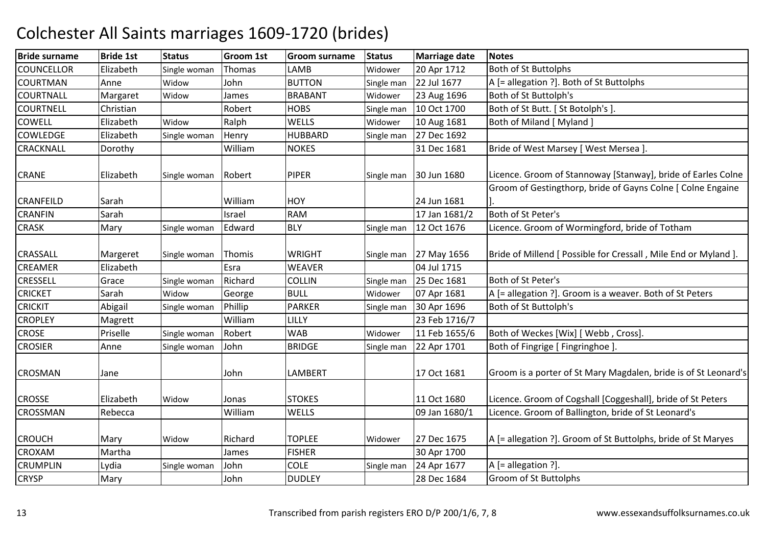| <b>Bride surname</b> | <b>Bride 1st</b> | <b>Status</b> | <b>Groom 1st</b> | <b>Groom surname</b> | <b>Status</b> | <b>Marriage date</b> | <b>Notes</b>                                                    |
|----------------------|------------------|---------------|------------------|----------------------|---------------|----------------------|-----------------------------------------------------------------|
| <b>COUNCELLOR</b>    | Elizabeth        | Single woman  | Thomas           | LAMB                 | Widower       | 20 Apr 1712          | <b>Both of St Buttolphs</b>                                     |
| <b>COURTMAN</b>      | Anne             | Widow         | John             | <b>BUTTON</b>        | Single man    | 22 Jul 1677          | A [= allegation ?]. Both of St Buttolphs                        |
| <b>COURTNALL</b>     | Margaret         | Widow         | James            | <b>BRABANT</b>       | Widower       | 23 Aug 1696          | Both of St Buttolph's                                           |
| <b>COURTNELL</b>     | Christian        |               | Robert           | <b>HOBS</b>          | Single man    | 10 Oct 1700          | Both of St Butt. [ St Botolph's ].                              |
| <b>COWELL</b>        | Elizabeth        | Widow         | Ralph            | <b>WELLS</b>         | Widower       | 10 Aug 1681          | Both of Miland [ Myland ]                                       |
| <b>COWLEDGE</b>      | Elizabeth        | Single woman  | Henry            | <b>HUBBARD</b>       | Single man    | 27 Dec 1692          |                                                                 |
| CRACKNALL            | Dorothy          |               | William          | <b>NOKES</b>         |               | 31 Dec 1681          | Bride of West Marsey [ West Mersea ].                           |
| <b>CRANE</b>         | Elizabeth        | Single woman  | Robert           | <b>PIPER</b>         | Single man    | 30 Jun 1680          | Licence. Groom of Stannoway [Stanway], bride of Earles Colne    |
|                      |                  |               |                  |                      |               |                      | Groom of Gestingthorp, bride of Gayns Colne [ Colne Engaine     |
| <b>CRANFEILD</b>     | Sarah            |               | William          | <b>HOY</b>           |               | 24 Jun 1681          |                                                                 |
| <b>CRANFIN</b>       | Sarah            |               | Israel           | <b>RAM</b>           |               | 17 Jan 1681/2        | Both of St Peter's                                              |
| <b>CRASK</b>         | Mary             | Single woman  | Edward           | <b>BLY</b>           | Single man    | 12 Oct 1676          | Licence. Groom of Wormingford, bride of Totham                  |
| CRASSALL             | Margeret         | Single woman  | Thomis           | <b>WRIGHT</b>        | Single man    | 27 May 1656          | Bride of Millend [ Possible for Cressall, Mile End or Myland ]. |
| CREAMER              | Elizabeth        |               | Esra             | <b>WEAVER</b>        |               | 04 Jul 1715          |                                                                 |
| CRESSELL             | Grace            | Single woman  | Richard          | <b>COLLIN</b>        | Single man    | 25 Dec 1681          | Both of St Peter's                                              |
| <b>CRICKET</b>       | Sarah            | Widow         | George           | <b>BULL</b>          | Widower       | 07 Apr 1681          | A [= allegation ?]. Groom is a weaver. Both of St Peters        |
| <b>CRICKIT</b>       | Abigail          | Single woman  | Phillip          | <b>PARKER</b>        | Single man    | 30 Apr 1696          | Both of St Buttolph's                                           |
| <b>CROPLEY</b>       | Magrett          |               | William          | LILLY                |               | 23 Feb 1716/7        |                                                                 |
| <b>CROSE</b>         | Priselle         | Single woman  | Robert           | <b>WAB</b>           | Widower       | 11 Feb 1655/6        | Both of Weckes [Wix] [ Webb, Cross].                            |
| <b>CROSIER</b>       | Anne             | Single woman  | John             | <b>BRIDGE</b>        | Single man    | 22 Apr 1701          | Both of Fingrige [ Fingringhoe ]                                |
| <b>CROSMAN</b>       | Jane             |               | John             | <b>LAMBERT</b>       |               | 17 Oct 1681          | Groom is a porter of St Mary Magdalen, bride is of St Leonard's |
| <b>CROSSE</b>        | Elizabeth        | Widow         | Jonas            | <b>STOKES</b>        |               | 11 Oct 1680          | Licence. Groom of Cogshall [Coggeshall], bride of St Peters     |
| <b>CROSSMAN</b>      | Rebecca          |               | William          | WELLS                |               | 09 Jan 1680/1        | Licence. Groom of Ballington, bride of St Leonard's             |
| <b>CROUCH</b>        | Mary             | Widow         | Richard          | <b>TOPLEE</b>        | Widower       | 27 Dec 1675          | A [= allegation ?]. Groom of St Buttolphs, bride of St Maryes   |
| <b>CROXAM</b>        | Martha           |               | James            | <b>FISHER</b>        |               | 30 Apr 1700          |                                                                 |
| <b>CRUMPLIN</b>      | Lydia            | Single woman  | John             | <b>COLE</b>          | Single man    | 24 Apr 1677          | A [= allegation ?].                                             |
| <b>CRYSP</b>         | Mary             |               | John             | <b>DUDLEY</b>        |               | 28 Dec 1684          | <b>Groom of St Buttolphs</b>                                    |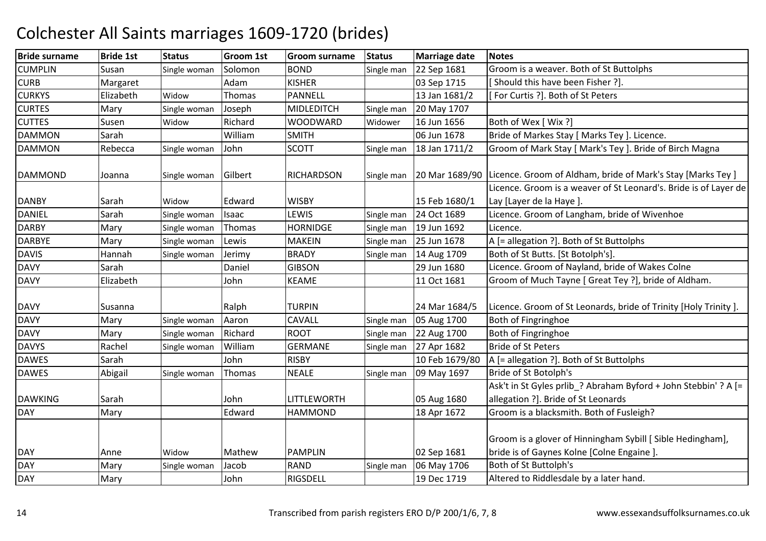| <b>Bride surname</b> | <b>Bride 1st</b> | <b>Status</b> | Groom 1st | Groom surname     | <b>Status</b> | <b>Marriage date</b> | <b>Notes</b>                                                                                             |
|----------------------|------------------|---------------|-----------|-------------------|---------------|----------------------|----------------------------------------------------------------------------------------------------------|
| <b>CUMPLIN</b>       | Susan            | Single woman  | Solomon   | <b>BOND</b>       | Single man    | 22 Sep 1681          | Groom is a weaver. Both of St Buttolphs                                                                  |
| <b>CURB</b>          | Margaret         |               | Adam      | <b>KISHER</b>     |               | 03 Sep 1715          | [Should this have been Fisher ?].                                                                        |
| <b>CURKYS</b>        | Elizabeth        | Widow         | Thomas    | PANNELL           |               | 13 Jan 1681/2        | [For Curtis ?]. Both of St Peters                                                                        |
| <b>CURTES</b>        | Mary             | Single woman  | Joseph    | <b>MIDLEDITCH</b> | Single man    | 20 May 1707          |                                                                                                          |
| <b>CUTTES</b>        | Susen            | Widow         | Richard   | WOODWARD          | Widower       | 16 Jun 1656          | Both of Wex [ Wix ?]                                                                                     |
| <b>DAMMON</b>        | Sarah            |               | William   | <b>SMITH</b>      |               | 06 Jun 1678          | Bride of Markes Stay [ Marks Tey ]. Licence.                                                             |
| <b>DAMMON</b>        | Rebecca          | Single woman  | John      | <b>SCOTT</b>      | Single man    | 18 Jan 1711/2        | Groom of Mark Stay [ Mark's Tey ]. Bride of Birch Magna                                                  |
| <b>DAMMOND</b>       | Joanna           | Single woman  | Gilbert   | <b>RICHARDSON</b> | Single man    | 20 Mar 1689/90       | Licence. Groom of Aldham, bride of Mark's Stay [Marks Tey]                                               |
|                      |                  |               |           |                   |               |                      | Licence. Groom is a weaver of St Leonard's. Bride is of Layer de                                         |
| <b>DANBY</b>         | Sarah            | Widow         | Edward    | <b>WISBY</b>      |               | 15 Feb 1680/1        | Lay [Layer de la Haye].                                                                                  |
| <b>DANIEL</b>        | Sarah            | Single woman  | Isaac     | LEWIS             | Single man    | 24 Oct 1689          | Licence. Groom of Langham, bride of Wivenhoe                                                             |
| <b>DARBY</b>         | Mary             | Single woman  | Thomas    | <b>HORNIDGE</b>   | Single man    | 19 Jun 1692          | Licence.                                                                                                 |
| <b>DARBYE</b>        | Mary             | Single woman  | Lewis     | <b>MAKEIN</b>     | Single man    | 25 Jun 1678          | A [= allegation ?]. Both of St Buttolphs                                                                 |
| <b>DAVIS</b>         | Hannah           | Single woman  | Jerimy    | <b>BRADY</b>      | Single man    | 14 Aug 1709          | Both of St Butts. [St Botolph's].                                                                        |
| <b>DAVY</b>          | Sarah            |               | Daniel    | <b>GIBSON</b>     |               | 29 Jun 1680          | Licence. Groom of Nayland, bride of Wakes Colne                                                          |
| <b>DAVY</b>          | Elizabeth        |               | John      | <b>KEAME</b>      |               | 11 Oct 1681          | Groom of Much Tayne [ Great Tey ?], bride of Aldham.                                                     |
| <b>DAVY</b>          | Susanna          |               | Ralph     | <b>TURPIN</b>     |               | 24 Mar 1684/5        | Licence. Groom of St Leonards, bride of Trinity [Holy Trinity ].                                         |
| <b>DAVY</b>          | Mary             | Single woman  | Aaron     | CAVALL            | Single man    | 05 Aug 1700          | Both of Fingringhoe                                                                                      |
| <b>DAVY</b>          | Mary             | Single woman  | Richard   | <b>ROOT</b>       | Single man    | 22 Aug 1700          | Both of Fingringhoe                                                                                      |
| <b>DAVYS</b>         | Rachel           | Single woman  | William   | <b>GERMANE</b>    | Single man    | 27 Apr 1682          | <b>Bride of St Peters</b>                                                                                |
| <b>DAWES</b>         | Sarah            |               | John      | <b>RISBY</b>      |               | 10 Feb 1679/80       | A [= allegation ?]. Both of St Buttolphs                                                                 |
| <b>DAWES</b>         | Abigail          | Single woman  | Thomas    | <b>NEALE</b>      | Single man    | 09 May 1697          | Bride of St Botolph's                                                                                    |
| <b>DAWKING</b>       | Sarah            |               | John      | LITTLEWORTH       |               | 05 Aug 1680          | Ask't in St Gyles prlib_? Abraham Byford + John Stebbin' ? A [=<br>allegation ?]. Bride of St Leonards   |
| <b>DAY</b>           | Mary             |               | Edward    | <b>HAMMOND</b>    |               | 18 Apr 1672          | Groom is a blacksmith. Both of Fusleigh?                                                                 |
| <b>DAY</b>           | Anne             | Widow         | Mathew    | <b>PAMPLIN</b>    |               | 02 Sep 1681          | Groom is a glover of Hinningham Sybill [ Sible Hedingham],<br>bride is of Gaynes Kolne [Colne Engaine ]. |
| <b>DAY</b>           | Mary             | Single woman  | Jacob     | <b>RAND</b>       | Single man    | 06 May 1706          | Both of St Buttolph's                                                                                    |
| <b>DAY</b>           | Mary             |               | John      | RIGSDELL          |               | 19 Dec 1719          | Altered to Riddlesdale by a later hand.                                                                  |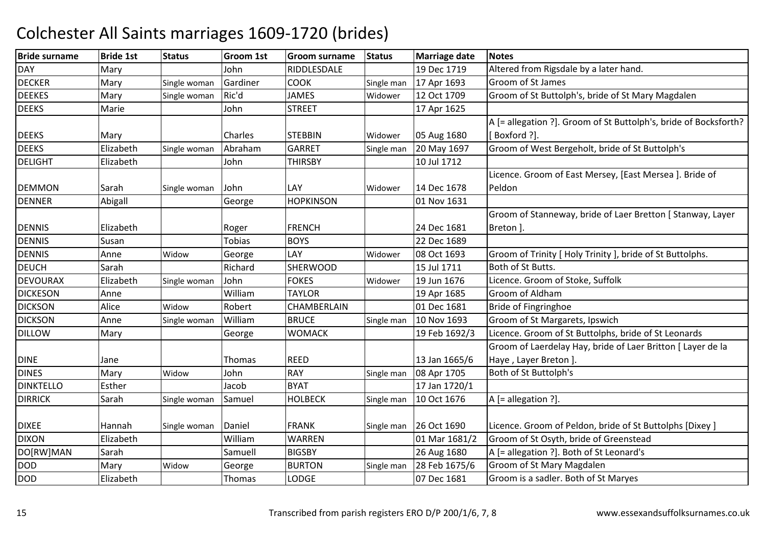| <b>Bride surname</b> | <b>Bride 1st</b> | <b>Status</b> | <b>Groom 1st</b> | <b>Groom surname</b> | <b>Status</b> | <b>Marriage date</b> | <b>Notes</b>                                                     |
|----------------------|------------------|---------------|------------------|----------------------|---------------|----------------------|------------------------------------------------------------------|
| <b>DAY</b>           | Mary             |               | John             | RIDDLESDALE          |               | 19 Dec 1719          | Altered from Rigsdale by a later hand.                           |
| <b>DECKER</b>        | Mary             | Single woman  | Gardiner         | <b>COOK</b>          | Single man    | 17 Apr 1693          | Groom of St James                                                |
| <b>DEEKES</b>        | Mary             | Single woman  | Ric'd            | <b>JAMES</b>         | Widower       | 12 Oct 1709          | Groom of St Buttolph's, bride of St Mary Magdalen                |
| <b>DEEKS</b>         | Marie            |               | John             | <b>STREET</b>        |               | 17 Apr 1625          |                                                                  |
|                      |                  |               |                  |                      |               |                      | A [= allegation ?]. Groom of St Buttolph's, bride of Bocksforth? |
| <b>DEEKS</b>         | Mary             |               | Charles          | <b>STEBBIN</b>       | Widower       | 05 Aug 1680          | [Boxford ?].                                                     |
| <b>DEEKS</b>         | Elizabeth        | Single woman  | Abraham          | <b>GARRET</b>        | Single man    | 20 May 1697          | Groom of West Bergeholt, bride of St Buttolph's                  |
| <b>DELIGHT</b>       | Elizabeth        |               | John             | <b>THIRSBY</b>       |               | 10 Jul 1712          |                                                                  |
|                      |                  |               |                  |                      |               |                      | Licence. Groom of East Mersey, [East Mersea ]. Bride of          |
| <b>DEMMON</b>        | Sarah            | Single woman  | John             | LAY                  | Widower       | 14 Dec 1678          | Peldon                                                           |
| <b>DENNER</b>        | Abigall          |               | George           | <b>HOPKINSON</b>     |               | 01 Nov 1631          |                                                                  |
|                      |                  |               |                  |                      |               |                      | Groom of Stanneway, bride of Laer Bretton [ Stanway, Layer       |
| <b>DENNIS</b>        | Elizabeth        |               | Roger            | <b>FRENCH</b>        |               | 24 Dec 1681          | Breton ].                                                        |
| <b>DENNIS</b>        | Susan            |               | <b>Tobias</b>    | <b>BOYS</b>          |               | 22 Dec 1689          |                                                                  |
| <b>DENNIS</b>        | Anne             | Widow         | George           | LAY                  | Widower       | 08 Oct 1693          | Groom of Trinity [ Holy Trinity ], bride of St Buttolphs.        |
| <b>DEUCH</b>         | Sarah            |               | Richard          | <b>SHERWOOD</b>      |               | 15 Jul 1711          | Both of St Butts.                                                |
| <b>DEVOURAX</b>      | Elizabeth        | Single woman  | John             | <b>FOKES</b>         | Widower       | 19 Jun 1676          | Licence. Groom of Stoke, Suffolk                                 |
| <b>DICKESON</b>      | Anne             |               | William          | <b>TAYLOR</b>        |               | 19 Apr 1685          | Groom of Aldham                                                  |
| <b>DICKSON</b>       | Alice            | Widow         | Robert           | CHAMBERLAIN          |               | 01 Dec 1681          | Bride of Fingringhoe                                             |
| <b>DICKSON</b>       | Anne             | Single woman  | William          | <b>BRUCE</b>         | Single man    | 10 Nov 1693          | Groom of St Margarets, Ipswich                                   |
| <b>DILLOW</b>        | Mary             |               | George           | <b>WOMACK</b>        |               | 19 Feb 1692/3        | Licence. Groom of St Buttolphs, bride of St Leonards             |
|                      |                  |               |                  |                      |               |                      | Groom of Laerdelay Hay, bride of Laer Britton [ Layer de la      |
| <b>DINE</b>          | Jane             |               | <b>Thomas</b>    | <b>REED</b>          |               | 13 Jan 1665/6        | Haye, Layer Breton ].                                            |
| <b>DINES</b>         | Mary             | Widow         | John             | <b>RAY</b>           | Single man    | 08 Apr 1705          | Both of St Buttolph's                                            |
| <b>DINKTELLO</b>     | Esther           |               | Jacob            | <b>BYAT</b>          |               | 17 Jan 1720/1        |                                                                  |
| <b>DIRRICK</b>       | Sarah            | Single woman  | Samuel           | <b>HOLBECK</b>       | Single man    | 10 Oct 1676          | A [= allegation ?].                                              |
|                      |                  |               |                  |                      |               |                      |                                                                  |
| <b>DIXEE</b>         | Hannah           | Single woman  | Daniel           | <b>FRANK</b>         | Single man    | 26 Oct 1690          | Licence. Groom of Peldon, bride of St Buttolphs [Dixey]          |
| <b>DIXON</b>         | Elizabeth        |               | William          | <b>WARREN</b>        |               | 01 Mar 1681/2        | Groom of St Osyth, bride of Greenstead                           |
| DO[RW]MAN            | Sarah            |               | Samuell          | <b>BIGSBY</b>        |               | 26 Aug 1680          | A [= allegation ?]. Both of St Leonard's                         |
| <b>DOD</b>           | Mary             | Widow         | George           | <b>BURTON</b>        | Single man    | 28 Feb 1675/6        | Groom of St Mary Magdalen                                        |
| <b>DOD</b>           | Elizabeth        |               | Thomas           | <b>LODGE</b>         |               | 07 Dec 1681          | Groom is a sadler. Both of St Maryes                             |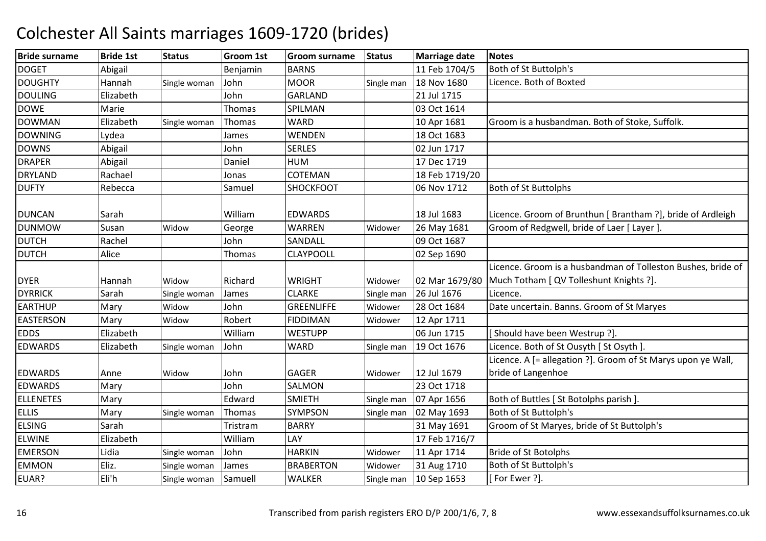| <b>Bride surname</b> | <b>Bride 1st</b> | <b>Status</b> | <b>Groom 1st</b> | Groom surname     | <b>Status</b> | <b>Marriage date</b> | <b>Notes</b>                                                 |
|----------------------|------------------|---------------|------------------|-------------------|---------------|----------------------|--------------------------------------------------------------|
| <b>DOGET</b>         | Abigail          |               | Benjamin         | <b>BARNS</b>      |               | 11 Feb 1704/5        | Both of St Buttolph's                                        |
| <b>DOUGHTY</b>       | Hannah           | Single woman  | John             | <b>MOOR</b>       | Single man    | 18 Nov 1680          | Licence. Both of Boxted                                      |
| <b>DOULING</b>       | Elizabeth        |               | John             | <b>GARLAND</b>    |               | 21 Jul 1715          |                                                              |
| <b>DOWE</b>          | Marie            |               | Thomas           | SPILMAN           |               | 03 Oct 1614          |                                                              |
| <b>DOWMAN</b>        | Elizabeth        | Single woman  | Thomas           | <b>WARD</b>       |               | 10 Apr 1681          | Groom is a husbandman. Both of Stoke, Suffolk.               |
| <b>DOWNING</b>       | Lydea            |               | James            | WENDEN            |               | 18 Oct 1683          |                                                              |
| <b>DOWNS</b>         | Abigail          |               | John             | <b>SERLES</b>     |               | 02 Jun 1717          |                                                              |
| <b>DRAPER</b>        | Abigail          |               | Daniel           | <b>HUM</b>        |               | 17 Dec 1719          |                                                              |
| <b>DRYLAND</b>       | Rachael          |               | Jonas            | COTEMAN           |               | 18 Feb 1719/20       |                                                              |
| <b>DUFTY</b>         | Rebecca          |               | Samuel           | SHOCKFOOT         |               | 06 Nov 1712          | <b>Both of St Buttolphs</b>                                  |
|                      |                  |               |                  |                   |               |                      |                                                              |
| <b>DUNCAN</b>        | Sarah            |               | William          | <b>EDWARDS</b>    |               | 18 Jul 1683          | Licence. Groom of Brunthun [ Brantham ?], bride of Ardleigh  |
| <b>DUNMOW</b>        | Susan            | Widow         | George           | <b>WARREN</b>     | Widower       | 26 May 1681          | Groom of Redgwell, bride of Laer [ Layer ].                  |
| <b>DUTCH</b>         | Rachel           |               | John             | SANDALL           |               | 09 Oct 1687          |                                                              |
| <b>DUTCH</b>         | Alice            |               | Thomas           | <b>CLAYPOOLL</b>  |               | 02 Sep 1690          |                                                              |
|                      |                  |               |                  |                   |               |                      | Licence. Groom is a husbandman of Tolleston Bushes, bride of |
| <b>DYER</b>          | Hannah           | Widow         | Richard          | <b>WRIGHT</b>     | Widower       | 02 Mar 1679/80       | Much Totham [ QV Tolleshunt Knights ?].                      |
| <b>DYRRICK</b>       | Sarah            | Single woman  | James            | <b>CLARKE</b>     | Single man    | 26 Jul 1676          | Licence.                                                     |
| <b>EARTHUP</b>       | Mary             | Widow         | John             | <b>GREENLIFFE</b> | Widower       | 28 Oct 1684          | Date uncertain. Banns. Groom of St Maryes                    |
| <b>EASTERSON</b>     | Mary             | Widow         | Robert           | <b>FIDDIMAN</b>   | Widower       | 12 Apr 1711          |                                                              |
| <b>EDDS</b>          | Elizabeth        |               | William          | <b>WESTUPP</b>    |               | 06 Jun 1715          | [Should have been Westrup ?].                                |
| <b>EDWARDS</b>       | Elizabeth        | Single woman  | John             | <b>WARD</b>       | Single man    | 19 Oct 1676          | Licence. Both of St Ousyth [ St Osyth ].                     |
|                      |                  |               |                  |                   |               |                      | Licence. A [= allegation ?]. Groom of St Marys upon ye Wall, |
| <b>EDWARDS</b>       | Anne             | Widow         | John             | <b>GAGER</b>      | Widower       | 12 Jul 1679          | bride of Langenhoe                                           |
| <b>EDWARDS</b>       | Mary             |               | John             | SALMON            |               | 23 Oct 1718          |                                                              |
| <b>ELLENETES</b>     | Mary             |               | Edward           | <b>SMIETH</b>     | Single man    | 07 Apr 1656          | Both of Buttles [ St Botolphs parish ].                      |
| <b>ELLIS</b>         | Mary             | Single woman  | Thomas           | SYMPSON           | Single man    | 02 May 1693          | Both of St Buttolph's                                        |
| <b>ELSING</b>        | Sarah            |               | Tristram         | <b>BARRY</b>      |               | 31 May 1691          | Groom of St Maryes, bride of St Buttolph's                   |
| <b>ELWINE</b>        | Elizabeth        |               | William          | LAY               |               | 17 Feb 1716/7        |                                                              |
| <b>EMERSON</b>       | Lidia            | Single woman  | John             | <b>HARKIN</b>     | Widower       | 11 Apr 1714          | <b>Bride of St Botolphs</b>                                  |
| <b>EMMON</b>         | Eliz.            | Single woman  | James            | <b>BRABERTON</b>  | Widower       | 31 Aug 1710          | Both of St Buttolph's                                        |
| EUAR?                | Eli'h            | Single woman  | Samuell          | <b>WALKER</b>     | Single man    | 10 Sep 1653          | [For Ewer ?].                                                |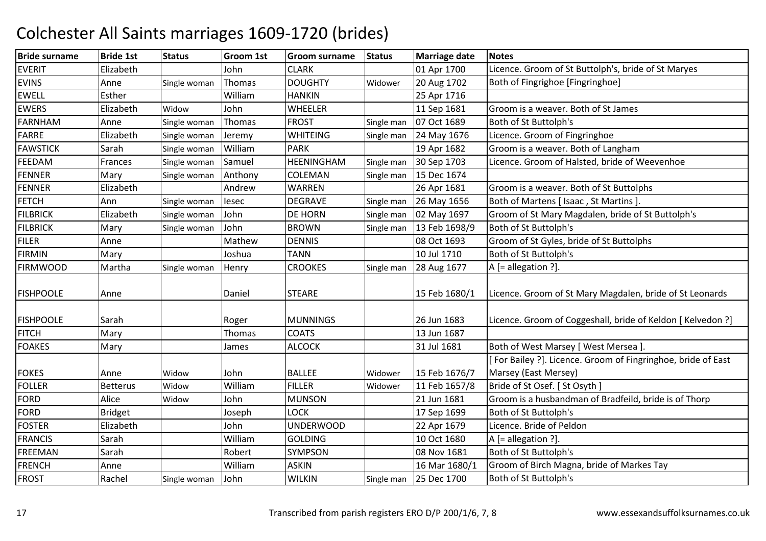| <b>Bride surname</b> | <b>Bride 1st</b> | <b>Status</b> | Groom 1st | <b>Groom surname</b> | <b>Status</b> | <b>Marriage date</b> | <b>Notes</b>                                                 |
|----------------------|------------------|---------------|-----------|----------------------|---------------|----------------------|--------------------------------------------------------------|
| <b>EVERIT</b>        | Elizabeth        |               | John      | <b>CLARK</b>         |               | 01 Apr 1700          | Licence. Groom of St Buttolph's, bride of St Maryes          |
| <b>EVINS</b>         | Anne             | Single woman  | Thomas    | <b>DOUGHTY</b>       | Widower       | 20 Aug 1702          | Both of Fingrighoe [Fingringhoe]                             |
| <b>EWELL</b>         | Esther           |               | William   | <b>HANKIN</b>        |               | 25 Apr 1716          |                                                              |
| <b>EWERS</b>         | Elizabeth        | Widow         | John      | <b>WHEELER</b>       |               | 11 Sep 1681          | Groom is a weaver. Both of St James                          |
| FARNHAM              | Anne             | Single woman  | Thomas    | <b>FROST</b>         | Single man    | 07 Oct 1689          | Both of St Buttolph's                                        |
| <b>FARRE</b>         | Elizabeth        | Single woman  | Jeremy    | <b>WHITEING</b>      | Single man    | 24 May 1676          | Licence. Groom of Fingringhoe                                |
| <b>FAWSTICK</b>      | Sarah            | Single woman  | William   | <b>PARK</b>          |               | 19 Apr 1682          | Groom is a weaver. Both of Langham                           |
| FEEDAM               | Frances          | Single woman  | Samuel    | HEENINGHAM           | Single man    | 30 Sep 1703          | Licence. Groom of Halsted, bride of Weevenhoe                |
| <b>FENNER</b>        | Mary             | Single woman  | Anthony   | COLEMAN              | Single man    | 15 Dec 1674          |                                                              |
| <b>FENNER</b>        | Elizabeth        |               | Andrew    | WARREN               |               | 26 Apr 1681          | Groom is a weaver. Both of St Buttolphs                      |
| <b>FETCH</b>         | Ann              | Single woman  | lesec     | <b>DEGRAVE</b>       | Single man    | 26 May 1656          | Both of Martens [ Isaac, St Martins ]                        |
| <b>FILBRICK</b>      | Elizabeth        | Single woman  | John      | DE HORN              | Single man    | 02 May 1697          | Groom of St Mary Magdalen, bride of St Buttolph's            |
| <b>FILBRICK</b>      | Mary             | Single woman  | John      | <b>BROWN</b>         | Single man    | 13 Feb 1698/9        | Both of St Buttolph's                                        |
| <b>FILER</b>         | Anne             |               | Mathew    | <b>DENNIS</b>        |               | 08 Oct 1693          | Groom of St Gyles, bride of St Buttolphs                     |
| <b>FIRMIN</b>        | Mary             |               | Joshua    | <b>TANN</b>          |               | 10 Jul 1710          | Both of St Buttolph's                                        |
| <b>FIRMWOOD</b>      | Martha           | Single woman  | Henry     | <b>CROOKES</b>       | Single man    | 28 Aug 1677          | A [= allegation ?].                                          |
|                      |                  |               |           |                      |               |                      |                                                              |
| <b>FISHPOOLE</b>     | Anne             |               | Daniel    | <b>STEARE</b>        |               | 15 Feb 1680/1        | Licence. Groom of St Mary Magdalen, bride of St Leonards     |
|                      |                  |               |           |                      |               |                      |                                                              |
| <b>FISHPOOLE</b>     | Sarah            |               | Roger     | <b>MUNNINGS</b>      |               | 26 Jun 1683          | Licence. Groom of Coggeshall, bride of Keldon [ Kelvedon ?]  |
| <b>FITCH</b>         | Mary             |               | Thomas    | <b>COATS</b>         |               | 13 Jun 1687          |                                                              |
| <b>FOAKES</b>        | Mary             |               | James     | <b>ALCOCK</b>        |               | 31 Jul 1681          | Both of West Marsey [ West Mersea ].                         |
|                      |                  |               |           |                      |               |                      | [For Bailey ?]. Licence. Groom of Fingringhoe, bride of East |
| <b>FOKES</b>         | Anne             | Widow         | John      | <b>BALLEE</b>        | Widower       | 15 Feb 1676/7        | Marsey (East Mersey)                                         |
| <b>FOLLER</b>        | <b>Betterus</b>  | Widow         | William   | <b>FILLER</b>        | Widower       | 11 Feb 1657/8        | Bride of St Osef. [ St Osyth ]                               |
| <b>FORD</b>          | Alice            | Widow         | John      | <b>MUNSON</b>        |               | 21 Jun 1681          | Groom is a husbandman of Bradfeild, bride is of Thorp        |
| <b>FORD</b>          | <b>Bridget</b>   |               | Joseph    | <b>LOCK</b>          |               | 17 Sep 1699          | Both of St Buttolph's                                        |
| <b>FOSTER</b>        | Elizabeth        |               | John      | <b>UNDERWOOD</b>     |               | 22 Apr 1679          | Licence. Bride of Peldon                                     |
| <b>FRANCIS</b>       | Sarah            |               | William   | <b>GOLDING</b>       |               | 10 Oct 1680          | A [= allegation ?].                                          |
| FREEMAN              | Sarah            |               | Robert    | SYMPSON              |               | 08 Nov 1681          | Both of St Buttolph's                                        |
| FRENCH               | Anne             |               | William   | <b>ASKIN</b>         |               | 16 Mar 1680/1        | Groom of Birch Magna, bride of Markes Tay                    |
| <b>FROST</b>         | Rachel           | Single woman  | John      | <b>WILKIN</b>        | Single man    | 25 Dec 1700          | Both of St Buttolph's                                        |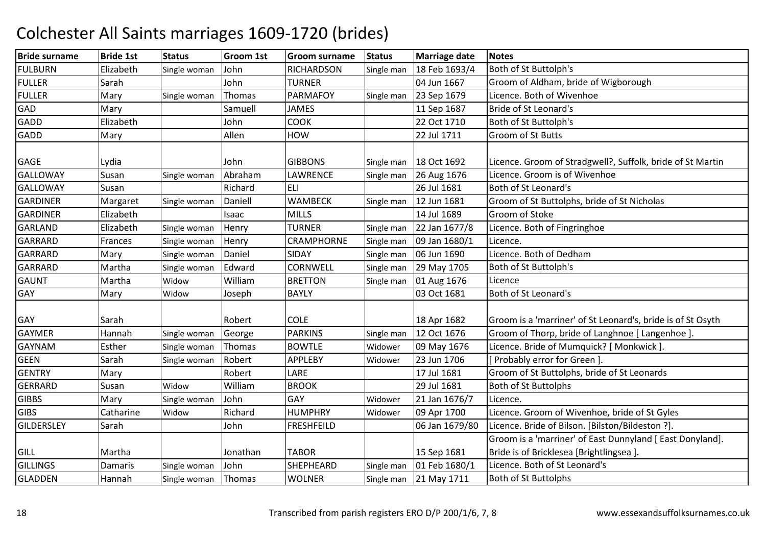| <b>Bride surname</b> | <b>Bride 1st</b> | <b>Status</b> | Groom 1st | Groom surname     | <b>Status</b> | <b>Marriage date</b> | <b>Notes</b>                                                |
|----------------------|------------------|---------------|-----------|-------------------|---------------|----------------------|-------------------------------------------------------------|
| <b>FULBURN</b>       | Elizabeth        | Single woman  | John      | <b>RICHARDSON</b> | Single man    | 18 Feb 1693/4        | Both of St Buttolph's                                       |
| <b>FULLER</b>        | Sarah            |               | John      | <b>TURNER</b>     |               | 04 Jun 1667          | Groom of Aldham, bride of Wigborough                        |
| <b>FULLER</b>        | Mary             | Single woman  | Thomas    | <b>PARMAFOY</b>   | Single man    | 23 Sep 1679          | Licence. Both of Wivenhoe                                   |
| GAD                  | Mary             |               | Samuell   | <b>JAMES</b>      |               | 11 Sep 1687          | Bride of St Leonard's                                       |
| <b>GADD</b>          | Elizabeth        |               | John      | <b>COOK</b>       |               | 22 Oct 1710          | Both of St Buttolph's                                       |
| <b>GADD</b>          | Mary             |               | Allen     | <b>HOW</b>        |               | 22 Jul 1711          | Groom of St Butts                                           |
|                      |                  |               |           |                   |               |                      |                                                             |
| <b>GAGE</b>          | Lydia            |               | John      | <b>GIBBONS</b>    | Single man    | 18 Oct 1692          | Licence. Groom of Stradgwell?, Suffolk, bride of St Martin  |
| <b>GALLOWAY</b>      | Susan            | Single woman  | Abraham   | LAWRENCE          | Single man    | 26 Aug 1676          | Licence. Groom is of Wivenhoe                               |
| <b>GALLOWAY</b>      | Susan            |               | Richard   | ELI               |               | 26 Jul 1681          | Both of St Leonard's                                        |
| <b>GARDINER</b>      | Margaret         | Single woman  | Daniell   | <b>WAMBECK</b>    | Single man    | 12 Jun 1681          | Groom of St Buttolphs, bride of St Nicholas                 |
| <b>GARDINER</b>      | Elizabeth        |               | Isaac     | <b>MILLS</b>      |               | 14 Jul 1689          | Groom of Stoke                                              |
| <b>GARLAND</b>       | Elizabeth        | Single woman  | Henry     | <b>TURNER</b>     | Single man    | 22 Jan 1677/8        | Licence. Both of Fingringhoe                                |
| <b>GARRARD</b>       | Frances          | Single woman  | Henry     | <b>CRAMPHORNE</b> | Single man    | 09 Jan 1680/1        | Licence.                                                    |
| <b>GARRARD</b>       | Mary             | Single woman  | Daniel    | SIDAY             | Single man    | 06 Jun 1690          | Licence. Both of Dedham                                     |
| <b>GARRARD</b>       | Martha           | Single woman  | Edward    | <b>CORNWELL</b>   | Single man    | 29 May 1705          | Both of St Buttolph's                                       |
| <b>GAUNT</b>         | Martha           | Widow         | William   | <b>BRETTON</b>    | Single man    | 01 Aug 1676          | Licence                                                     |
| GAY                  | Mary             | Widow         | Joseph    | <b>BAYLY</b>      |               | 03 Oct 1681          | Both of St Leonard's                                        |
|                      |                  |               |           |                   |               |                      |                                                             |
| <b>GAY</b>           | Sarah            |               | Robert    | <b>COLE</b>       |               | 18 Apr 1682          | Groom is a 'marriner' of St Leonard's, bride is of St Osyth |
| <b>GAYMER</b>        | Hannah           | Single woman  | George    | <b>PARKINS</b>    | Single man    | 12 Oct 1676          | Groom of Thorp, bride of Langhnoe [ Langenhoe ].            |
| <b>GAYNAM</b>        | Esther           | Single woman  | Thomas    | <b>BOWTLE</b>     | Widower       | 09 May 1676          | Licence. Bride of Mumquick? [ Monkwick ].                   |
| <b>GEEN</b>          | Sarah            | Single woman  | Robert    | APPLEBY           | Widower       | 23 Jun 1706          | Probably error for Green].                                  |
| <b>GENTRY</b>        | Mary             |               | Robert    | LARE              |               | 17 Jul 1681          | Groom of St Buttolphs, bride of St Leonards                 |
| <b>GERRARD</b>       | Susan            | Widow         | William   | <b>BROOK</b>      |               | 29 Jul 1681          | <b>Both of St Buttolphs</b>                                 |
| <b>GIBBS</b>         | Mary             | Single woman  | John      | GAY               | Widower       | 21 Jan 1676/7        | Licence.                                                    |
| <b>GIBS</b>          | Catharine        | Widow         | Richard   | <b>HUMPHRY</b>    | Widower       | 09 Apr 1700          | Licence. Groom of Wivenhoe, bride of St Gyles               |
| <b>GILDERSLEY</b>    | Sarah            |               | John      | <b>FRESHFEILD</b> |               | 06 Jan 1679/80       | Licence. Bride of Bilson. [Bilston/Bildeston ?].            |
|                      |                  |               |           |                   |               |                      | Groom is a 'marriner' of East Dunnyland [ East Donyland].   |
| <b>GILL</b>          | Martha           |               | Jonathan  | <b>TABOR</b>      |               | 15 Sep 1681          | Bride is of Bricklesea [Brightlingsea].                     |
| <b>GILLINGS</b>      | Damaris          | Single woman  | John      | SHEPHEARD         | Single man    | 01 Feb 1680/1        | Licence. Both of St Leonard's                               |
| <b>GLADDEN</b>       | Hannah           | Single woman  | Thomas    | <b>WOLNER</b>     | Single man    | 21 May 1711          | <b>Both of St Buttolphs</b>                                 |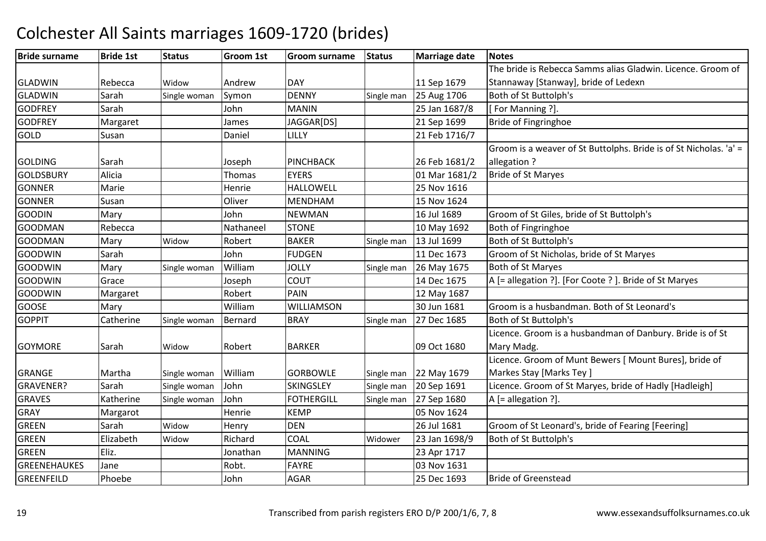| <b>Bride surname</b> | <b>Bride 1st</b> | <b>Status</b> | <b>Groom 1st</b> | <b>Groom surname</b> | <b>Status</b> | <b>Marriage date</b> | <b>Notes</b>                                                      |
|----------------------|------------------|---------------|------------------|----------------------|---------------|----------------------|-------------------------------------------------------------------|
|                      |                  |               |                  |                      |               |                      | The bride is Rebecca Samms alias Gladwin. Licence. Groom of       |
| <b>GLADWIN</b>       | Rebecca          | Widow         | Andrew           | <b>DAY</b>           |               | 11 Sep 1679          | Stannaway [Stanway], bride of Ledexn                              |
| <b>GLADWIN</b>       | Sarah            | Single woman  | Symon            | <b>DENNY</b>         | Single man    | 25 Aug 1706          | Both of St Buttolph's                                             |
| <b>GODFREY</b>       | Sarah            |               | John             | <b>MANIN</b>         |               | 25 Jan 1687/8        | [For Manning ?].                                                  |
| <b>GODFREY</b>       | Margaret         |               | James            | JAGGAR[DS]           |               | 21 Sep 1699          | <b>Bride of Fingringhoe</b>                                       |
| <b>GOLD</b>          | Susan            |               | Daniel           | LILLY                |               | 21 Feb 1716/7        |                                                                   |
|                      |                  |               |                  |                      |               |                      | Groom is a weaver of St Buttolphs. Bride is of St Nicholas. 'a' = |
| <b>GOLDING</b>       | Sarah            |               | Joseph           | <b>PINCHBACK</b>     |               | 26 Feb 1681/2        | allegation?                                                       |
| <b>GOLDSBURY</b>     | Alicia           |               | Thomas           | <b>EYERS</b>         |               | 01 Mar 1681/2        | <b>Bride of St Maryes</b>                                         |
| <b>GONNER</b>        | Marie            |               | Henrie           | <b>HALLOWELL</b>     |               | 25 Nov 1616          |                                                                   |
| <b>GONNER</b>        | Susan            |               | Oliver           | <b>MENDHAM</b>       |               | 15 Nov 1624          |                                                                   |
| <b>GOODIN</b>        | Mary             |               | John             | <b>NEWMAN</b>        |               | 16 Jul 1689          | Groom of St Giles, bride of St Buttolph's                         |
| <b>GOODMAN</b>       | Rebecca          |               | Nathaneel        | <b>STONE</b>         |               | 10 May 1692          | Both of Fingringhoe                                               |
| <b>GOODMAN</b>       | Mary             | Widow         | Robert           | <b>BAKER</b>         | Single man    | 13 Jul 1699          | Both of St Buttolph's                                             |
| <b>GOODWIN</b>       | Sarah            |               | John             | <b>FUDGEN</b>        |               | 11 Dec 1673          | Groom of St Nicholas, bride of St Maryes                          |
| <b>GOODWIN</b>       | Mary             | Single woman  | William          | <b>JOLLY</b>         | Single man    | 26 May 1675          | Both of St Maryes                                                 |
| <b>GOODWIN</b>       | Grace            |               | Joseph           | <b>COUT</b>          |               | 14 Dec 1675          | A [= allegation ?]. [For Coote ?]. Bride of St Maryes             |
| <b>GOODWIN</b>       | Margaret         |               | Robert           | <b>PAIN</b>          |               | 12 May 1687          |                                                                   |
| <b>GOOSE</b>         | Mary             |               | William          | WILLIAMSON           |               | 30 Jun 1681          | Groom is a husbandman. Both of St Leonard's                       |
| <b>GOPPIT</b>        | Catherine        | Single woman  | Bernard          | <b>BRAY</b>          | Single man    | 27 Dec 1685          | Both of St Buttolph's                                             |
|                      |                  |               |                  |                      |               |                      | Licence. Groom is a husbandman of Danbury. Bride is of St         |
| <b>GOYMORE</b>       | Sarah            | Widow         | Robert           | <b>BARKER</b>        |               | 09 Oct 1680          | Mary Madg.                                                        |
|                      |                  |               |                  |                      |               |                      | Licence. Groom of Munt Bewers [ Mount Bures], bride of            |
| <b>GRANGE</b>        | Martha           | Single woman  | William          | <b>GORBOWLE</b>      | Single man    | 22 May 1679          | Markes Stay [Marks Tey]                                           |
| <b>GRAVENER?</b>     | Sarah            | Single woman  | John             | SKINGSLEY            | Single man    | 20 Sep 1691          | Licence. Groom of St Maryes, bride of Hadly [Hadleigh]            |
| <b>GRAVES</b>        | Katherine        | Single woman  | John             | <b>FOTHERGILL</b>    | Single man    | 27 Sep 1680          | A [= allegation ?].                                               |
| <b>GRAY</b>          | Margarot         |               | Henrie           | <b>KEMP</b>          |               | 05 Nov 1624          |                                                                   |
| <b>GREEN</b>         | Sarah            | Widow         | Henry            | <b>DEN</b>           |               | 26 Jul 1681          | Groom of St Leonard's, bride of Fearing [Feering]                 |
| <b>GREEN</b>         | Elizabeth        | Widow         | Richard          | <b>COAL</b>          | Widower       | 23 Jan 1698/9        | Both of St Buttolph's                                             |
| <b>GREEN</b>         | Eliz.            |               | Jonathan         | <b>MANNING</b>       |               | 23 Apr 1717          |                                                                   |
| <b>GREENEHAUKES</b>  | Jane             |               | Robt.            | <b>FAYRE</b>         |               | 03 Nov 1631          |                                                                   |
| <b>GREENFEILD</b>    | Phoebe           |               | John             | <b>AGAR</b>          |               | 25 Dec 1693          | <b>Bride of Greenstead</b>                                        |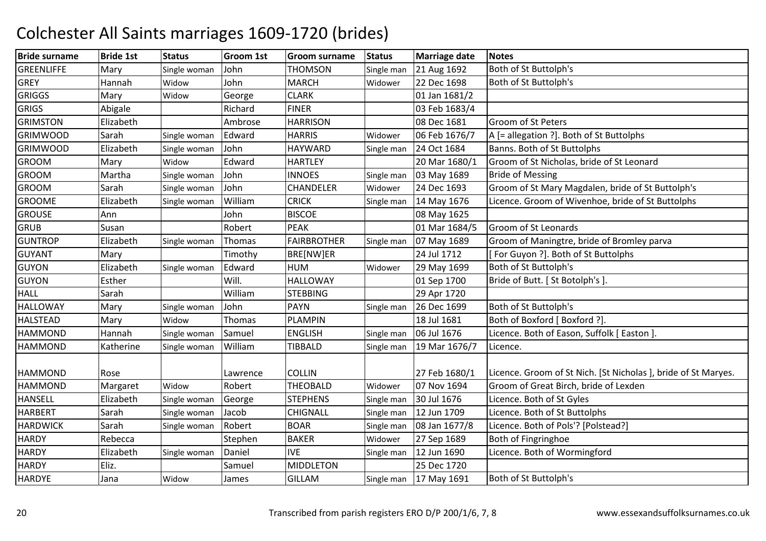| <b>Bride surname</b> | <b>Bride 1st</b>      | <b>Status</b> | Groom 1st       | <b>Groom surname</b>       | <b>Status</b> | <b>Marriage date</b> | <b>Notes</b>                                                   |
|----------------------|-----------------------|---------------|-----------------|----------------------------|---------------|----------------------|----------------------------------------------------------------|
| <b>GREENLIFFE</b>    | Mary                  | Single woman  | John            | <b>THOMSON</b>             | Single man    | 21 Aug 1692          | Both of St Buttolph's                                          |
| <b>GREY</b>          | Hannah                | Widow         | John            | <b>MARCH</b>               | Widower       | 22 Dec 1698          | Both of St Buttolph's                                          |
| <b>GRIGGS</b>        | Mary                  | Widow         | George          | <b>CLARK</b>               |               | 01 Jan 1681/2        |                                                                |
| <b>GRIGS</b>         | Abigale               |               | Richard         | <b>FINER</b>               |               | 03 Feb 1683/4        |                                                                |
| <b>GRIMSTON</b>      | Elizabeth             |               | Ambrose         | <b>HARRISON</b>            |               | 08 Dec 1681          | <b>Groom of St Peters</b>                                      |
| <b>GRIMWOOD</b>      | Sarah                 | Single woman  | Edward          | <b>HARRIS</b>              | Widower       | 06 Feb 1676/7        | A [= allegation ?]. Both of St Buttolphs                       |
| <b>GRIMWOOD</b>      | Elizabeth             | Single woman  | John            | <b>HAYWARD</b>             | Single man    | 24 Oct 1684          | Banns. Both of St Buttolphs                                    |
| <b>GROOM</b>         | Mary                  | Widow         | Edward          | <b>HARTLEY</b>             |               | 20 Mar 1680/1        | Groom of St Nicholas, bride of St Leonard                      |
| <b>GROOM</b>         | Martha                | Single woman  | John            | <b>INNOES</b>              | Single man    | 03 May 1689          | <b>Bride of Messing</b>                                        |
| <b>GROOM</b>         | Sarah                 | Single woman  | John            | CHANDELER                  | Widower       | 24 Dec 1693          | Groom of St Mary Magdalen, bride of St Buttolph's              |
| <b>GROOME</b>        | Elizabeth             | Single woman  | William         | <b>CRICK</b>               | Single man    | 14 May 1676          | Licence. Groom of Wivenhoe, bride of St Buttolphs              |
| <b>GROUSE</b>        | Ann                   |               | John            | <b>BISCOE</b>              |               | 08 May 1625          |                                                                |
| <b>GRUB</b>          | Susan                 |               | Robert          | <b>PEAK</b>                |               | 01 Mar 1684/5        | Groom of St Leonards                                           |
| <b>GUNTROP</b>       | Elizabeth             | Single woman  | Thomas          | <b>FAIRBROTHER</b>         | Single man    | 07 May 1689          | Groom of Maningtre, bride of Bromley parva                     |
| <b>GUYANT</b>        | Mary                  |               | Timothy         | BRE[NW]ER                  |               | 24 Jul 1712          | [For Guyon ?]. Both of St Buttolphs                            |
| GUYON                | Elizabeth             | Single woman  | Edward          | <b>HUM</b>                 | Widower       | 29 May 1699          | Both of St Buttolph's                                          |
| <b>GUYON</b>         | Esther                |               | Will.           | <b>HALLOWAY</b>            |               | 01 Sep 1700          | Bride of Butt. [ St Botolph's ].                               |
| <b>HALL</b>          | Sarah                 |               | William         | <b>STEBBING</b>            |               | 29 Apr 1720          |                                                                |
| <b>HALLOWAY</b>      | Mary                  | Single woman  | John            | <b>PAYN</b>                | Single man    | 26 Dec 1699          | Both of St Buttolph's                                          |
| <b>HALSTEAD</b>      | Mary                  | Widow         | Thomas          | <b>PLAMPIN</b>             |               | 18 Jul 1681          | Both of Boxford [ Boxford ?].                                  |
| <b>HAMMOND</b>       | Hannah                | Single woman  | Samuel          | <b>ENGLISH</b>             | Single man    | 06 Jul 1676          | Licence. Both of Eason, Suffolk [ Easton ].                    |
| <b>HAMMOND</b>       | Katherine             | Single woman  | William         | <b>TIBBALD</b>             | Single man    | 19 Mar 1676/7        | Licence.                                                       |
| <b>HAMMOND</b>       | Rose                  |               | Lawrence        | <b>COLLIN</b>              |               | 27 Feb 1680/1        | Licence. Groom of St Nich. [St Nicholas ], bride of St Maryes. |
| <b>HAMMOND</b>       |                       | Widow         | Robert          | <b>THEOBALD</b>            | Widower       | 07 Nov 1694          | Groom of Great Birch, bride of Lexden                          |
| <b>HANSELL</b>       | Margaret<br>Elizabeth |               |                 | <b>STEPHENS</b>            |               | 30 Jul 1676          | Licence. Both of St Gyles                                      |
| <b>HARBERT</b>       | Sarah                 | Single woman  | George<br>Jacob | CHIGNALL                   | Single man    | 12 Jun 1709          | Licence. Both of St Buttolphs                                  |
|                      | Sarah                 | Single woman  | Robert          | <b>BOAR</b>                | Single man    |                      | Licence. Both of Pols'? [Polstead?]                            |
| <b>HARDWICK</b>      |                       | Single woman  |                 |                            | Single man    | 08 Jan 1677/8        |                                                                |
| <b>HARDY</b>         | Rebecca               |               | Stephen         | <b>BAKER</b><br><b>IVE</b> | Widower       | 27 Sep 1689          | Both of Fingringhoe                                            |
| <b>HARDY</b>         | Elizabeth             | Single woman  | Daniel          |                            | Single man    | 12 Jun 1690          | Licence. Both of Wormingford                                   |
| <b>HARDY</b>         | Eliz.                 |               | Samuel          | <b>MIDDLETON</b>           |               | 25 Dec 1720          |                                                                |
| <b>HARDYE</b>        | Jana                  | Widow         | James           | <b>GILLAM</b>              | Single man    | 17 May 1691          | Both of St Buttolph's                                          |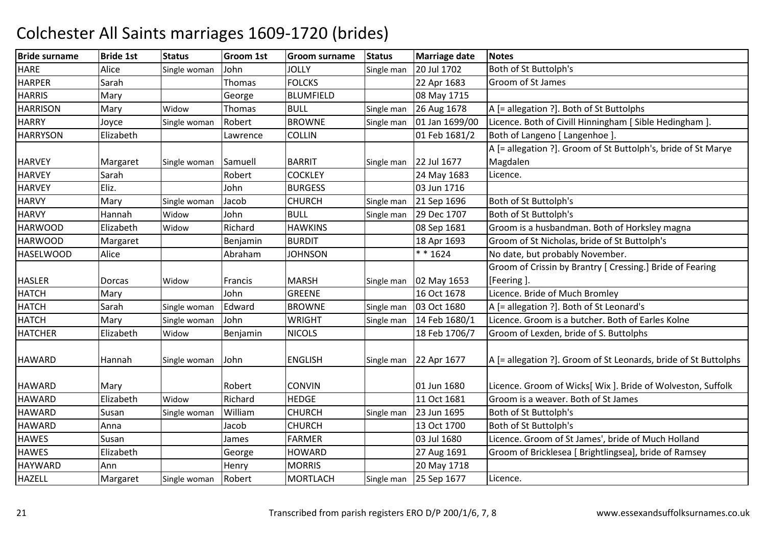| <b>Bride surname</b> | <b>Bride 1st</b> | <b>Status</b> | Groom 1st | Groom surname    | <b>Status</b> | <b>Marriage date</b> | <b>Notes</b>                                                    |
|----------------------|------------------|---------------|-----------|------------------|---------------|----------------------|-----------------------------------------------------------------|
| <b>HARE</b>          | Alice            | Single woman  | John      | <b>JOLLY</b>     | Single man    | 20 Jul 1702          | Both of St Buttolph's                                           |
| <b>HARPER</b>        | Sarah            |               | Thomas    | <b>FOLCKS</b>    |               | 22 Apr 1683          | Groom of St James                                               |
| <b>HARRIS</b>        | Mary             |               | George    | <b>BLUMFIELD</b> |               | 08 May 1715          |                                                                 |
| <b>HARRISON</b>      | Mary             | Widow         | Thomas    | <b>BULL</b>      | Single man    | 26 Aug 1678          | A [= allegation ?]. Both of St Buttolphs                        |
| <b>HARRY</b>         | Joyce            | Single woman  | Robert    | <b>BROWNE</b>    | Single man    | 01 Jan 1699/00       | Licence. Both of Civill Hinningham [ Sible Hedingham ].         |
| <b>HARRYSON</b>      | Elizabeth        |               | Lawrence  | <b>COLLIN</b>    |               | 01 Feb 1681/2        | Both of Langeno [ Langenhoe ]                                   |
|                      |                  |               |           |                  |               |                      | A [= allegation ?]. Groom of St Buttolph's, bride of St Marye   |
| <b>HARVEY</b>        | Margaret         | Single woman  | Samuell   | <b>BARRIT</b>    | Single man    | 22 Jul 1677          | Magdalen                                                        |
| <b>HARVEY</b>        | Sarah            |               | Robert    | <b>COCKLEY</b>   |               | 24 May 1683          | Licence.                                                        |
| <b>HARVEY</b>        | Eliz.            |               | John      | <b>BURGESS</b>   |               | 03 Jun 1716          |                                                                 |
| <b>HARVY</b>         | Mary             | Single woman  | Jacob     | <b>CHURCH</b>    | Single man    | 21 Sep 1696          | Both of St Buttolph's                                           |
| <b>HARVY</b>         | Hannah           | Widow         | John      | <b>BULL</b>      | Single man    | 29 Dec 1707          | Both of St Buttolph's                                           |
| <b>HARWOOD</b>       | Elizabeth        | Widow         | Richard   | <b>HAWKINS</b>   |               | 08 Sep 1681          | Groom is a husbandman. Both of Horksley magna                   |
| <b>HARWOOD</b>       | Margaret         |               | Benjamin  | <b>BURDIT</b>    |               | 18 Apr 1693          | Groom of St Nicholas, bride of St Buttolph's                    |
| <b>HASELWOOD</b>     | Alice            |               | Abraham   | <b>JOHNSON</b>   |               | $* * 1624$           | No date, but probably November.                                 |
|                      |                  |               |           |                  |               |                      | Groom of Crissin by Brantry [ Cressing.] Bride of Fearing       |
| <b>HASLER</b>        | Dorcas           | Widow         | Francis   | <b>MARSH</b>     | Single man    | 02 May 1653          | [Feering].                                                      |
| <b>HATCH</b>         | Mary             |               | John      | <b>GREENE</b>    |               | 16 Oct 1678          | Licence. Bride of Much Bromley                                  |
| <b>HATCH</b>         | Sarah            | Single woman  | Edward    | <b>BROWNE</b>    | Single man    | 03 Oct 1680          | A [= allegation ?]. Both of St Leonard's                        |
| <b>HATCH</b>         | Mary             | Single woman  | John      | <b>WRIGHT</b>    | Single man    | 14 Feb 1680/1        | Licence. Groom is a butcher. Both of Earles Kolne               |
| <b>HATCHER</b>       | Elizabeth        | Widow         | Benjamin  | <b>NICOLS</b>    |               | 18 Feb 1706/7        | Groom of Lexden, bride of S. Buttolphs                          |
| <b>HAWARD</b>        | Hannah           | Single woman  | John      | <b>ENGLISH</b>   | Single man    | 22 Apr 1677          | A [= allegation ?]. Groom of St Leonards, bride of St Buttolphs |
| <b>HAWARD</b>        | Mary             |               | Robert    | <b>CONVIN</b>    |               | 01 Jun 1680          | Licence. Groom of Wicks[ Wix ]. Bride of Wolveston, Suffolk     |
| <b>HAWARD</b>        | Elizabeth        | Widow         | Richard   | <b>HEDGE</b>     |               | 11 Oct 1681          | Groom is a weaver. Both of St James                             |
| <b>HAWARD</b>        | Susan            | Single woman  | William   | <b>CHURCH</b>    | Single man    | 23 Jun 1695          | Both of St Buttolph's                                           |
| <b>HAWARD</b>        | Anna             |               | Jacob     | <b>CHURCH</b>    |               | 13 Oct 1700          | Both of St Buttolph's                                           |
| <b>HAWES</b>         | Susan            |               | James     | <b>FARMER</b>    |               | 03 Jul 1680          | Licence. Groom of St James', bride of Much Holland              |
| <b>HAWES</b>         | Elizabeth        |               | George    | <b>HOWARD</b>    |               | 27 Aug 1691          | Groom of Bricklesea [ Brightlingsea], bride of Ramsey           |
| <b>HAYWARD</b>       | Ann              |               | Henry     | <b>MORRIS</b>    |               | 20 May 1718          |                                                                 |
| <b>HAZELL</b>        | Margaret         | Single woman  | Robert    | <b>MORTLACH</b>  | Single man    | 25 Sep 1677          | Licence.                                                        |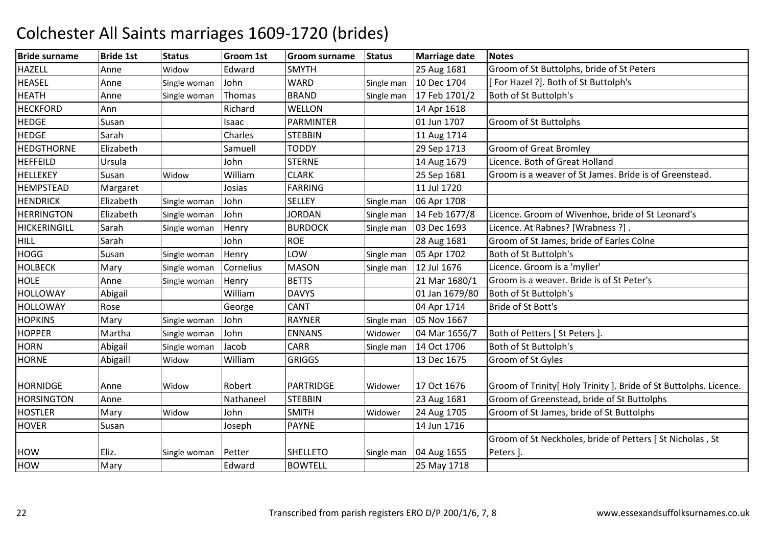| <b>Bride surname</b> | <b>Bride 1st</b> | <b>Status</b> | Groom 1st | Groom surname    | <b>Status</b> | <b>Marriage date</b> | <b>Notes</b>                                                      |
|----------------------|------------------|---------------|-----------|------------------|---------------|----------------------|-------------------------------------------------------------------|
| <b>HAZELL</b>        | Anne             | Widow         | Edward    | <b>SMYTH</b>     |               | 25 Aug 1681          | Groom of St Buttolphs, bride of St Peters                         |
| <b>HEASEL</b>        | Anne             | Single woman  | John      | <b>WARD</b>      | Single man    | 10 Dec 1704          | For Hazel ?]. Both of St Buttolph's                               |
| <b>HEATH</b>         | Anne             | Single woman  | Thomas    | <b>BRAND</b>     | Single man    | 17 Feb 1701/2        | Both of St Buttolph's                                             |
| <b>HECKFORD</b>      | Ann              |               | Richard   | WELLON           |               | 14 Apr 1618          |                                                                   |
| <b>HEDGE</b>         | Susan            |               | Isaac     | <b>PARMINTER</b> |               | 01 Jun 1707          | Groom of St Buttolphs                                             |
| <b>HEDGE</b>         | Sarah            |               | Charles   | <b>STEBBIN</b>   |               | 11 Aug 1714          |                                                                   |
| <b>HEDGTHORNE</b>    | Elizabeth        |               | Samuell   | <b>TODDY</b>     |               | 29 Sep 1713          | <b>Groom of Great Bromley</b>                                     |
| <b>HEFFEILD</b>      | Ursula           |               | John      | <b>STERNE</b>    |               | 14 Aug 1679          | Licence. Both of Great Holland                                    |
| <b>HELLEKEY</b>      | Susan            | Widow         | William   | <b>CLARK</b>     |               | 25 Sep 1681          | Groom is a weaver of St James. Bride is of Greenstead.            |
| <b>HEMPSTEAD</b>     | Margaret         |               | Josias    | <b>FARRING</b>   |               | 11 Jul 1720          |                                                                   |
| <b>HENDRICK</b>      | Elizabeth        | Single woman  | John      | <b>SELLEY</b>    | Single man    | 06 Apr 1708          |                                                                   |
| <b>HERRINGTON</b>    | Elizabeth        | Single woman  | John      | <b>JORDAN</b>    | Single man    | 14 Feb 1677/8        | Licence. Groom of Wivenhoe, bride of St Leonard's                 |
| <b>HICKERINGILL</b>  | Sarah            | Single woman  | Henry     | <b>BURDOCK</b>   | Single man    | 03 Dec 1693          | Licence. At Rabnes? [Wrabness ?].                                 |
| <b>HILL</b>          | Sarah            |               | John      | <b>ROE</b>       |               | 28 Aug 1681          | Groom of St James, bride of Earles Colne                          |
| <b>HOGG</b>          | Susan            | Single woman  | Henry     | LOW              | Single man    | 05 Apr 1702          | Both of St Buttolph's                                             |
| <b>HOLBECK</b>       | Mary             | Single woman  | Cornelius | <b>MASON</b>     | Single man    | 12 Jul 1676          | Licence. Groom is a 'myller'                                      |
| <b>HOLE</b>          | Anne             | Single woman  | Henry     | <b>BETTS</b>     |               | 21 Mar 1680/1        | Groom is a weaver. Bride is of St Peter's                         |
| HOLLOWAY             | Abigail          |               | William   | <b>DAVYS</b>     |               | 01 Jan 1679/80       | Both of St Buttolph's                                             |
| <b>HOLLOWAY</b>      | Rose             |               | George    | <b>CANT</b>      |               | 04 Apr 1714          | Bride of St Bott's                                                |
| <b>HOPKINS</b>       | Mary             | Single woman  | John      | <b>RAYNER</b>    | Single man    | 05 Nov 1667          |                                                                   |
| <b>HOPPER</b>        | Martha           | Single woman  | John      | <b>ENNANS</b>    | Widower       | 04 Mar 1656/7        | Both of Petters [ St Peters ]                                     |
| <b>HORN</b>          | Abigail          | Single woman  | Jacob     | <b>CARR</b>      | Single man    | 14 Oct 1706          | Both of St Buttolph's                                             |
| <b>HORNE</b>         | Abigaill         | Widow         | William   | <b>GRIGGS</b>    |               | 13 Dec 1675          | Groom of St Gyles                                                 |
|                      |                  |               |           |                  |               |                      |                                                                   |
| <b>HORNIDGE</b>      | Anne             | Widow         | Robert    | <b>PARTRIDGE</b> | Widower       | 17 Oct 1676          | Groom of Trinity[ Holy Trinity ]. Bride of St Buttolphs. Licence. |
| <b>HORSINGTON</b>    | Anne             |               | Nathaneel | <b>STEBBIN</b>   |               | 23 Aug 1681          | Groom of Greenstead, bride of St Buttolphs                        |
| <b>HOSTLER</b>       | Mary             | Widow         | John      | <b>SMITH</b>     | Widower       | 24 Aug 1705          | Groom of St James, bride of St Buttolphs                          |
| <b>HOVER</b>         | Susan            |               | Joseph    | <b>PAYNE</b>     |               | 14 Jun 1716          |                                                                   |
|                      |                  |               |           |                  |               |                      | Groom of St Neckholes, bride of Petters [ St Nicholas, St         |
| HOW                  | Eliz.            | Single woman  | Petter    | <b>SHELLETO</b>  | Single man    | 04 Aug 1655          | Peters ].                                                         |
| <b>HOW</b>           | Mary             |               | Edward    | <b>BOWTELL</b>   |               | 25 May 1718          |                                                                   |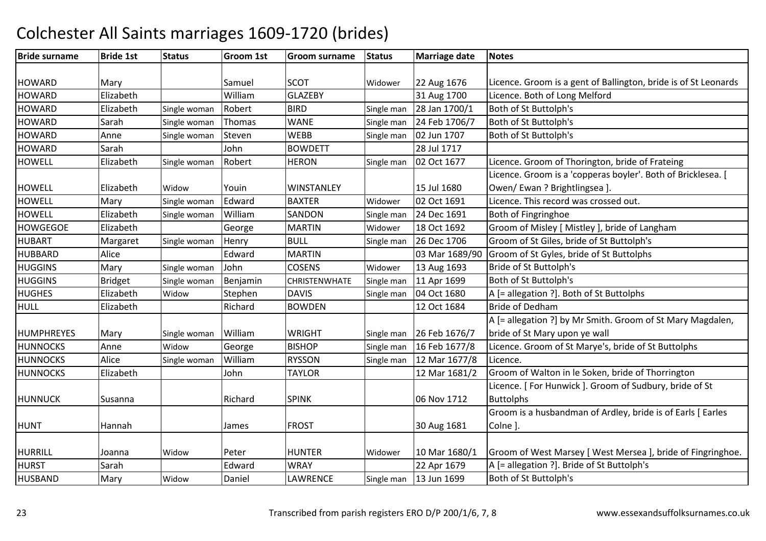#### Bride surnamee |Bride 1st |Status | Groom 1st | Groom surname | Status | Marriage date | Notes HOWARD Mary Samuel ScOT Widower 22 Aug 1676 22 Aug 1676 Licence. Groom is a gent of Ballington, bride is of St Leonards<br>31 Aug 1700 Licence. Both of Long Melford **HOWARD** D Elizabeth William William GLAZEBY 31 Aug 1700 Licence. Both of Long Melford<br>Robert BIRD Single man 28 Jan 1700/1 Both of St Buttolph's **HOWARD** D Elizabeth Single woman Robert BIRD Single man 28 Jan 1700/1 Both of St Buttolph's **HOWARD** D Sarah Single woman Thomas WANE Single man 24 Feb 1706/7 Both of St Buttolph's **HOWARD** D Anne Single woman Steven WEBB Single man 02 Jun 1707 Both of St Buttolph's **HOWARD** D Sarah John BOWDETT 28 Jul 1717 HOWELL ElizabethSingle woman Robert HERON Single man 02 Oct 1677 Licence. Groom of Thorington, bride of Frateing HOWELL Elizabeth**Widow** Vouin WINSTANLEY 15 Jul 1680<br>Edward BAXTER Widower 02 Oct 1691 Licence. Groom is a 'copperas boyler'. Both of Bricklesea. [ Owen/ Ewan ? Brightlingsea ].**HOWELL**  Mary Single woman Edward BAXTERBAXTER Widower 02 Oct 1691 Licence. This record was crossed out.<br>SANDON Single man 24 Dec 1691 Both of Fingringhoe **HOWFLL**  Elizabeth Single woman WilliamSANDON Single man 24 Dec 1691 Both of Fingringhoe<br>MARTIN Widower 18 Oct 1692 Groom of Misley I **HOWGEGOE** Elizabeth<br>Margaret George<br>Single woman Henry Widower 18 Oct 1692 Groom of Misley [ Mistley ], bride of Langham<br>Single man 26 Dec 1706 Groom of St Giles, bride of St Buttolph's **HUBART** T Margaret Single woman Henry BULL Single man 26 Dec 1706 Groom of St Giles, bride of St Buttolph's HUBBARDD Alice Redward MARTIN MARTIN 1689/90 Groom of St Gyles, bride of St Buttolphs<br>
COSENS Widower 13 Aug 1693 Bride of St Buttolph's **HUGGINS** Mary Single woman JohnBride of St Buttolph's **HUGGINS** Bridget Single woman BenjaminCHRISTENWHATE Single man 11 Apr 1699 Both of St Buttolph's<br>DAVIS Single man 04 Oct 1680 A [= allegation ?]. Bot **HUGHES**  Elizabeth**Widow** Stephen DAVIS Single man 04 Oct 1680 A [= allegation ?]. Both of St Buttolphs<br>Richard BOWDEN 12 Oct 1684 Bride of Dedham HULL Elizabeth**BOWDEN Bride of Dedham**  A [= allegation ?] by Mr Smith. Groom of St Mary Magdalen, HUMPHREYES Mary Single woman William WRIGHT Single man 26 Feb 1676/716 Feb 1677/8 bride of St Mary upon ye wall**HUNNOCKS**  Anne WidowGeorge BISHOP Single man 16 Feb 1677/8 Licence. Groom of St Marye's, bride of St Buttolphs<br>William RYSSON Single man 12 Mar 1677/8 Licence. **HUNNOCKS**  AliceSingle woman William RYSSON Single man 12 Mar 1677/8<br>TAYLOR 12 Mar 1681/2 **HUNNOCKS**  Elizabethh John TAYLOR Groom of Walton in le Soken, bride of Thorrington HUNNUCK Susanna Richard SPINK 106 Nov 1712 Licence. [ For Hunwick ]. Groom of Sudbury, bride of St **Buttolphs**  Groom is a husbandman of Ardley, bride is of Earls [ Earles HUNT Hannah James FROST 30 Aug 1681 Colne ]. HURRILL Joanna WidowPeter HUNTER Widower 10 Mar 1680/1 Groom of West Marsey [West Mersea ], bride of Fingringhoe.<br>Edward WRAY 122 Apr 1679 A [= allegation ?]. Bride of St Buttolph's **HURST**  SarahWRAY 
22 Apr 1679 
A [= allegation ?]. Bride of St Buttolph's<br>
LAWRENCE Single man 13 Jun 1699 Both of St Buttolph's HUSBANDD Mary Widow Daniel LAWRENCE Single man 13 Jun 1699 Both of St Buttolph's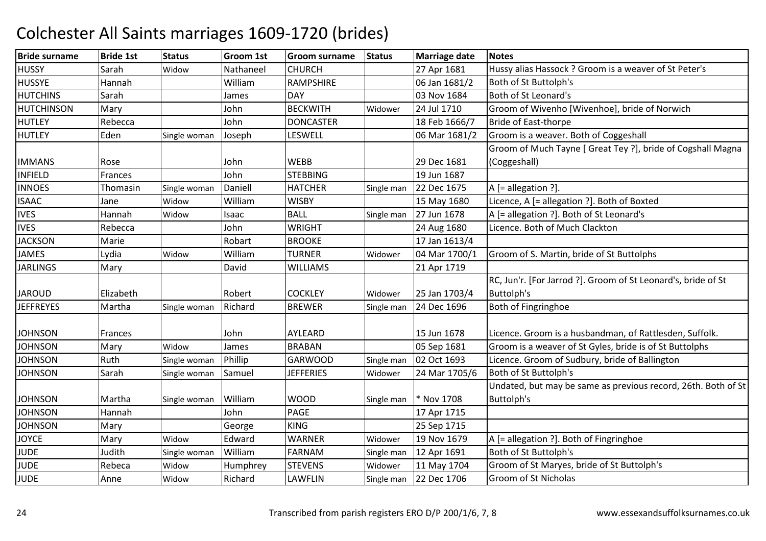| <b>Bride surname</b> | <b>Bride 1st</b> | <b>Status</b> | <b>Groom 1st</b> | <b>Groom surname</b> | <b>Status</b> | <b>Marriage date</b> | <b>Notes</b>                                                  |
|----------------------|------------------|---------------|------------------|----------------------|---------------|----------------------|---------------------------------------------------------------|
| <b>HUSSY</b>         | Sarah            | Widow         | Nathaneel        | <b>CHURCH</b>        |               | 27 Apr 1681          | Hussy alias Hassock ? Groom is a weaver of St Peter's         |
| <b>HUSSYE</b>        | Hannah           |               | William          | <b>RAMPSHIRE</b>     |               | 06 Jan 1681/2        | Both of St Buttolph's                                         |
| <b>HUTCHINS</b>      | Sarah            |               | James            | <b>DAY</b>           |               | 03 Nov 1684          | Both of St Leonard's                                          |
| <b>HUTCHINSON</b>    | Mary             |               | John             | <b>BECKWITH</b>      | Widower       | 24 Jul 1710          | Groom of Wivenho [Wivenhoe], bride of Norwich                 |
| <b>HUTLEY</b>        | Rebecca          |               | John             | <b>DONCASTER</b>     |               | 18 Feb 1666/7        | <b>Bride of East-thorpe</b>                                   |
| <b>HUTLEY</b>        | Eden             | Single woman  | Joseph           | <b>LESWELL</b>       |               | 06 Mar 1681/2        | Groom is a weaver. Both of Coggeshall                         |
|                      |                  |               |                  |                      |               |                      | Groom of Much Tayne [ Great Tey ?], bride of Cogshall Magna   |
| <b>IMMANS</b>        | Rose             |               | John             | <b>WEBB</b>          |               | 29 Dec 1681          | (Coggeshall)                                                  |
| <b>INFIELD</b>       | Frances          |               | John             | <b>STEBBING</b>      |               | 19 Jun 1687          |                                                               |
| <b>INNOES</b>        | Thomasin         | Single woman  | Daniell          | <b>HATCHER</b>       | Single man    | 22 Dec 1675          | A [= allegation ?].                                           |
| <b>ISAAC</b>         | Jane             | Widow         | William          | <b>WISBY</b>         |               | 15 May 1680          | Licence, A [= allegation ?]. Both of Boxted                   |
| <b>IVES</b>          | Hannah           | Widow         | Isaac            | <b>BALL</b>          | Single man    | 27 Jun 1678          | A [= allegation ?]. Both of St Leonard's                      |
| <b>IVES</b>          | Rebecca          |               | John             | <b>WRIGHT</b>        |               | 24 Aug 1680          | Licence. Both of Much Clackton                                |
| <b>JACKSON</b>       | Marie            |               | Robart           | <b>BROOKE</b>        |               | 17 Jan 1613/4        |                                                               |
| <b>JAMES</b>         | Lydia            | Widow         | William          | <b>TURNER</b>        | Widower       | 04 Mar 1700/1        | Groom of S. Martin, bride of St Buttolphs                     |
| <b>JARLINGS</b>      | Mary             |               | David            | <b>WILLIAMS</b>      |               | 21 Apr 1719          |                                                               |
|                      |                  |               |                  |                      |               |                      | RC, Jun'r. [For Jarrod ?]. Groom of St Leonard's, bride of St |
| <b>JAROUD</b>        | Elizabeth        |               | Robert           | <b>COCKLEY</b>       | Widower       | 25 Jan 1703/4        | <b>Buttolph's</b>                                             |
| <b>JEFFREYES</b>     | Martha           | Single woman  | Richard          | <b>BREWER</b>        | Single man    | 24 Dec 1696          | Both of Fingringhoe                                           |
|                      |                  |               |                  |                      |               |                      |                                                               |
| <b>JOHNSON</b>       | Frances          |               | John             | <b>AYLEARD</b>       |               | 15 Jun 1678          | Licence. Groom is a husbandman, of Rattlesden, Suffolk.       |
| <b>JOHNSON</b>       | Mary             | Widow         | James            | <b>BRABAN</b>        |               | 05 Sep 1681          | Groom is a weaver of St Gyles, bride is of St Buttolphs       |
| <b>JOHNSON</b>       | Ruth             | Single woman  | Phillip          | <b>GARWOOD</b>       | Single man    | 02 Oct 1693          | Licence. Groom of Sudbury, bride of Ballington                |
| <b>JOHNSON</b>       | Sarah            | Single woman  | Samuel           | <b>JEFFERIES</b>     | Widower       | 24 Mar 1705/6        | Both of St Buttolph's                                         |
|                      |                  |               |                  |                      |               |                      | Undated, but may be same as previous record, 26th. Both of St |
| <b>JOHNSON</b>       | Martha           | Single woman  | William          | <b>WOOD</b>          | Single man    | * Nov 1708           | Buttolph's                                                    |
| <b>JOHNSON</b>       | Hannah           |               | John             | <b>PAGE</b>          |               | 17 Apr 1715          |                                                               |
| <b>JOHNSON</b>       | Mary             |               | George           | <b>KING</b>          |               | 25 Sep 1715          |                                                               |
| <b>JOYCE</b>         | Mary             | Widow         | Edward           | <b>WARNER</b>        | Widower       | 19 Nov 1679          | A [= allegation ?]. Both of Fingringhoe                       |
| <b>JUDE</b>          | Judith           | Single woman  | William          | <b>FARNAM</b>        | Single man    | 12 Apr 1691          | Both of St Buttolph's                                         |
| <b>JUDE</b>          | Rebeca           | Widow         | Humphrey         | <b>STEVENS</b>       | Widower       | 11 May 1704          | Groom of St Maryes, bride of St Buttolph's                    |
| <b>JUDE</b>          | Anne             | Widow         | Richard          | <b>LAWFLIN</b>       | Single man    | 22 Dec 1706          | Groom of St Nicholas                                          |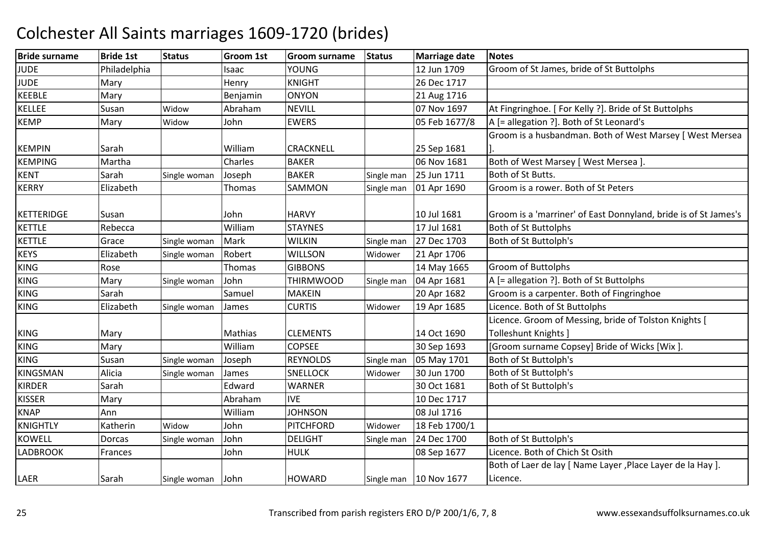| <b>Bride surname</b> | <b>Bride 1st</b> | <b>Status</b>     | <b>Groom 1st</b> | <b>Groom surname</b> | <b>Status</b> | <b>Marriage date</b>     | <b>Notes</b>                                                    |
|----------------------|------------------|-------------------|------------------|----------------------|---------------|--------------------------|-----------------------------------------------------------------|
| <b>JUDE</b>          | Philadelphia     |                   | Isaac            | <b>YOUNG</b>         |               | 12 Jun 1709              | Groom of St James, bride of St Buttolphs                        |
| <b>JUDE</b>          | Mary             |                   | Henry            | <b>KNIGHT</b>        |               | 26 Dec 1717              |                                                                 |
| <b>KEEBLE</b>        | Mary             |                   | Benjamin         | <b>ONYON</b>         |               | 21 Aug 1716              |                                                                 |
| <b>KELLEE</b>        | Susan            | Widow             | Abraham          | <b>NEVILL</b>        |               | 07 Nov 1697              | At Fingringhoe. [ For Kelly ?]. Bride of St Buttolphs           |
| <b>KEMP</b>          | Mary             | Widow             | John             | <b>EWERS</b>         |               | 05 Feb 1677/8            | A [= allegation ?]. Both of St Leonard's                        |
|                      |                  |                   |                  |                      |               |                          | Groom is a husbandman. Both of West Marsey [ West Mersea        |
| <b>KEMPIN</b>        | Sarah            |                   | William          | CRACKNELL            |               | 25 Sep 1681              |                                                                 |
| <b>KEMPING</b>       | Martha           |                   | Charles          | <b>BAKER</b>         |               | 06 Nov 1681              | Both of West Marsey [ West Mersea ].                            |
| <b>KENT</b>          | Sarah            | Single woman      | Joseph           | <b>BAKER</b>         | Single man    | 25 Jun 1711              | Both of St Butts.                                               |
| <b>KERRY</b>         | Elizabeth        |                   | Thomas           | SAMMON               | Single man    | 01 Apr 1690              | Groom is a rower. Both of St Peters                             |
|                      |                  |                   |                  |                      |               |                          |                                                                 |
| KETTERIDGE           | Susan            |                   | John             | <b>HARVY</b>         |               | 10 Jul 1681              | Groom is a 'marriner' of East Donnyland, bride is of St James's |
| <b>KETTLE</b>        | Rebecca          |                   | William          | <b>STAYNES</b>       |               | 17 Jul 1681              | Both of St Buttolphs                                            |
| <b>KETTLE</b>        | Grace            | Single woman      | Mark             | <b>WILKIN</b>        | Single man    | 27 Dec 1703              | Both of St Buttolph's                                           |
| <b>KEYS</b>          | Elizabeth        | Single woman      | Robert           | <b>WILLSON</b>       | Widower       | 21 Apr 1706              |                                                                 |
| <b>KING</b>          | Rose             |                   | Thomas           | <b>GIBBONS</b>       |               | 14 May 1665              | Groom of Buttolphs                                              |
| <b>KING</b>          | Mary             | Single woman      | John             | <b>THIRMWOOD</b>     | Single man    | 04 Apr 1681              | A [= allegation ?]. Both of St Buttolphs                        |
| <b>KING</b>          | Sarah            |                   | Samuel           | <b>MAKEIN</b>        |               | 20 Apr 1682              | Groom is a carpenter. Both of Fingringhoe                       |
| <b>KING</b>          | Elizabeth        | Single woman      | James            | <b>CURTIS</b>        | Widower       | 19 Apr 1685              | Licence. Both of St Buttolphs                                   |
|                      |                  |                   |                  |                      |               |                          | Licence. Groom of Messing, bride of Tolston Knights [           |
| <b>KING</b>          | Mary             |                   | Mathias          | <b>CLEMENTS</b>      |               | 14 Oct 1690              | Tolleshunt Knights ]                                            |
| KING                 | Mary             |                   | William          | <b>COPSEE</b>        |               | 30 Sep 1693              | [Groom surname Copsey] Bride of Wicks [Wix].                    |
| <b>KING</b>          | Susan            | Single woman      | Joseph           | <b>REYNOLDS</b>      | Single man    | 05 May 1701              | Both of St Buttolph's                                           |
| KINGSMAN             | Alicia           | Single woman      | James            | <b>SNELLOCK</b>      | Widower       | 30 Jun 1700              | Both of St Buttolph's                                           |
| <b>KIRDER</b>        | Sarah            |                   | Edward           | <b>WARNER</b>        |               | 30 Oct 1681              | Both of St Buttolph's                                           |
| <b>KISSER</b>        | Mary             |                   | Abraham          | <b>IVE</b>           |               | 10 Dec 1717              |                                                                 |
| <b>KNAP</b>          | Ann              |                   | William          | <b>JOHNSON</b>       |               | 08 Jul 1716              |                                                                 |
| <b>KNIGHTLY</b>      | Katherin         | Widow             | John             | <b>PITCHFORD</b>     | Widower       | 18 Feb 1700/1            |                                                                 |
| <b>KOWELL</b>        | Dorcas           | Single woman      | John             | <b>DELIGHT</b>       | Single man    | 24 Dec 1700              | Both of St Buttolph's                                           |
| <b>LADBROOK</b>      | Frances          |                   | John             | <b>HULK</b>          |               | 08 Sep 1677              | Licence. Both of Chich St Osith                                 |
|                      |                  |                   |                  |                      |               |                          | Both of Laer de lay [ Name Layer , Place Layer de la Hay ].     |
| LAER                 | Sarah            | Single woman John |                  | <b>HOWARD</b>        |               | Single man   10 Nov 1677 | Licence.                                                        |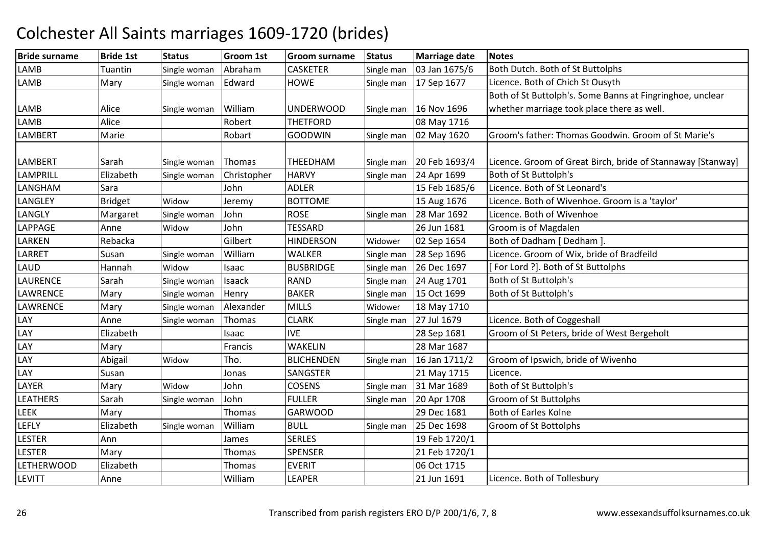| <b>Bride surname</b> | <b>Bride 1st</b> | <b>Status</b> | Groom 1st   | <b>Groom surname</b> | <b>Status</b> | <b>Marriage date</b> | <b>Notes</b>                                                |
|----------------------|------------------|---------------|-------------|----------------------|---------------|----------------------|-------------------------------------------------------------|
| LAMB                 | <b>Tuantin</b>   | Single woman  | Abraham     | <b>CASKETER</b>      | Single man    | 03 Jan 1675/6        | Both Dutch. Both of St Buttolphs                            |
| <b>LAMB</b>          | Mary             | Single woman  | Edward      | <b>HOWE</b>          | Single man    | 17 Sep 1677          | Licence. Both of Chich St Ousyth                            |
|                      |                  |               |             |                      |               |                      | Both of St Buttolph's. Some Banns at Fingringhoe, unclear   |
| LAMB                 | Alice            | Single woman  | William     | <b>UNDERWOOD</b>     | Single man    | 16 Nov 1696          | whether marriage took place there as well.                  |
| <b>LAMB</b>          | Alice            |               | Robert      | <b>THETFORD</b>      |               | 08 May 1716          |                                                             |
| <b>LAMBERT</b>       | Marie            |               | Robart      | <b>GOODWIN</b>       | Single man    | 02 May 1620          | Groom's father: Thomas Goodwin. Groom of St Marie's         |
|                      |                  |               |             |                      |               |                      |                                                             |
| <b>LAMBERT</b>       | Sarah            | Single woman  | Thomas      | THEEDHAM             | Single man    | 20 Feb 1693/4        | Licence. Groom of Great Birch, bride of Stannaway [Stanway] |
| <b>LAMPRILL</b>      | Elizabeth        | Single woman  | Christopher | <b>HARVY</b>         | Single man    | 24 Apr 1699          | Both of St Buttolph's                                       |
| LANGHAM              | Sara             |               | John        | <b>ADLER</b>         |               | 15 Feb 1685/6        | Licence. Both of St Leonard's                               |
| LANGLEY              | <b>Bridget</b>   | Widow         | Jeremy      | <b>BOTTOME</b>       |               | 15 Aug 1676          | Licence. Both of Wivenhoe. Groom is a 'taylor'              |
| LANGLY               | Margaret         | Single woman  | John        | <b>ROSE</b>          | Single man    | 28 Mar 1692          | Licence. Both of Wivenhoe                                   |
| LAPPAGE              | Anne             | Widow         | John        | <b>TESSARD</b>       |               | 26 Jun 1681          | Groom is of Magdalen                                        |
| LARKEN               | Rebacka          |               | Gilbert     | <b>HINDERSON</b>     | Widower       | 02 Sep 1654          | Both of Dadham [ Dedham ]                                   |
| LARRET               | Susan            | Single woman  | William     | <b>WALKER</b>        | Single man    | 28 Sep 1696          | Licence. Groom of Wix, bride of Bradfeild                   |
| LAUD                 | Hannah           | Widow         | Isaac       | <b>BUSBRIDGE</b>     | Single man    | 26 Dec 1697          | [For Lord ?]. Both of St Buttolphs                          |
| <b>LAURENCE</b>      | Sarah            | Single woman  | Isaack      | <b>RAND</b>          | Single man    | 24 Aug 1701          | Both of St Buttolph's                                       |
| <b>LAWRENCE</b>      | Mary             | Single woman  | Henry       | <b>BAKER</b>         | Single man    | 15 Oct 1699          | Both of St Buttolph's                                       |
| <b>LAWRENCE</b>      | Mary             | Single woman  | Alexander   | <b>MILLS</b>         | Widower       | 18 May 1710          |                                                             |
| LAY                  | Anne             | Single woman  | Thomas      | <b>CLARK</b>         | Single man    | 27 Jul 1679          | Licence. Both of Coggeshall                                 |
| LAY                  | Elizabeth        |               | Isaac       | <b>IVE</b>           |               | 28 Sep 1681          | Groom of St Peters, bride of West Bergeholt                 |
| LAY                  | Mary             |               | Francis     | <b>WAKELIN</b>       |               | 28 Mar 1687          |                                                             |
| LAY                  | Abigail          | Widow         | Tho.        | <b>BLICHENDEN</b>    | Single man    | 16 Jan 1711/2        | Groom of Ipswich, bride of Wivenho                          |
| LAY                  | Susan            |               | Jonas       | SANGSTER             |               | 21 May 1715          | Licence.                                                    |
| LAYER                | Mary             | Widow         | John        | <b>COSENS</b>        | Single man    | 31 Mar 1689          | Both of St Buttolph's                                       |
| <b>LEATHERS</b>      | Sarah            | Single woman  | John        | <b>FULLER</b>        | Single man    | 20 Apr 1708          | Groom of St Buttolphs                                       |
| LEEK                 | Mary             |               | Thomas      | <b>GARWOOD</b>       |               | 29 Dec 1681          | Both of Earles Kolne                                        |
| <b>LEFLY</b>         | Elizabeth        | Single woman  | William     | <b>BULL</b>          | Single man    | 25 Dec 1698          | Groom of St Bottolphs                                       |
| <b>LESTER</b>        | Ann              |               | James       | <b>SERLES</b>        |               | 19 Feb 1720/1        |                                                             |
| <b>LESTER</b>        | Mary             |               | Thomas      | <b>SPENSER</b>       |               | 21 Feb 1720/1        |                                                             |
| <b>LETHERWOOD</b>    | Elizabeth        |               | Thomas      | <b>EVERIT</b>        |               | 06 Oct 1715          |                                                             |
| <b>LEVITT</b>        | Anne             |               | William     | <b>LEAPER</b>        |               | 21 Jun 1691          | Licence. Both of Tollesbury                                 |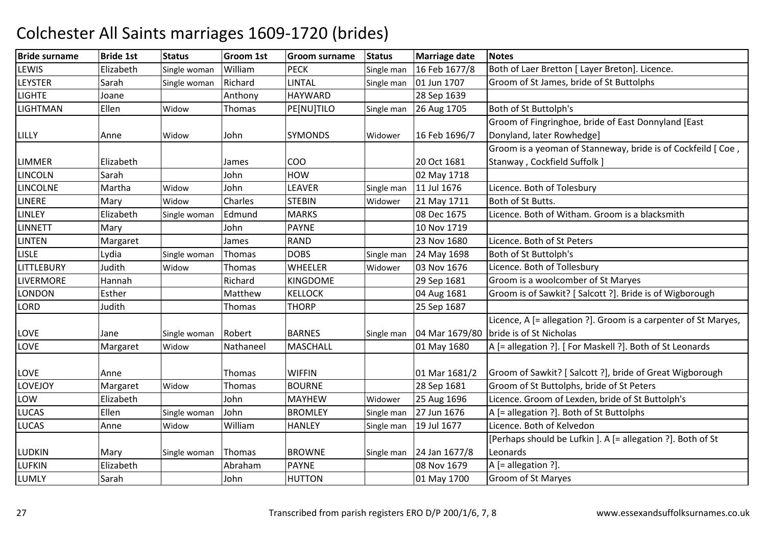| <b>Bride surname</b> | <b>Bride 1st</b> | <b>Status</b> | <b>Groom 1st</b> | <b>Groom surname</b> | <b>Status</b> | <b>Marriage date</b> | <b>Notes</b>                                                    |
|----------------------|------------------|---------------|------------------|----------------------|---------------|----------------------|-----------------------------------------------------------------|
| LEWIS                | Elizabeth        | Single woman  | William          | <b>PECK</b>          | Single man    | 16 Feb 1677/8        | Both of Laer Bretton [ Layer Breton]. Licence.                  |
| <b>LEYSTER</b>       | Sarah            | Single woman  | Richard          | <b>LINTAL</b>        | Single man    | 01 Jun 1707          | Groom of St James, bride of St Buttolphs                        |
| <b>LIGHTE</b>        | Joane            |               | Anthony          | <b>HAYWARD</b>       |               | 28 Sep 1639          |                                                                 |
| <b>LIGHTMAN</b>      | Ellen            | Widow         | <b>Thomas</b>    | PE[NU]TILO           | Single man    | 26 Aug 1705          | Both of St Buttolph's                                           |
|                      |                  |               |                  |                      |               |                      | Groom of Fingringhoe, bride of East Donnyland [East             |
| LILLY                | Anne             | Widow         | John             | <b>SYMONDS</b>       | Widower       | 16 Feb 1696/7        | Donyland, later Rowhedge]                                       |
|                      |                  |               |                  |                      |               |                      | Groom is a yeoman of Stanneway, bride is of Cockfeild [Coe,     |
| <b>LIMMER</b>        | Elizabeth        |               | James            | COO                  |               | 20 Oct 1681          | Stanway, Cockfield Suffolk ]                                    |
| <b>LINCOLN</b>       | Sarah            |               | John             | <b>HOW</b>           |               | 02 May 1718          |                                                                 |
| <b>LINCOLNE</b>      | Martha           | Widow         | John             | LEAVER               | Single man    | 11 Jul 1676          | Licence. Both of Tolesbury                                      |
| <b>LINERE</b>        | Mary             | Widow         | Charles          | <b>STEBIN</b>        | Widower       | 21 May 1711          | Both of St Butts.                                               |
| <b>LINLEY</b>        | Elizabeth        | Single woman  | Edmund           | <b>MARKS</b>         |               | 08 Dec 1675          | Licence. Both of Witham. Groom is a blacksmith                  |
| <b>LINNETT</b>       | Mary             |               | John             | <b>PAYNE</b>         |               | 10 Nov 1719          |                                                                 |
| <b>LINTEN</b>        | Margaret         |               | James            | <b>RAND</b>          |               | 23 Nov 1680          | Licence. Both of St Peters                                      |
| <b>LISLE</b>         | Lydia            | Single woman  | Thomas           | <b>DOBS</b>          | Single man    | 24 May 1698          | Both of St Buttolph's                                           |
| <b>LITTLEBURY</b>    | Judith           | Widow         | <b>Thomas</b>    | <b>WHEELER</b>       | Widower       | 03 Nov 1676          | Licence. Both of Tollesbury                                     |
| <b>LIVERMORE</b>     | Hannah           |               | Richard          | <b>KINGDOME</b>      |               | 29 Sep 1681          | Groom is a woolcomber of St Maryes                              |
| <b>LONDON</b>        | Esther           |               | Matthew          | <b>KELLOCK</b>       |               | 04 Aug 1681          | Groom is of Sawkit? [ Salcott ?]. Bride is of Wigborough        |
| <b>LORD</b>          | Judith           |               | Thomas           | <b>THORP</b>         |               | 25 Sep 1687          |                                                                 |
|                      |                  |               |                  |                      |               |                      | Licence, A [= allegation ?]. Groom is a carpenter of St Maryes, |
| LOVE                 | Jane             | Single woman  | Robert           | <b>BARNES</b>        | Single man    |                      | 04 Mar 1679/80 bride is of St Nicholas                          |
| <b>LOVE</b>          | Margaret         | Widow         | Nathaneel        | <b>MASCHALL</b>      |               | 01 May 1680          | A [= allegation ?]. [ For Maskell ?]. Both of St Leonards       |
|                      |                  |               |                  |                      |               |                      |                                                                 |
| <b>LOVE</b>          | Anne             |               | <b>Thomas</b>    | <b>WIFFIN</b>        |               | 01 Mar 1681/2        | Groom of Sawkit? [Salcott ?], bride of Great Wigborough         |
| LOVEJOY              | Margaret         | Widow         | Thomas           | <b>BOURNE</b>        |               | 28 Sep 1681          | Groom of St Buttolphs, bride of St Peters                       |
| LOW                  | Elizabeth        |               | John             | <b>MAYHEW</b>        | Widower       | 25 Aug 1696          | Licence. Groom of Lexden, bride of St Buttolph's                |
| <b>LUCAS</b>         | Ellen            | Single woman  | John             | <b>BROMLEY</b>       | Single man    | 27 Jun 1676          | A [= allegation ?]. Both of St Buttolphs                        |
| <b>LUCAS</b>         | Anne             | Widow         | William          | <b>HANLEY</b>        | Single man    | 19 Jul 1677          | Licence. Both of Kelvedon                                       |
|                      |                  |               |                  |                      |               |                      | [Perhaps should be Lufkin ]. A [= allegation ?]. Both of St     |
| <b>LUDKIN</b>        | Mary             | Single woman  | Thomas           | <b>BROWNE</b>        | Single man    | 24 Jan 1677/8        | Leonards                                                        |
| <b>LUFKIN</b>        | Elizabeth        |               | Abraham          | <b>PAYNE</b>         |               | 08 Nov 1679          | A [= allegation ?].                                             |
| <b>LUMLY</b>         | Sarah            |               | John             | <b>HUTTON</b>        |               | 01 May 1700          | Groom of St Maryes                                              |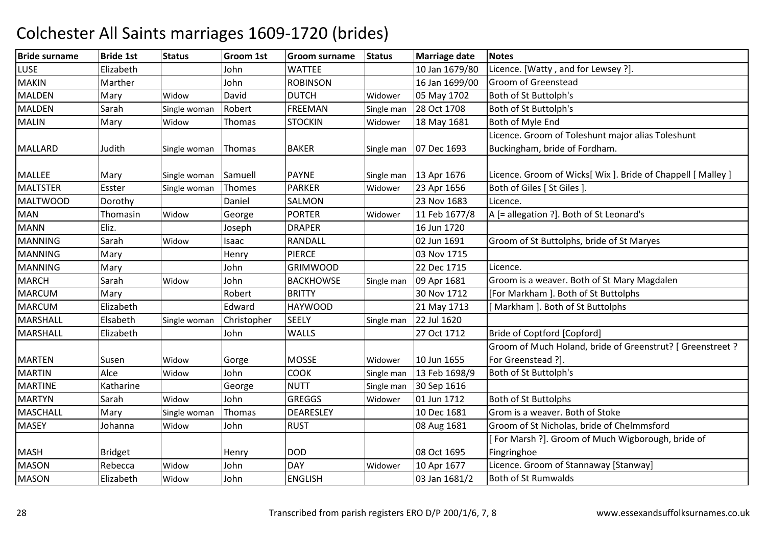| <b>LUSE</b><br>Elizabeth<br>10 Jan 1679/80<br>John<br><b>WATTEE</b><br>Licence. [Watty, and for Lewsey ?].<br><b>MAKIN</b><br><b>ROBINSON</b><br>16 Jan 1699/00<br>Groom of Greenstead<br>Marther<br>John<br>David<br><b>MALDEN</b><br><b>DUTCH</b><br>05 May 1702<br>Both of St Buttolph's<br>Mary<br>Widow<br>Widower<br><b>MALDEN</b><br><b>FREEMAN</b><br>28 Oct 1708<br>Both of St Buttolph's<br>Sarah<br>Robert<br>Single man<br>Single woman<br>Both of Myle End<br><b>MALIN</b><br>Thomas<br><b>STOCKIN</b><br>18 May 1681<br>Mary<br>Widow<br>Widower |  |
|----------------------------------------------------------------------------------------------------------------------------------------------------------------------------------------------------------------------------------------------------------------------------------------------------------------------------------------------------------------------------------------------------------------------------------------------------------------------------------------------------------------------------------------------------------------|--|
|                                                                                                                                                                                                                                                                                                                                                                                                                                                                                                                                                                |  |
|                                                                                                                                                                                                                                                                                                                                                                                                                                                                                                                                                                |  |
|                                                                                                                                                                                                                                                                                                                                                                                                                                                                                                                                                                |  |
|                                                                                                                                                                                                                                                                                                                                                                                                                                                                                                                                                                |  |
|                                                                                                                                                                                                                                                                                                                                                                                                                                                                                                                                                                |  |
| Licence. Groom of Toleshunt major alias Toleshunt                                                                                                                                                                                                                                                                                                                                                                                                                                                                                                              |  |
| Judith<br><b>BAKER</b><br>07 Dec 1693<br>Buckingham, bride of Fordham.<br><b>MALLARD</b><br>Thomas<br>Single woman<br>Single man                                                                                                                                                                                                                                                                                                                                                                                                                               |  |
|                                                                                                                                                                                                                                                                                                                                                                                                                                                                                                                                                                |  |
| Licence. Groom of Wicks[ Wix ]. Bride of Chappell [ Malley ]<br><b>MALLEE</b><br>Samuell<br><b>PAYNE</b><br>13 Apr 1676<br>Mary<br>Single woman<br>Single man                                                                                                                                                                                                                                                                                                                                                                                                  |  |
| MALTSTER<br>Thomes<br><b>PARKER</b><br>Both of Giles [ St Giles ].<br>23 Apr 1656<br>Esster<br>Widower<br>Single woman                                                                                                                                                                                                                                                                                                                                                                                                                                         |  |
| <b>MALTWOOD</b><br>Daniel<br>23 Nov 1683<br>Dorothy<br>SALMON<br>Licence.                                                                                                                                                                                                                                                                                                                                                                                                                                                                                      |  |
| <b>MAN</b><br><b>PORTER</b><br>11 Feb 1677/8<br>Thomasin<br>George<br>A [= allegation ?]. Both of St Leonard's<br>Widow<br>Widower                                                                                                                                                                                                                                                                                                                                                                                                                             |  |
| 16 Jun 1720<br><b>MANN</b><br><b>DRAPER</b><br>Eliz.<br>Joseph                                                                                                                                                                                                                                                                                                                                                                                                                                                                                                 |  |
| <b>MANNING</b><br>Sarah<br><b>RANDALL</b><br>02 Jun 1691<br>Groom of St Buttolphs, bride of St Maryes<br>Widow<br>Isaac                                                                                                                                                                                                                                                                                                                                                                                                                                        |  |
| <b>PIERCE</b><br><b>MANNING</b><br>03 Nov 1715<br>Mary<br>Henry                                                                                                                                                                                                                                                                                                                                                                                                                                                                                                |  |
| <b>MANNING</b><br><b>GRIMWOOD</b><br>22 Dec 1715<br>John<br>Licence.<br>Mary                                                                                                                                                                                                                                                                                                                                                                                                                                                                                   |  |
| <b>MARCH</b><br><b>BACKHOWSE</b><br>Sarah<br>Widow<br>John<br>09 Apr 1681<br>Groom is a weaver. Both of St Mary Magdalen<br>Single man                                                                                                                                                                                                                                                                                                                                                                                                                         |  |
| <b>MARCUM</b><br>Robert<br><b>BRITTY</b><br>[For Markham ]. Both of St Buttolphs<br>30 Nov 1712<br>Mary                                                                                                                                                                                                                                                                                                                                                                                                                                                        |  |
| <b>MARCUM</b><br>Elizabeth<br>Edward<br><b>HAYWOOD</b><br>21 May 1713<br>[Markham ]. Both of St Buttolphs                                                                                                                                                                                                                                                                                                                                                                                                                                                      |  |
| <b>MARSHALL</b><br>22 Jul 1620<br>Elsabeth<br><b>SEELY</b><br>Christopher<br>Single woman<br>Single man                                                                                                                                                                                                                                                                                                                                                                                                                                                        |  |
| MARSHALL<br>27 Oct 1712<br>Bride of Coptford [Copford]<br>Elizabeth<br><b>WALLS</b><br>John                                                                                                                                                                                                                                                                                                                                                                                                                                                                    |  |
| Groom of Much Holand, bride of Greenstrut? [ Greenstreet ?                                                                                                                                                                                                                                                                                                                                                                                                                                                                                                     |  |
| <b>MARTEN</b><br><b>MOSSE</b><br>10 Jun 1655<br>For Greenstead ?].<br>Susen<br>Widow<br>Gorge<br>Widower                                                                                                                                                                                                                                                                                                                                                                                                                                                       |  |
| <b>MARTIN</b><br>John<br>COOK<br>Both of St Buttolph's<br>Alce<br>13 Feb 1698/9<br>Widow<br>Single man                                                                                                                                                                                                                                                                                                                                                                                                                                                         |  |
| <b>MARTINE</b><br>Katharine<br>George<br><b>NUTT</b><br>30 Sep 1616<br>Single man                                                                                                                                                                                                                                                                                                                                                                                                                                                                              |  |
| <b>MARTYN</b><br>John<br><b>GREGGS</b><br><b>Both of St Buttolphs</b><br>Sarah<br>01 Jun 1712<br>Widow<br>Widower                                                                                                                                                                                                                                                                                                                                                                                                                                              |  |
| <b>MASCHALL</b><br>DEARESLEY<br>Grom is a weaver. Both of Stoke<br>10 Dec 1681<br>Thomas<br>Mary<br>Single woman                                                                                                                                                                                                                                                                                                                                                                                                                                               |  |
| Groom of St Nicholas, bride of Chelmmsford<br><b>MASEY</b><br>John<br><b>RUST</b><br>08 Aug 1681<br>Johanna<br>Widow                                                                                                                                                                                                                                                                                                                                                                                                                                           |  |
| For Marsh ?]. Groom of Much Wigborough, bride of                                                                                                                                                                                                                                                                                                                                                                                                                                                                                                               |  |
| <b>DOD</b><br>08 Oct 1695<br>Fingringhoe<br><b>MASH</b><br><b>Bridget</b><br>Henry                                                                                                                                                                                                                                                                                                                                                                                                                                                                             |  |
| Licence. Groom of Stannaway [Stanway]<br><b>DAY</b><br><b>MASON</b><br>Rebecca<br>Widow<br>John<br>10 Apr 1677<br>Widower                                                                                                                                                                                                                                                                                                                                                                                                                                      |  |
| <b>MASON</b><br><b>ENGLISH</b><br>Elizabeth<br>John<br>03 Jan 1681/2<br><b>Both of St Rumwalds</b><br>Widow                                                                                                                                                                                                                                                                                                                                                                                                                                                    |  |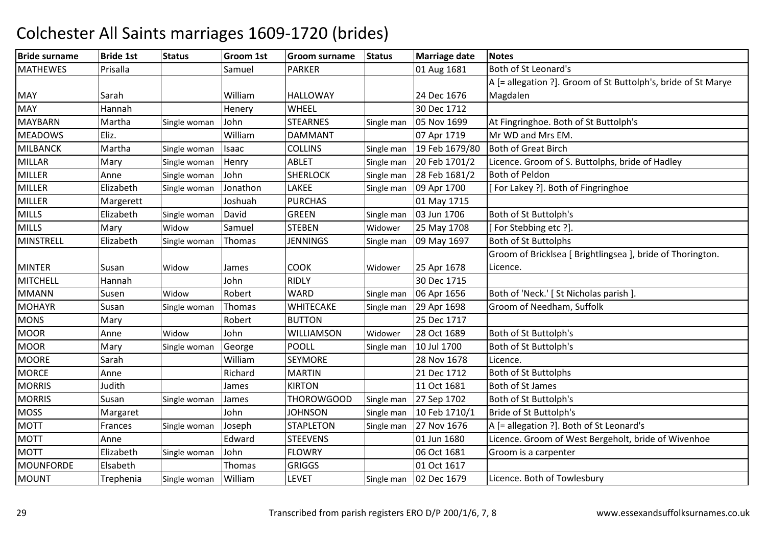| <b>Bride surname</b> | <b>Bride 1st</b> | <b>Status</b> | <b>Groom 1st</b> | <b>Groom surname</b> | <b>Status</b> | <b>Marriage date</b> | <b>Notes</b>                                                  |
|----------------------|------------------|---------------|------------------|----------------------|---------------|----------------------|---------------------------------------------------------------|
| <b>MATHEWES</b>      | Prisalla         |               | Samuel           | <b>PARKER</b>        |               | 01 Aug 1681          | Both of St Leonard's                                          |
|                      |                  |               |                  |                      |               |                      | A [= allegation ?]. Groom of St Buttolph's, bride of St Marye |
| <b>MAY</b>           | Sarah            |               | William          | <b>HALLOWAY</b>      |               | 24 Dec 1676          | Magdalen                                                      |
| <b>MAY</b>           | Hannah           |               | Henery           | WHEEL                |               | 30 Dec 1712          |                                                               |
| <b>MAYBARN</b>       | Martha           | Single woman  | John             | <b>STEARNES</b>      | Single man    | 05 Nov 1699          | At Fingringhoe. Both of St Buttolph's                         |
| <b>MEADOWS</b>       | Eliz.            |               | William          | <b>DAMMANT</b>       |               | 07 Apr 1719          | Mr WD and Mrs EM.                                             |
| <b>MILBANCK</b>      | Martha           | Single woman  | Isaac            | <b>COLLINS</b>       | Single man    | 19 Feb 1679/80       | <b>Both of Great Birch</b>                                    |
| <b>MILLAR</b>        | Mary             | Single woman  | Henry            | <b>ABLET</b>         | Single man    | 20 Feb 1701/2        | Licence. Groom of S. Buttolphs, bride of Hadley               |
| <b>MILLER</b>        | Anne             | Single woman  | John             | <b>SHERLOCK</b>      | Single man    | 28 Feb 1681/2        | Both of Peldon                                                |
| <b>MILLER</b>        | Elizabeth        | Single woman  | Jonathon         | LAKEE                | Single man    | 09 Apr 1700          | [For Lakey ?]. Both of Fingringhoe                            |
| <b>MILLER</b>        | Margerett        |               | Joshuah          | <b>PURCHAS</b>       |               | 01 May 1715          |                                                               |
| <b>MILLS</b>         | Elizabeth        | Single woman  | David            | GREEN                | Single man    | 03 Jun 1706          | Both of St Buttolph's                                         |
| <b>MILLS</b>         | Mary             | Widow         | Samuel           | <b>STEBEN</b>        | Widower       | 25 May 1708          | [For Stebbing etc?].                                          |
| MINSTRELL            | Elizabeth        | Single woman  | Thomas           | <b>JENNINGS</b>      | Single man    | 09 May 1697          | <b>Both of St Buttolphs</b>                                   |
|                      |                  |               |                  |                      |               |                      | Groom of Bricklsea [ Brightlingsea ], bride of Thorington.    |
| <b>MINTER</b>        | Susan            | Widow         | James            | <b>COOK</b>          | Widower       | 25 Apr 1678          | Licence.                                                      |
| <b>MITCHELL</b>      | Hannah           |               | John             | <b>RIDLY</b>         |               | 30 Dec 1715          |                                                               |
| <b>MMANN</b>         | Susen            | Widow         | Robert           | <b>WARD</b>          | Single man    | 06 Apr 1656          | Both of 'Neck.' [St Nicholas parish ].                        |
| <b>MOHAYR</b>        | Susan            | Single woman  | Thomas           | <b>WHITECAKE</b>     | Single man    | 29 Apr 1698          | Groom of Needham, Suffolk                                     |
| <b>MONS</b>          | Mary             |               | Robert           | <b>BUTTON</b>        |               | 25 Dec 1717          |                                                               |
| <b>MOOR</b>          | Anne             | Widow         | John             | <b>WILLIAMSON</b>    | Widower       | 28 Oct 1689          | Both of St Buttolph's                                         |
| <b>MOOR</b>          | Mary             | Single woman  | George           | <b>POOLL</b>         | Single man    | 10 Jul 1700          | Both of St Buttolph's                                         |
| <b>MOORE</b>         | Sarah            |               | William          | <b>SEYMORE</b>       |               | 28 Nov 1678          | Licence.                                                      |
| <b>MORCE</b>         | Anne             |               | Richard          | <b>MARTIN</b>        |               | 21 Dec 1712          | <b>Both of St Buttolphs</b>                                   |
| <b>MORRIS</b>        | Judith           |               | James            | <b>KIRTON</b>        |               | 11 Oct 1681          | Both of St James                                              |
| <b>MORRIS</b>        | Susan            | Single woman  | James            | <b>THOROWGOOD</b>    | Single man    | 27 Sep 1702          | Both of St Buttolph's                                         |
| <b>MOSS</b>          | Margaret         |               | John             | <b>JOHNSON</b>       | Single man    | 10 Feb 1710/1        | Bride of St Buttolph's                                        |
| <b>MOTT</b>          | Frances          | Single woman  | Joseph           | <b>STAPLETON</b>     | Single man    | 27 Nov 1676          | A [= allegation ?]. Both of St Leonard's                      |
| <b>MOTT</b>          | Anne             |               | Edward           | <b>STEEVENS</b>      |               | 01 Jun 1680          | Licence. Groom of West Bergeholt, bride of Wivenhoe           |
| <b>MOTT</b>          | Elizabeth        | Single woman  | John             | <b>FLOWRY</b>        |               | 06 Oct 1681          | Groom is a carpenter                                          |
| MOUNFORDE            | Elsabeth         |               | Thomas           | <b>GRIGGS</b>        |               | 01 Oct 1617          |                                                               |
| <b>MOUNT</b>         | Trephenia        | Single woman  | William          | <b>LEVET</b>         | Single man    | 02 Dec 1679          | Licence. Both of Towlesbury                                   |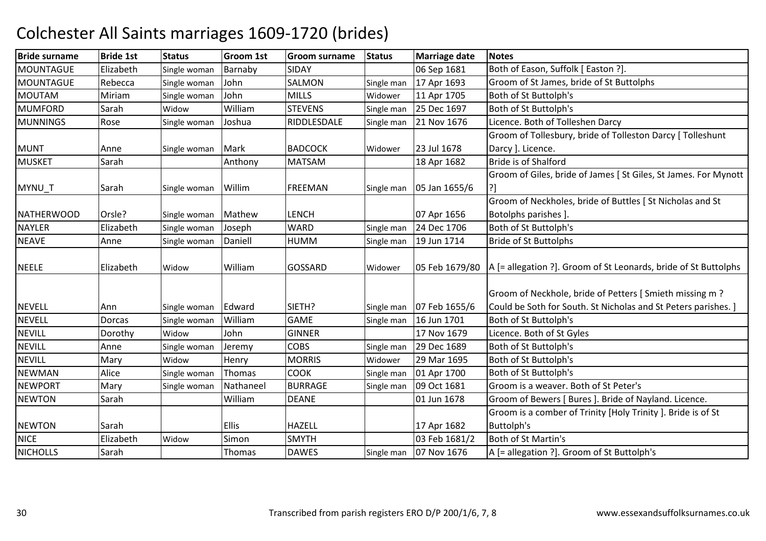| <b>Bride surname</b> | <b>Bride 1st</b> | <b>Status</b> | <b>Groom 1st</b> | <b>Groom surname</b> | <b>Status</b> | <b>Marriage date</b> | <b>Notes</b>                                                    |
|----------------------|------------------|---------------|------------------|----------------------|---------------|----------------------|-----------------------------------------------------------------|
| MOUNTAGUE            | Elizabeth        | Single woman  | Barnaby          | SIDAY                |               | 06 Sep 1681          | Both of Eason, Suffolk [ Easton ?].                             |
| MOUNTAGUE            | Rebecca          | Single woman  | John             | <b>SALMON</b>        | Single man    | 17 Apr 1693          | Groom of St James, bride of St Buttolphs                        |
| <b>MOUTAM</b>        | Miriam           | Single woman  | John             | <b>MILLS</b>         | Widower       | 11 Apr 1705          | Both of St Buttolph's                                           |
| <b>MUMFORD</b>       | Sarah            | Widow         | William          | <b>STEVENS</b>       | Single man    | 25 Dec 1697          | Both of St Buttolph's                                           |
| <b>MUNNINGS</b>      | Rose             | Single woman  | Joshua           | RIDDLESDALE          | Single man    | 21 Nov 1676          | Licence. Both of Tolleshen Darcy                                |
|                      |                  |               |                  |                      |               |                      | Groom of Tollesbury, bride of Tolleston Darcy [ Tolleshunt      |
| <b>MUNT</b>          | Anne             | Single woman  | Mark             | <b>BADCOCK</b>       | Widower       | 23 Jul 1678          | Darcy ]. Licence.                                               |
| <b>MUSKET</b>        | Sarah            |               | Anthony          | <b>MATSAM</b>        |               | 18 Apr 1682          | <b>Bride is of Shalford</b>                                     |
|                      |                  |               |                  |                      |               |                      | Groom of Giles, bride of James [St Giles, St James. For Mynott  |
| MYNU_T               | Sarah            | Single woman  | Willim           | <b>FREEMAN</b>       | Single man    | 05 Jan 1655/6        |                                                                 |
|                      |                  |               |                  |                      |               |                      | Groom of Neckholes, bride of Buttles [ St Nicholas and St       |
| <b>NATHERWOOD</b>    | Orsle?           | Single woman  | Mathew           | <b>LENCH</b>         |               | 07 Apr 1656          | Botolphs parishes ].                                            |
| <b>NAYLER</b>        | Elizabeth        | Single woman  | Joseph           | <b>WARD</b>          | Single man    | 24 Dec 1706          | Both of St Buttolph's                                           |
| <b>NEAVE</b>         | Anne             | Single woman  | Daniell          | HUMM                 | Single man    | 19 Jun 1714          | <b>Bride of St Buttolphs</b>                                    |
|                      |                  |               |                  |                      |               |                      |                                                                 |
| <b>NEELE</b>         | Elizabeth        | Widow         | William          | <b>GOSSARD</b>       | Widower       | 05 Feb 1679/80       | A [= allegation ?]. Groom of St Leonards, bride of St Buttolphs |
|                      |                  |               |                  |                      |               |                      |                                                                 |
|                      |                  |               |                  |                      |               |                      | Groom of Neckhole, bride of Petters [Smieth missing m ?         |
| <b>NEVELL</b>        | Ann              | Single woman  | Edward           | SIETH?               | Single man    | 07 Feb 1655/6        | Could be Soth for South. St Nicholas and St Peters parishes. ]  |
| <b>NEVELL</b>        | Dorcas           | Single woman  | William          | <b>GAME</b>          | Single man    | 16 Jun 1701          | Both of St Buttolph's                                           |
| <b>NEVILL</b>        | Dorothy          | Widow         | John             | <b>GINNER</b>        |               | 17 Nov 1679          | Licence. Both of St Gyles                                       |
| <b>NEVILL</b>        | Anne             | Single woman  | Jeremy           | <b>COBS</b>          | Single man    | 29 Dec 1689          | Both of St Buttolph's                                           |
| <b>NEVILL</b>        | Mary             | Widow         | Henry            | <b>MORRIS</b>        | Widower       | 29 Mar 1695          | Both of St Buttolph's                                           |
| <b>NEWMAN</b>        | Alice            | Single woman  | Thomas           | <b>COOK</b>          | Single man    | 01 Apr 1700          | Both of St Buttolph's                                           |
| <b>NEWPORT</b>       | Mary             | Single woman  | Nathaneel        | <b>BURRAGE</b>       | Single man    | 09 Oct 1681          | Groom is a weaver. Both of St Peter's                           |
| <b>NEWTON</b>        | Sarah            |               | William          | <b>DEANE</b>         |               | 01 Jun 1678          | Groom of Bewers [ Bures ]. Bride of Nayland. Licence.           |
|                      |                  |               |                  |                      |               |                      | Groom is a comber of Trinity [Holy Trinity ]. Bride is of St    |
| <b>NEWTON</b>        | Sarah            |               | <b>Ellis</b>     | <b>HAZELL</b>        |               | 17 Apr 1682          | Buttolph's                                                      |
| <b>NICE</b>          | Elizabeth        | Widow         | Simon            | <b>SMYTH</b>         |               | 03 Feb 1681/2        | <b>Both of St Martin's</b>                                      |
| <b>NICHOLLS</b>      | Sarah            |               | Thomas           | <b>DAWES</b>         | Single man    | 07 Nov 1676          | A [= allegation ?]. Groom of St Buttolph's                      |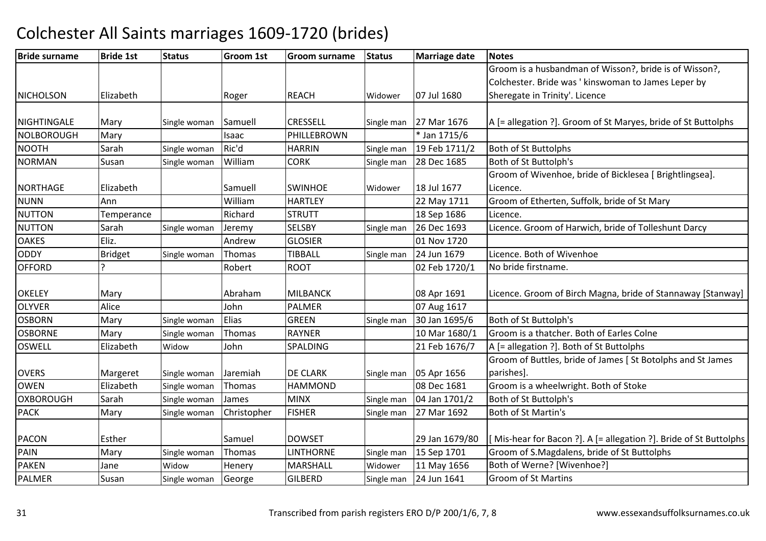| <b>Bride surname</b> | <b>Bride 1st</b> | <b>Status</b> | Groom 1st   | <b>Groom surname</b> | <b>Status</b> | <b>Marriage date</b> | <b>Notes</b>                                                     |
|----------------------|------------------|---------------|-------------|----------------------|---------------|----------------------|------------------------------------------------------------------|
|                      |                  |               |             |                      |               |                      | Groom is a husbandman of Wisson?, bride is of Wisson?,           |
|                      |                  |               |             |                      |               |                      | Colchester. Bride was ' kinswoman to James Leper by              |
| <b>NICHOLSON</b>     | Elizabeth        |               | Roger       | <b>REACH</b>         | Widower       | 07 Jul 1680          | Sheregate in Trinity'. Licence                                   |
|                      |                  |               |             |                      |               |                      |                                                                  |
| <b>NIGHTINGALE</b>   | Mary             | Single woman  | Samuell     | <b>CRESSELL</b>      | Single man    | 27 Mar 1676          | A [= allegation ?]. Groom of St Maryes, bride of St Buttolphs    |
| <b>NOLBOROUGH</b>    | Mary             |               | Isaac       | PHILLEBROWN          |               | * Jan 1715/6         |                                                                  |
| <b>NOOTH</b>         | Sarah            | Single woman  | Ric'd       | <b>HARRIN</b>        | Single man    | 19 Feb 1711/2        | <b>Both of St Buttolphs</b>                                      |
| <b>NORMAN</b>        | Susan            | Single woman  | William     | <b>CORK</b>          | Single man    | 28 Dec 1685          | Both of St Buttolph's                                            |
|                      |                  |               |             |                      |               |                      | Groom of Wivenhoe, bride of Bicklesea [ Brightlingsea].          |
| <b>NORTHAGE</b>      | Elizabeth        |               | Samuell     | <b>SWINHOE</b>       | Widower       | 18 Jul 1677          | Licence.                                                         |
| <b>NUNN</b>          | Ann              |               | William     | <b>HARTLEY</b>       |               | 22 May 1711          | Groom of Etherten, Suffolk, bride of St Mary                     |
| <b>NUTTON</b>        | Temperance       |               | Richard     | <b>STRUTT</b>        |               | 18 Sep 1686          | Licence.                                                         |
| <b>NUTTON</b>        | Sarah            | Single woman  | Jeremy      | <b>SELSBY</b>        | Single man    | 26 Dec 1693          | Licence. Groom of Harwich, bride of Tolleshunt Darcy             |
| <b>OAKES</b>         | Eliz.            |               | Andrew      | <b>GLOSIER</b>       |               | 01 Nov 1720          |                                                                  |
| <b>ODDY</b>          | <b>Bridget</b>   | Single woman  | Thomas      | <b>TIBBALL</b>       | Single man    | 24 Jun 1679          | Licence. Both of Wivenhoe                                        |
| <b>OFFORD</b>        |                  |               | Robert      | <b>ROOT</b>          |               | 02 Feb 1720/1        | No bride firstname.                                              |
|                      |                  |               |             |                      |               |                      |                                                                  |
| <b>OKELEY</b>        | Mary             |               | Abraham     | <b>MILBANCK</b>      |               | 08 Apr 1691          | Licence. Groom of Birch Magna, bride of Stannaway [Stanway]      |
| <b>OLYVER</b>        | Alice            |               | John        | <b>PALMER</b>        |               | 07 Aug 1617          |                                                                  |
| <b>OSBORN</b>        | Mary             | Single woman  | Elias       | <b>GREEN</b>         | Single man    | 30 Jan 1695/6        | Both of St Buttolph's                                            |
| <b>OSBORNE</b>       | Mary             | Single woman  | Thomas      | <b>RAYNER</b>        |               | 10 Mar 1680/1        | Groom is a thatcher. Both of Earles Colne                        |
| <b>OSWELL</b>        | Elizabeth        | Widow         | John        | SPALDING             |               | 21 Feb 1676/7        | A [= allegation ?]. Both of St Buttolphs                         |
|                      |                  |               |             |                      |               |                      | Groom of Buttles, bride of James [St Botolphs and St James       |
| <b>OVERS</b>         | Margeret         | Single woman  | Jaremiah    | <b>DE CLARK</b>      | Single man    | 05 Apr 1656          | parishes].                                                       |
| <b>OWEN</b>          | Elizabeth        | Single woman  | Thomas      | <b>HAMMOND</b>       |               | 08 Dec 1681          | Groom is a wheelwright. Both of Stoke                            |
| <b>OXBOROUGH</b>     | Sarah            | Single woman  | James       | <b>MINX</b>          | Single man    | 04 Jan 1701/2        | Both of St Buttolph's                                            |
| <b>PACK</b>          | Mary             | Single woman  | Christopher | <b>FISHER</b>        | Single man    | 27 Mar 1692          | Both of St Martin's                                              |
|                      |                  |               |             |                      |               |                      |                                                                  |
| <b>PACON</b>         | Esther           |               | Samuel      | <b>DOWSET</b>        |               | 29 Jan 1679/80       | Mis-hear for Bacon ?]. A [= allegation ?]. Bride of St Buttolphs |
| PAIN                 | Mary             | Single woman  | Thomas      | <b>LINTHORNE</b>     | Single man    | 15 Sep 1701          | Groom of S.Magdalens, bride of St Buttolphs                      |
| <b>PAKEN</b>         | Jane             | Widow         | Henery      | MARSHALL             | Widower       | 11 May 1656          | Both of Werne? [Wivenhoe?]                                       |
| <b>PALMER</b>        | Susan            | Single woman  | George      | <b>GILBERD</b>       | Single man    | 24 Jun 1641          | <b>Groom of St Martins</b>                                       |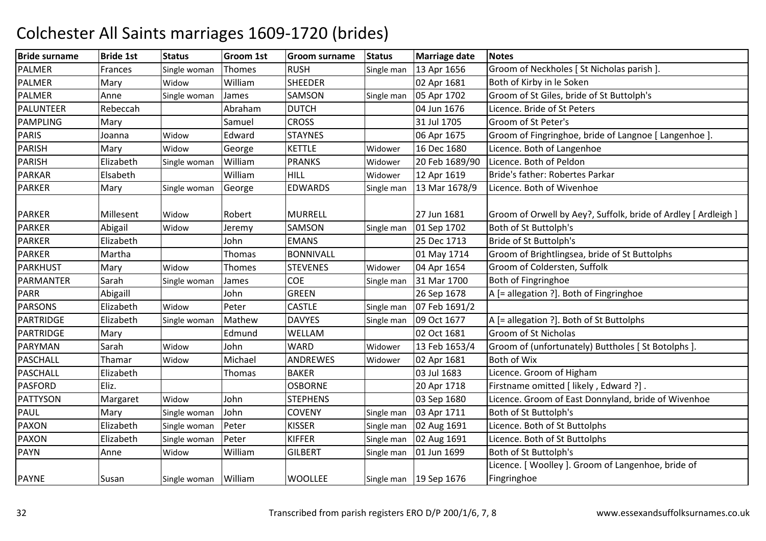| <b>Bride surname</b> | <b>Bride 1st</b> | <b>Status</b>        | <b>Groom 1st</b> | Groom surname    | <b>Status</b> | <b>Marriage date</b>     | <b>Notes</b>                                                   |
|----------------------|------------------|----------------------|------------------|------------------|---------------|--------------------------|----------------------------------------------------------------|
| <b>PALMER</b>        | Frances          | Single woman         | Thomes           | <b>RUSH</b>      | Single man    | 13 Apr 1656              | Groom of Neckholes [ St Nicholas parish ]                      |
| <b>PALMER</b>        | Mary             | Widow                | William          | <b>SHEEDER</b>   |               | 02 Apr 1681              | Both of Kirby in le Soken                                      |
| <b>PALMER</b>        | Anne             | Single woman         | James            | SAMSON           | Single man    | 05 Apr 1702              | Groom of St Giles, bride of St Buttolph's                      |
| PALUNTEER            | Rebeccah         |                      | Abraham          | <b>DUTCH</b>     |               | 04 Jun 1676              | Licence. Bride of St Peters                                    |
| <b>PAMPLING</b>      | Mary             |                      | Samuel           | <b>CROSS</b>     |               | 31 Jul 1705              | Groom of St Peter's                                            |
| <b>PARIS</b>         | Joanna           | Widow                | Edward           | <b>STAYNES</b>   |               | 06 Apr 1675              | Groom of Fingringhoe, bride of Langnoe [ Langenhoe ].          |
| <b>PARISH</b>        | Mary             | Widow                | George           | <b>KETTLE</b>    | Widower       | 16 Dec 1680              | Licence. Both of Langenhoe                                     |
| PARISH               | Elizabeth        | Single woman         | William          | <b>PRANKS</b>    | Widower       | 20 Feb 1689/90           | Licence. Both of Peldon                                        |
| <b>PARKAR</b>        | Elsabeth         |                      | William          | <b>HILL</b>      | Widower       | 12 Apr 1619              | Bride's father: Robertes Parkar                                |
| <b>PARKER</b>        | Mary             | Single woman         | George           | <b>EDWARDS</b>   | Single man    | 13 Mar 1678/9            | Licence. Both of Wivenhoe                                      |
|                      |                  |                      |                  |                  |               |                          |                                                                |
| <b>PARKER</b>        | Millesent        | Widow                | Robert           | <b>MURRELL</b>   |               | 27 Jun 1681              | Groom of Orwell by Aey?, Suffolk, bride of Ardley [ Ardleigh ] |
| <b>PARKER</b>        | Abigail          | Widow                | Jeremy           | SAMSON           | Single man    | 01 Sep 1702              | Both of St Buttolph's                                          |
| <b>PARKER</b>        | Elizabeth        |                      | John             | <b>EMANS</b>     |               | 25 Dec 1713              | Bride of St Buttolph's                                         |
| <b>PARKER</b>        | Martha           |                      | Thomas           | <b>BONNIVALL</b> |               | 01 May 1714              | Groom of Brightlingsea, bride of St Buttolphs                  |
| <b>PARKHUST</b>      | Mary             | Widow                | Thomes           | <b>STEVENES</b>  | Widower       | 04 Apr 1654              | Groom of Coldersten, Suffolk                                   |
| PARMANTER            | Sarah            | Single woman         | James            | COE              | Single man    | 31 Mar 1700              | Both of Fingringhoe                                            |
| <b>PARR</b>          | Abigaill         |                      | John             | <b>GREEN</b>     |               | 26 Sep 1678              | A [= allegation ?]. Both of Fingringhoe                        |
| <b>PARSONS</b>       | Elizabeth        | Widow                | Peter            | <b>CASTLE</b>    | Single man    | 07 Feb 1691/2            |                                                                |
| <b>PARTRIDGE</b>     | Elizabeth        | Single woman         | Mathew           | <b>DAVYES</b>    | Single man    | 09 Oct 1677              | A [= allegation ?]. Both of St Buttolphs                       |
| PARTRIDGE            | Mary             |                      | Edmund           | WELLAM           |               | 02 Oct 1681              | Groom of St Nicholas                                           |
| PARYMAN              | Sarah            | Widow                | John             | <b>WARD</b>      | Widower       | 13 Feb 1653/4            | Groom of (unfortunately) Buttholes [ St Botolphs ].            |
| PASCHALL             | Thamar           | Widow                | Michael          | ANDREWES         | Widower       | 02 Apr 1681              | Both of Wix                                                    |
| <b>PASCHALL</b>      | Elizabeth        |                      | Thomas           | <b>BAKER</b>     |               | 03 Jul 1683              | Licence. Groom of Higham                                       |
| <b>PASFORD</b>       | Eliz.            |                      |                  | <b>OSBORNE</b>   |               | 20 Apr 1718              | Firstname omitted [ likely, Edward ?].                         |
| <b>PATTYSON</b>      | Margaret         | Widow                | John             | <b>STEPHENS</b>  |               | 03 Sep 1680              | Licence. Groom of East Donnyland, bride of Wivenhoe            |
| <b>PAUL</b>          | Mary             | Single woman         | John             | <b>COVENY</b>    | Single man    | 03 Apr 1711              | Both of St Buttolph's                                          |
| <b>PAXON</b>         | Elizabeth        | Single woman         | Peter            | <b>KISSER</b>    | Single man    | 02 Aug 1691              | Licence. Both of St Buttolphs                                  |
| <b>PAXON</b>         | Elizabeth        | Single woman         | Peter            | <b>KIFFER</b>    | Single man    | 02 Aug 1691              | Licence. Both of St Buttolphs                                  |
| <b>PAYN</b>          | Anne             | Widow                | William          | <b>GILBERT</b>   | Single man    | 01 Jun 1699              | Both of St Buttolph's                                          |
|                      |                  |                      |                  |                  |               |                          | Licence. [ Woolley ]. Groom of Langenhoe, bride of             |
| <b>PAYNE</b>         | Susan            | Single woman William |                  | <b>WOOLLEE</b>   |               | Single man   19 Sep 1676 | Fingringhoe                                                    |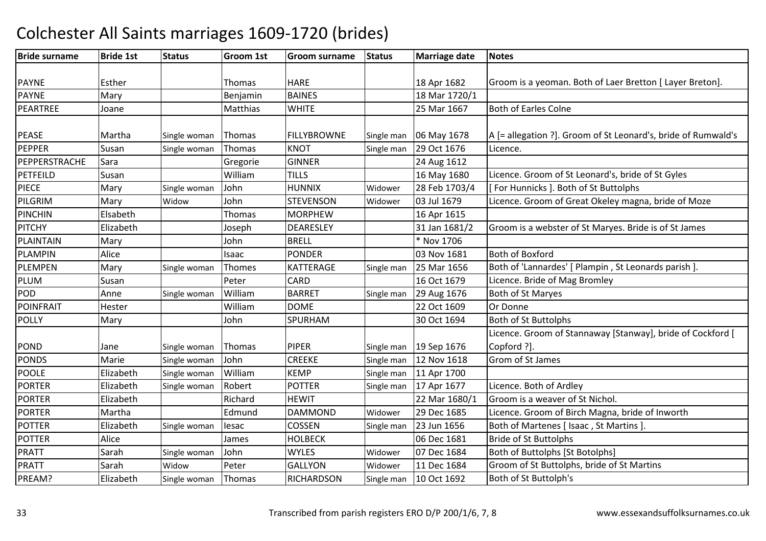#### Bride surnamee |Bride 1st |Status | Groom 1st | Groom surname | Status | Marriage date | Notes PAYNE Esther Thomas HARE 18 Apr 1682 Groom is a yeoman. Both of Laer Bretton [ Layer Breton]. PAYNEMary **Demandal** Benjamin BAINES | 18 Mar 1720/1 PEARTREE Joane Matthias WHITE 25 Mar 166725 Mar 1667 | Both of Earles Colne PEASE Martha Single woman Thomas FILLYBROWNE Single man 06 May 1678  $\vert$ 06 May 1678  $\vert$  |A [= allegation ?]. Groom of St Leonard's, bride of Rumwald's PEPPERR Susan Single woman Thomas KNOT Single man 29 Oct 1676 Licence. PEPPERSTRACHESara **Gregorie GINNER**<br>TILLS 24 Aug 1612<br>16 May 1680 PETFEILDD Susan William William TILLS 16 May 1680 Licence. Groom of St Leonard's, bride of St Gyles<br>John HUNNIX Widower 28 Feb 1703/4 [For Hunnicks ]. Both of St Buttolphs PIECEMary Single woman John<br>Mary Widow John HUNNIX Widower 28 Feb 1703/4 [ For Hunnicks ]. Both of St Buttolphs<br>STEVENSON Widower 03 Jul 1679 Licence. Groom of Great Okeley magi PILGRIMMary Widow John STEVENSON Widower 03 Jul 1679 Licence. Groom of Great Okeley magna, bride of Moze PINCHINN Elsabeth Thomas MORPHEW MORPHEW 16 Apr 1615<br>DEARESLEY 31 Jan 1681/2 **PITCHY**  ElizabethJoseph DEARESLEY 31 Jan 1681/2 Groom is a webster of St Maryes. Bride is of St James<br>John BRELL \* Nov 1706 PLAINTAINN Mary John BRELL \* Nov 1706 PLAMPINN Alice Isaac PONDER 03 Nov 1681 Both of Boxford PLEMPENMary Single woman Thomes KATTERAGE Single man 25 Mar 1656 Both of 'Lannardes' [Plampin , St Leonards parish ].<br>Susan and Peter CARD 16 Oct 1679 Licence. Bride of Mag Bromley PLUMSusan 
Peter CARD 16 Oct 1679 Licence. Bride of Mag Bromley (Susan International CARD 16 Oct 1679 Licence. Bride of Mag Bromley<br>
Anne Single woman William BARRET Single man 29 Aug 1676 Both of St Maryes PODAnne Single woman William<br>Hester Single William BARRET Single man 29 Aug 1676 Both of St Maryes<br>DOME 22 Oct 1609 Or Donne POINFRAITT Hester William m DOME 22 Oct 1609 Or Donne POLLYY Mary John John SPURHAM 30 Oct 1694 Both of St Buttolphs POND Jane Single woman Thomas PIPER PIPER Single man 19 Sep 1676<br>CREEKE Single man 12 Nov 1618 Licence. Groom of Stannaway [Stanway], bride of Cockford [ Copford ?]. PONDS Marie**Single woman** John<br>Single woman William CREEKE Single man 12 Nov 1618 Grom of St James<br>KEMP Single man 11 Apr 1700 POOLE ElizabethSingle woman William KEMP Single man 11 Apr 1700<br>Robert POTTER Single man 17 Apr 1677 PORTERElizabeth Single woman Robert POTTER Single man 17 Apr 1677 Licence. Both of Ardley<br>Elizabeth Richard HEWIT 22 Mar 1680/1 Groom is a weaver of S PORTERGroom is a weaver of St Nichol. PORTERR Martha Redmund DAMMOND DAMMOND Widower 29 Dec 1685 Licence. Groom of Birch Magna, bride of Inworth<br>COSSEN Single man 23 Jun 1656 Both of Martenes [Isaac , St Martins ]. POTTERElizabeth Single woman lesac COSSEN<br>Alice **COSSEN** James HOLBECK Single man 23 Jun 1656 Both of Martenes [ Isaac , St Martins ].<br>06 Dec 1681 Bride of St Buttolphs POTTERR Alice James HOLBECK 06 Dec 1681 Bride of St Buttolphs PRATT SarahSingle woman John MYLES Widower 07 Dec 1684 Both of Buttolphs [St Botolphs]<br>Widow Peter GALLYON Widower 11 Dec 1684 Groom of St Buttolphs, bride of PRATT Sarah WidowWidow Peter GALLYON<br>Single woman Thomas RICHARDS Widower 11 Dec 1684 Groom of St Buttolphs, bride of St Martins<br>Single man 10 Oct 1692 Both of St Buttolph's PREAM? Elizabeth**RICHARDSON Both of St Buttolph's**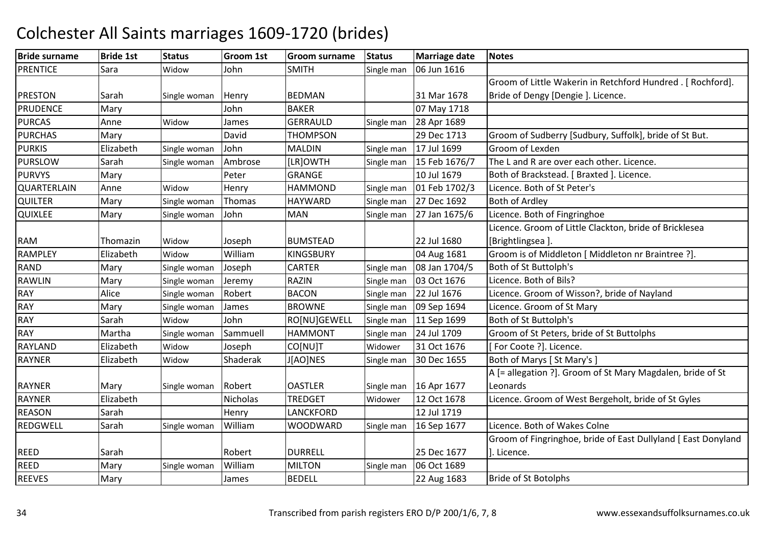| <b>Bride surname</b> | <b>Bride 1st</b> | <b>Status</b> | <b>Groom 1st</b> | <b>Groom surname</b> | <b>Status</b> | <b>Marriage date</b> | Notes                                                         |
|----------------------|------------------|---------------|------------------|----------------------|---------------|----------------------|---------------------------------------------------------------|
| <b>PRENTICE</b>      | Sara             | Widow         | John             | <b>SMITH</b>         | Single man    | 06 Jun 1616          |                                                               |
|                      |                  |               |                  |                      |               |                      | Groom of Little Wakerin in Retchford Hundred . [ Rochford].   |
| <b>PRESTON</b>       | Sarah            | Single woman  | Henry            | <b>BEDMAN</b>        |               | 31 Mar 1678          | Bride of Dengy [Dengie]. Licence.                             |
| <b>PRUDENCE</b>      | Mary             |               | John             | <b>BAKER</b>         |               | 07 May 1718          |                                                               |
| <b>PURCAS</b>        | Anne             | Widow         | James            | <b>GERRAULD</b>      | Single man    | 28 Apr 1689          |                                                               |
| <b>PURCHAS</b>       | Mary             |               | David            | <b>THOMPSON</b>      |               | 29 Dec 1713          | Groom of Sudberry [Sudbury, Suffolk], bride of St But.        |
| <b>PURKIS</b>        | Elizabeth        | Single woman  | John             | <b>MALDIN</b>        | Single man    | 17 Jul 1699          | Groom of Lexden                                               |
| <b>PURSLOW</b>       | Sarah            | Single woman  | Ambrose          | [LR]OWTH             | Single man    | 15 Feb 1676/7        | The L and R are over each other. Licence.                     |
| <b>PURVYS</b>        | Mary             |               | Peter            | <b>GRANGE</b>        |               | 10 Jul 1679          | Both of Brackstead. [ Braxted ]. Licence.                     |
| QUARTERLAIN          | Anne             | Widow         | Henry            | <b>HAMMOND</b>       | Single man    | 01 Feb 1702/3        | Licence. Both of St Peter's                                   |
| <b>QUILTER</b>       | Mary             | Single woman  | Thomas           | <b>HAYWARD</b>       | Single man    | 27 Dec 1692          | <b>Both of Ardley</b>                                         |
| QUIXLEE              | Mary             | Single woman  | John             | <b>MAN</b>           | Single man    | 27 Jan 1675/6        | Licence. Both of Fingringhoe                                  |
|                      |                  |               |                  |                      |               |                      | Licence. Groom of Little Clackton, bride of Bricklesea        |
| <b>RAM</b>           | Thomazin         | Widow         | Joseph           | <b>BUMSTEAD</b>      |               | 22 Jul 1680          | [Brightlingsea].                                              |
| <b>RAMPLEY</b>       | Elizabeth        | Widow         | William          | <b>KINGSBURY</b>     |               | 04 Aug 1681          | Groom is of Middleton [ Middleton nr Braintree ?].            |
| <b>RAND</b>          | Mary             | Single woman  | Joseph           | <b>CARTER</b>        | Single man    | 08 Jan 1704/5        | Both of St Buttolph's                                         |
| <b>RAWLIN</b>        | Mary             | Single woman  | Jeremy           | <b>RAZIN</b>         | Single man    | 03 Oct 1676          | Licence. Both of Bils?                                        |
| <b>RAY</b>           | Alice            | Single woman  | Robert           | <b>BACON</b>         | Single man    | 22 Jul 1676          | Licence. Groom of Wisson?, bride of Nayland                   |
| <b>RAY</b>           | Mary             | Single woman  | James            | <b>BROWNE</b>        | Single man    | 09 Sep 1694          | Licence. Groom of St Mary                                     |
| <b>RAY</b>           | Sarah            | Widow         | John             | RO[NU]GEWELL         | Single man    | 11 Sep 1699          | Both of St Buttolph's                                         |
| <b>RAY</b>           | Martha           | Single woman  | Sammuell         | <b>HAMMONT</b>       | Single man    | 24 Jul 1709          | Groom of St Peters, bride of St Buttolphs                     |
| <b>RAYLAND</b>       | Elizabeth        | Widow         | Joseph           | CO[NU]T              | Widower       | 31 Oct 1676          | [For Coote ?]. Licence.                                       |
| <b>RAYNER</b>        | Elizabeth        | Widow         | Shaderak         | J[AO]NES             | Single man    | 30 Dec 1655          | Both of Marys [ St Mary's ]                                   |
|                      |                  |               |                  |                      |               |                      | A [= allegation ?]. Groom of St Mary Magdalen, bride of St    |
| <b>RAYNER</b>        | Mary             | Single woman  | Robert           | <b>OASTLER</b>       | Single man    | 16 Apr 1677          | Leonards                                                      |
| <b>RAYNER</b>        | Elizabeth        |               | Nicholas         | <b>TREDGET</b>       | Widower       | 12 Oct 1678          | Licence. Groom of West Bergeholt, bride of St Gyles           |
| <b>REASON</b>        | Sarah            |               | Henry            | <b>LANCKFORD</b>     |               | 12 Jul 1719          |                                                               |
| REDGWELL             | Sarah            | Single woman  | William          | <b>WOODWARD</b>      | Single man    | 16 Sep 1677          | Licence. Both of Wakes Colne                                  |
|                      |                  |               |                  |                      |               |                      | Groom of Fingringhoe, bride of East Dullyland [ East Donyland |
| <b>REED</b>          | Sarah            |               | Robert           | <b>DURRELL</b>       |               | 25 Dec 1677          | ]. Licence.                                                   |
| <b>REED</b>          | Mary             | Single woman  | William          | <b>MILTON</b>        | Single man    | 06 Oct 1689          |                                                               |
| <b>REEVES</b>        | Mary             |               | James            | <b>BEDELL</b>        |               | 22 Aug 1683          | <b>Bride of St Botolphs</b>                                   |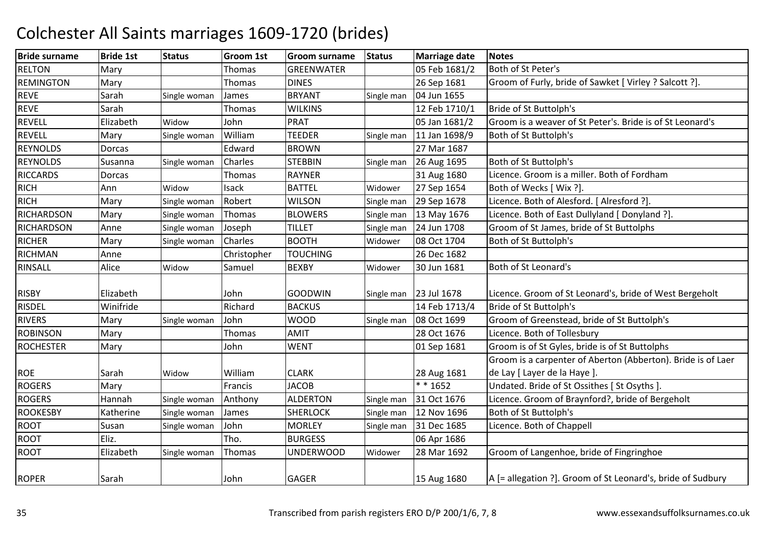| <b>Bride surname</b> | <b>Bride 1st</b> | <b>Status</b> | <b>Groom 1st</b> | <b>Groom surname</b> | <b>Status</b> | <b>Marriage date</b> | <b>Notes</b>                                                 |
|----------------------|------------------|---------------|------------------|----------------------|---------------|----------------------|--------------------------------------------------------------|
| <b>RELTON</b>        | Mary             |               | Thomas           | <b>GREENWATER</b>    |               | 05 Feb 1681/2        | Both of St Peter's                                           |
| <b>REMINGTON</b>     | Mary             |               | Thomas           | <b>DINES</b>         |               | 26 Sep 1681          | Groom of Furly, bride of Sawket [ Virley ? Salcott ?].       |
| <b>REVE</b>          | Sarah            | Single woman  | James            | <b>BRYANT</b>        | Single man    | 04 Jun 1655          |                                                              |
| <b>REVE</b>          | Sarah            |               | Thomas           | <b>WILKINS</b>       |               | 12 Feb 1710/1        | Bride of St Buttolph's                                       |
| <b>REVELL</b>        | Elizabeth        | Widow         | John             | PRAT                 |               | 05 Jan 1681/2        | Groom is a weaver of St Peter's. Bride is of St Leonard's    |
| <b>REVELL</b>        | Mary             | Single woman  | William          | <b>TEEDER</b>        | Single man    | 11 Jan 1698/9        | Both of St Buttolph's                                        |
| <b>REYNOLDS</b>      | Dorcas           |               | Edward           | <b>BROWN</b>         |               | 27 Mar 1687          |                                                              |
| <b>REYNOLDS</b>      | Susanna          | Single woman  | Charles          | <b>STEBBIN</b>       | Single man    | 26 Aug 1695          | Both of St Buttolph's                                        |
| <b>RICCARDS</b>      | Dorcas           |               | Thomas           | <b>RAYNER</b>        |               | 31 Aug 1680          | Licence. Groom is a miller. Both of Fordham                  |
| <b>RICH</b>          | Ann              | Widow         | Isack            | <b>BATTEL</b>        | Widower       | 27 Sep 1654          | Both of Wecks [ Wix ?].                                      |
| <b>RICH</b>          | Mary             | Single woman  | Robert           | <b>WILSON</b>        | Single man    | 29 Sep 1678          | Licence. Both of Alesford. [Alresford ?].                    |
| <b>RICHARDSON</b>    | Mary             | Single woman  | Thomas           | <b>BLOWERS</b>       | Single man    | 13 May 1676          | Licence. Both of East Dullyland [ Donyland ?].               |
| <b>RICHARDSON</b>    | Anne             | Single woman  | Joseph           | <b>TILLET</b>        | Single man    | 24 Jun 1708          | Groom of St James, bride of St Buttolphs                     |
| <b>RICHER</b>        | Mary             | Single woman  | Charles          | <b>BOOTH</b>         | Widower       | 08 Oct 1704          | Both of St Buttolph's                                        |
| <b>RICHMAN</b>       | Anne             |               | Christopher      | <b>TOUCHING</b>      |               | 26 Dec 1682          |                                                              |
| <b>RINSALL</b>       | Alice            | Widow         | Samuel           | <b>BEXBY</b>         | Widower       | 30 Jun 1681          | Both of St Leonard's                                         |
| <b>RISBY</b>         | Elizabeth        |               | John             | <b>GOODWIN</b>       | Single man    | 23 Jul 1678          | Licence. Groom of St Leonard's, bride of West Bergeholt      |
| RISDEL               | Winifride        |               | Richard          | <b>BACKUS</b>        |               | 14 Feb 1713/4        | Bride of St Buttolph's                                       |
| <b>RIVERS</b>        | Mary             | Single woman  | John             | <b>WOOD</b>          | Single man    | 08 Oct 1699          | Groom of Greenstead, bride of St Buttolph's                  |
| <b>ROBINSON</b>      | Mary             |               | Thomas           | <b>AMIT</b>          |               | 28 Oct 1676          | Licence. Both of Tollesbury                                  |
| <b>ROCHESTER</b>     | Mary             |               | John             | <b>WENT</b>          |               | 01 Sep 1681          | Groom is of St Gyles, bride is of St Buttolphs               |
|                      |                  |               |                  |                      |               |                      | Groom is a carpenter of Aberton (Abberton). Bride is of Laer |
| <b>ROE</b>           | Sarah            | Widow         | William          | <b>CLARK</b>         |               | 28 Aug 1681          | de Lay [ Layer de la Haye ].                                 |
| <b>ROGERS</b>        | Mary             |               | Francis          | <b>JACOB</b>         |               | $* * 1652$           | Undated. Bride of St Ossithes [St Osyths]                    |
| <b>ROGERS</b>        | Hannah           | Single woman  | Anthony          | <b>ALDERTON</b>      | Single man    | 31 Oct 1676          | Licence. Groom of Braynford?, bride of Bergeholt             |
| <b>ROOKESBY</b>      | Katherine        | Single woman  | James            | <b>SHERLOCK</b>      | Single man    | 12 Nov 1696          | Both of St Buttolph's                                        |
| <b>ROOT</b>          | Susan            | Single woman  | John             | <b>MORLEY</b>        | Single man    | 31 Dec 1685          | Licence. Both of Chappell                                    |
| <b>ROOT</b>          | Eliz.            |               | Tho.             | <b>BURGESS</b>       |               | 06 Apr 1686          |                                                              |
| <b>ROOT</b>          | Elizabeth        | Single woman  | Thomas           | <b>UNDERWOOD</b>     | Widower       | 28 Mar 1692          | Groom of Langenhoe, bride of Fingringhoe                     |
| <b>ROPER</b>         | Sarah            |               | John             | <b>GAGER</b>         |               | 15 Aug 1680          | A [= allegation ?]. Groom of St Leonard's, bride of Sudbury  |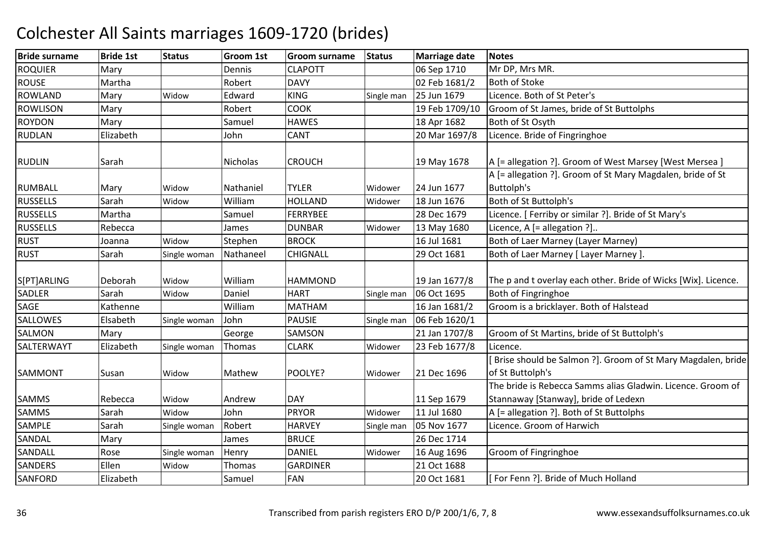| <b>Bride surname</b> | <b>Bride 1st</b> | <b>Status</b> | <b>Groom 1st</b> | <b>Groom surname</b> | <b>Status</b> | <b>Marriage date</b> | <b>Notes</b>                                                   |
|----------------------|------------------|---------------|------------------|----------------------|---------------|----------------------|----------------------------------------------------------------|
| <b>ROQUIER</b>       | Mary             |               | Dennis           | <b>CLAPOTT</b>       |               | 06 Sep 1710          | Mr DP, Mrs MR.                                                 |
| <b>ROUSE</b>         | Martha           |               | Robert           | <b>DAVY</b>          |               | 02 Feb 1681/2        | <b>Both of Stoke</b>                                           |
| <b>ROWLAND</b>       | Mary             | Widow         | Edward           | <b>KING</b>          | Single man    | 25 Jun 1679          | Licence. Both of St Peter's                                    |
| <b>ROWLISON</b>      | Mary             |               | Robert           | <b>COOK</b>          |               | 19 Feb 1709/10       | Groom of St James, bride of St Buttolphs                       |
| <b>ROYDON</b>        | Mary             |               | Samuel           | <b>HAWES</b>         |               | 18 Apr 1682          | Both of St Osyth                                               |
| <b>RUDLAN</b>        | Elizabeth        |               | John             | <b>CANT</b>          |               | 20 Mar 1697/8        | Licence. Bride of Fingringhoe                                  |
|                      |                  |               |                  |                      |               |                      |                                                                |
| <b>RUDLIN</b>        | Sarah            |               | Nicholas         | <b>CROUCH</b>        |               | 19 May 1678          | A [= allegation ?]. Groom of West Marsey [West Mersea ]        |
|                      |                  |               |                  |                      |               |                      | A [= allegation ?]. Groom of St Mary Magdalen, bride of St     |
| <b>RUMBALL</b>       | Mary             | Widow         | Nathaniel        | <b>TYLER</b>         | Widower       | 24 Jun 1677          | <b>Buttolph's</b>                                              |
| <b>RUSSELLS</b>      | Sarah            | Widow         | William          | <b>HOLLAND</b>       | Widower       | 18 Jun 1676          | Both of St Buttolph's                                          |
| <b>RUSSELLS</b>      | Martha           |               | Samuel           | FERRYBEE             |               | 28 Dec 1679          | Licence. [Ferriby or similar ?]. Bride of St Mary's            |
| <b>RUSSELLS</b>      | Rebecca          |               | James            | <b>DUNBAR</b>        | Widower       | 13 May 1680          | Licence, $A$ [= allegation ?]                                  |
| <b>RUST</b>          | Joanna           | Widow         | Stephen          | <b>BROCK</b>         |               | 16 Jul 1681          | Both of Laer Marney (Layer Marney)                             |
| <b>RUST</b>          | Sarah            | Single woman  | Nathaneel        | <b>CHIGNALL</b>      |               | 29 Oct 1681          | Both of Laer Marney [ Layer Marney ].                          |
| S[PT]ARLING          | Deborah          | Widow         | William          | <b>HAMMOND</b>       |               | 19 Jan 1677/8        | The p and t overlay each other. Bride of Wicks [Wix]. Licence. |
| <b>SADLER</b>        | Sarah            | Widow         | Daniel           | <b>HART</b>          | Single man    | 06 Oct 1695          | Both of Fingringhoe                                            |
| <b>SAGE</b>          | Kathenne         |               | William          | <b>MATHAM</b>        |               | 16 Jan 1681/2        | Groom is a bricklayer. Both of Halstead                        |
| SALLOWES             | Elsabeth         | Single woman  | John             | <b>PAUSIE</b>        | Single man    | 06 Feb 1620/1        |                                                                |
| <b>SALMON</b>        | Mary             |               | George           | <b>SAMSON</b>        |               | 21 Jan 1707/8        | Groom of St Martins, bride of St Buttolph's                    |
| SALTERWAYT           | Elizabeth        | Single woman  | Thomas           | <b>CLARK</b>         | Widower       | 23 Feb 1677/8        | Licence.                                                       |
|                      |                  |               |                  |                      |               |                      | Brise should be Salmon ?]. Groom of St Mary Magdalen, bride    |
| SAMMONT              | Susan            | Widow         | Mathew           | POOLYE?              | Widower       | 21 Dec 1696          | of St Buttolph's                                               |
|                      |                  |               |                  |                      |               |                      | The bride is Rebecca Samms alias Gladwin, Licence, Groom of    |
| <b>SAMMS</b>         | Rebecca          | Widow         | Andrew           | <b>DAY</b>           |               | 11 Sep 1679          | Stannaway [Stanway], bride of Ledexn                           |
| <b>SAMMS</b>         | Sarah            | Widow         | John             | <b>PRYOR</b>         | Widower       | 11 Jul 1680          | A [= allegation ?]. Both of St Buttolphs                       |
| SAMPLE               | Sarah            | Single woman  | Robert           | <b>HARVEY</b>        | Single man    | 05 Nov 1677          | Licence. Groom of Harwich                                      |
| SANDAL               | Mary             |               | James            | <b>BRUCE</b>         |               | 26 Dec 1714          |                                                                |
| SANDALL              | Rose             | Single woman  | Henry            | <b>DANIEL</b>        | Widower       | 16 Aug 1696          | Groom of Fingringhoe                                           |
| <b>SANDERS</b>       | Ellen            | Widow         | Thomas           | <b>GARDINER</b>      |               | 21 Oct 1688          |                                                                |
| SANFORD              | Elizabeth        |               | Samuel           | <b>FAN</b>           |               | 20 Oct 1681          | [For Fenn ?]. Bride of Much Holland                            |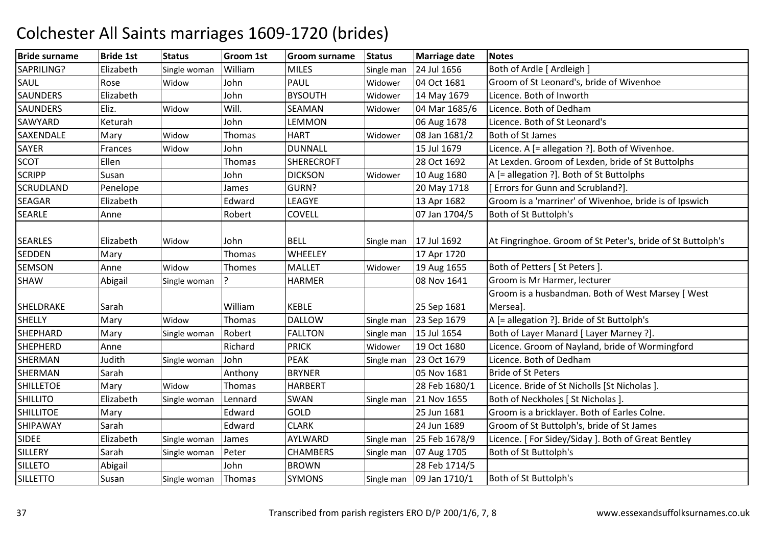| <b>Bride surname</b> | <b>Bride 1st</b> | <b>Status</b> | Groom 1st | Groom surname     | <b>Status</b> | <b>Marriage date</b> | <b>Notes</b>                                                |
|----------------------|------------------|---------------|-----------|-------------------|---------------|----------------------|-------------------------------------------------------------|
| SAPRILING?           | Elizabeth        | Single woman  | William   | <b>MILES</b>      | Single man    | 24 Jul 1656          | Both of Ardle [ Ardleigh ]                                  |
| SAUL                 | Rose             | Widow         | John      | <b>PAUL</b>       | Widower       | 04 Oct 1681          | Groom of St Leonard's, bride of Wivenhoe                    |
| <b>SAUNDERS</b>      | Elizabeth        |               | John      | <b>BYSOUTH</b>    | Widower       | 14 May 1679          | Licence. Both of Inworth                                    |
| <b>SAUNDERS</b>      | Eliz.            | Widow         | Will.     | SEAMAN            | Widower       | 04 Mar 1685/6        | Licence. Both of Dedham                                     |
| SAWYARD              | Keturah          |               | John      | <b>LEMMON</b>     |               | 06 Aug 1678          | Licence. Both of St Leonard's                               |
| SAXENDALE            | Mary             | Widow         | Thomas    | <b>HART</b>       | Widower       | 08 Jan 1681/2        | <b>Both of St James</b>                                     |
| <b>SAYER</b>         | Frances          | Widow         | John      | <b>DUNNALL</b>    |               | 15 Jul 1679          | Licence. A [= allegation ?]. Both of Wivenhoe.              |
| <b>SCOT</b>          | Ellen            |               | Thomas    | <b>SHERECROFT</b> |               | 28 Oct 1692          | At Lexden. Groom of Lexden, bride of St Buttolphs           |
| <b>SCRIPP</b>        | Susan            |               | John      | <b>DICKSON</b>    | Widower       | 10 Aug 1680          | A [= allegation ?]. Both of St Buttolphs                    |
| <b>SCRUDLAND</b>     | Penelope         |               | James     | GURN?             |               | 20 May 1718          | <b>Errors for Gunn and Scrubland?].</b>                     |
| <b>SEAGAR</b>        | Elizabeth        |               | Edward    | LEAGYE            |               | 13 Apr 1682          | Groom is a 'marriner' of Wivenhoe, bride is of Ipswich      |
| <b>SEARLE</b>        | Anne             |               | Robert    | <b>COVELL</b>     |               | 07 Jan 1704/5        | Both of St Buttolph's                                       |
|                      |                  |               |           |                   |               |                      |                                                             |
| <b>SEARLES</b>       | Elizabeth        | Widow         | John      | <b>BELL</b>       | Single man    | 17 Jul 1692          | At Fingringhoe. Groom of St Peter's, bride of St Buttolph's |
| <b>SEDDEN</b>        | Mary             |               | Thomas    | WHEELEY           |               | 17 Apr 1720          |                                                             |
| <b>SEMSON</b>        | Anne             | Widow         | Thomes    | <b>MALLET</b>     | Widower       | 19 Aug 1655          | Both of Petters [ St Peters ].                              |
| <b>SHAW</b>          | Abigail          | Single woman  |           | <b>HARMER</b>     |               | 08 Nov 1641          | Groom is Mr Harmer, lecturer                                |
|                      |                  |               |           |                   |               |                      | Groom is a husbandman. Both of West Marsey [ West           |
| SHELDRAKE            | Sarah            |               | William   | <b>KEBLE</b>      |               | 25 Sep 1681          | Mersea].                                                    |
| <b>SHELLY</b>        | Mary             | Widow         | Thomas    | <b>DALLOW</b>     | Single man    | 23 Sep 1679          | A [= allegation ?]. Bride of St Buttolph's                  |
| <b>SHEPHARD</b>      | Mary             | Single woman  | Robert    | <b>FALLTON</b>    | Single man    | 15 Jul 1654          | Both of Layer Manard [ Layer Marney ?].                     |
| <b>SHEPHERD</b>      | Anne             |               | Richard   | <b>PRICK</b>      | Widower       | 19 Oct 1680          | Licence. Groom of Nayland, bride of Wormingford             |
| <b>SHERMAN</b>       | Judith           | Single woman  | John      | <b>PEAK</b>       | Single man    | 23 Oct 1679          | Licence. Both of Dedham                                     |
| SHERMAN              | Sarah            |               | Anthony   | <b>BRYNER</b>     |               | 05 Nov 1681          | <b>Bride of St Peters</b>                                   |
| <b>SHILLETOE</b>     | Mary             | Widow         | Thomas    | <b>HARBERT</b>    |               | 28 Feb 1680/1        | Licence. Bride of St Nicholls [St Nicholas ].               |
| <b>SHILLITO</b>      | Elizabeth        | Single woman  | Lennard   | SWAN              | Single man    | 21 Nov 1655          | Both of Neckholes [ St Nicholas ].                          |
| <b>SHILLITOE</b>     | Mary             |               | Edward    | GOLD              |               | 25 Jun 1681          | Groom is a bricklayer. Both of Earles Colne.                |
| SHIPAWAY             | Sarah            |               | Edward    | <b>CLARK</b>      |               | 24 Jun 1689          | Groom of St Buttolph's, bride of St James                   |
| <b>SIDEE</b>         | Elizabeth        | Single woman  | James     | AYLWARD           | Single man    | 25 Feb 1678/9        | Licence. [For Sidey/Siday]. Both of Great Bentley           |
| SILLERY              | Sarah            | Single woman  | Peter     | <b>CHAMBERS</b>   | Single man    | 07 Aug 1705          | Both of St Buttolph's                                       |
| <b>SILLETO</b>       | Abigail          |               | John      | <b>BROWN</b>      |               | 28 Feb 1714/5        |                                                             |
| <b>SILLETTO</b>      | Susan            | Single woman  | Thomas    | <b>SYMONS</b>     | Single man    | 09 Jan 1710/1        | Both of St Buttolph's                                       |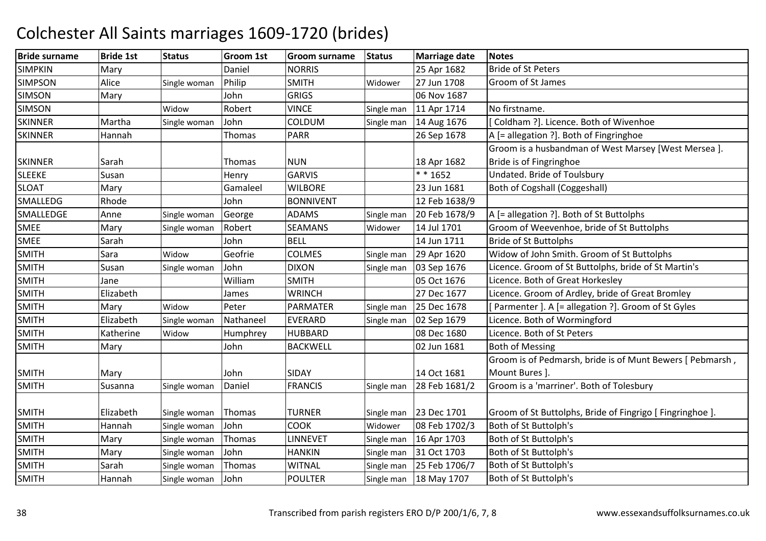| <b>Bride surname</b> | <b>Bride 1st</b> | <b>Status</b> | Groom 1st | <b>Groom surname</b> | <b>Status</b> | Marriage date | <b>Notes</b>                                              |
|----------------------|------------------|---------------|-----------|----------------------|---------------|---------------|-----------------------------------------------------------|
| <b>SIMPKIN</b>       | Mary             |               | Daniel    | <b>NORRIS</b>        |               | 25 Apr 1682   | <b>Bride of St Peters</b>                                 |
| <b>SIMPSON</b>       | Alice            | Single woman  | Philip    | <b>SMITH</b>         | Widower       | 27 Jun 1708   | Groom of St James                                         |
| <b>SIMSON</b>        | Mary             |               | John      | <b>GRIGS</b>         |               | 06 Nov 1687   |                                                           |
| <b>SIMSON</b>        |                  | Widow         | Robert    | <b>VINCE</b>         | Single man    | 11 Apr 1714   | No firstname.                                             |
| <b>SKINNER</b>       | Martha           | Single woman  | John      | COLDUM               | Single man    | 14 Aug 1676   | Coldham ?]. Licence. Both of Wivenhoe                     |
| <b>SKINNER</b>       | Hannah           |               | Thomas    | <b>PARR</b>          |               | 26 Sep 1678   | A [= allegation ?]. Both of Fingringhoe                   |
|                      |                  |               |           |                      |               |               | Groom is a husbandman of West Marsey [West Mersea].       |
| <b>SKINNER</b>       | Sarah            |               | Thomas    | <b>NUN</b>           |               | 18 Apr 1682   | Bride is of Fingringhoe                                   |
| <b>SLEEKE</b>        | Susan            |               | Henry     | <b>GARVIS</b>        |               | $* * 1652$    | Undated. Bride of Toulsbury                               |
| <b>SLOAT</b>         | Mary             |               | Gamaleel  | <b>WILBORE</b>       |               | 23 Jun 1681   | <b>Both of Cogshall (Coggeshall)</b>                      |
| SMALLEDG             | Rhode            |               | John      | <b>BONNIVENT</b>     |               | 12 Feb 1638/9 |                                                           |
| SMALLEDGE            | Anne             | Single woman  | George    | <b>ADAMS</b>         | Single man    | 20 Feb 1678/9 | A [= allegation ?]. Both of St Buttolphs                  |
| <b>SMEE</b>          | Mary             | Single woman  | Robert    | <b>SEAMANS</b>       | Widower       | 14 Jul 1701   | Groom of Weevenhoe, bride of St Buttolphs                 |
| <b>SMEE</b>          | Sarah            |               | John      | <b>BELL</b>          |               | 14 Jun 1711   | <b>Bride of St Buttolphs</b>                              |
| <b>SMITH</b>         | Sara             | Widow         | Geofrie   | <b>COLMES</b>        | Single man    | 29 Apr 1620   | Widow of John Smith. Groom of St Buttolphs                |
| <b>SMITH</b>         | Susan            | Single woman  | John      | <b>DIXON</b>         | Single man    | 03 Sep 1676   | Licence. Groom of St Buttolphs, bride of St Martin's      |
| <b>SMITH</b>         | Jane             |               | William   | <b>SMITH</b>         |               | 05 Oct 1676   | Licence. Both of Great Horkesley                          |
| <b>SMITH</b>         | Elizabeth        |               | James     | <b>WRINCH</b>        |               | 27 Dec 1677   | Licence. Groom of Ardley, bride of Great Bromley          |
| <b>SMITH</b>         | Mary             | Widow         | Peter     | <b>PARMATER</b>      | Single man    | 25 Dec 1678   | Parmenter ]. A [= allegation ?]. Groom of St Gyles        |
| <b>SMITH</b>         | Elizabeth        | Single woman  | Nathaneel | EVERARD              | Single man    | 02 Sep 1679   | Licence. Both of Wormingford                              |
| <b>SMITH</b>         | Katherine        | Widow         | Humphrey  | <b>HUBBARD</b>       |               | 08 Dec 1680   | Licence. Both of St Peters                                |
| <b>SMITH</b>         | Mary             |               | John      | <b>BACKWELL</b>      |               | 02 Jun 1681   | <b>Both of Messing</b>                                    |
|                      |                  |               |           |                      |               |               | Groom is of Pedmarsh, bride is of Munt Bewers [ Pebmarsh, |
| <b>SMITH</b>         | Mary             |               | John      | <b>SIDAY</b>         |               | 14 Oct 1681   | Mount Bures ].                                            |
| <b>SMITH</b>         | Susanna          | Single woman  | Daniel    | <b>FRANCIS</b>       | Single man    | 28 Feb 1681/2 | Groom is a 'marriner'. Both of Tolesbury                  |
|                      |                  |               |           |                      |               |               |                                                           |
| <b>SMITH</b>         | Elizabeth        | Single woman  | Thomas    | <b>TURNER</b>        | Single man    | 23 Dec 1701   | Groom of St Buttolphs, Bride of Fingrigo [ Fingringhoe ]. |
| <b>SMITH</b>         | Hannah           | Single woman  | John      | <b>COOK</b>          | Widower       | 08 Feb 1702/3 | Both of St Buttolph's                                     |
| <b>SMITH</b>         | Mary             | Single woman  | Thomas    | <b>LINNEVET</b>      | Single man    | 16 Apr 1703   | Both of St Buttolph's                                     |
| <b>SMITH</b>         | Mary             | Single woman  | John      | <b>HANKIN</b>        | Single man    | 31 Oct 1703   | Both of St Buttolph's                                     |
| <b>SMITH</b>         | Sarah            | Single woman  | Thomas    | <b>WITNAL</b>        | Single man    | 25 Feb 1706/7 | Both of St Buttolph's                                     |
| <b>SMITH</b>         | Hannah           | Single woman  | John      | <b>POULTER</b>       | Single man    | 18 May 1707   | Both of St Buttolph's                                     |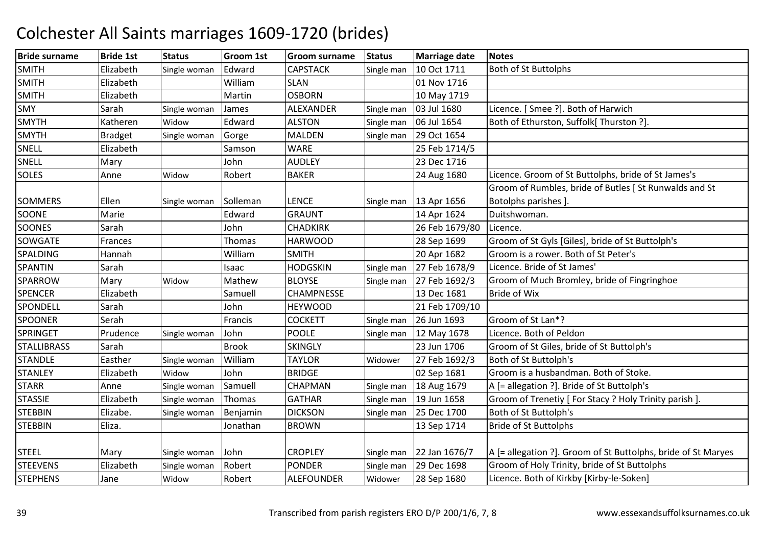| <b>Bride surname</b> | <b>Bride 1st</b> | <b>Status</b> | <b>Groom 1st</b> | <b>Groom surname</b> | <b>Status</b> | Marriage date  | <b>Notes</b>                                                  |
|----------------------|------------------|---------------|------------------|----------------------|---------------|----------------|---------------------------------------------------------------|
| <b>SMITH</b>         | Elizabeth        | Single woman  | Edward           | <b>CAPSTACK</b>      | Single man    | 10 Oct 1711    | <b>Both of St Buttolphs</b>                                   |
| <b>SMITH</b>         | Elizabeth        |               | William          | <b>SLAN</b>          |               | 01 Nov 1716    |                                                               |
| SMITH                | Elizabeth        |               | Martin           | <b>OSBORN</b>        |               | 10 May 1719    |                                                               |
| <b>SMY</b>           | Sarah            | Single woman  | James            | ALEXANDER            | Single man    | 03 Jul 1680    | Licence. [ Smee ?]. Both of Harwich                           |
| <b>SMYTH</b>         | Katheren         | Widow         | Edward           | <b>ALSTON</b>        | Single man    | 06 Jul 1654    | Both of Ethurston, Suffolk[ Thurston ?].                      |
| <b>SMYTH</b>         | <b>Bradget</b>   | Single woman  | Gorge            | <b>MALDEN</b>        | Single man    | 29 Oct 1654    |                                                               |
| <b>SNELL</b>         | Elizabeth        |               | Samson           | <b>WARE</b>          |               | 25 Feb 1714/5  |                                                               |
| <b>SNELL</b>         | Mary             |               | John             | <b>AUDLEY</b>        |               | 23 Dec 1716    |                                                               |
| <b>SOLES</b>         | Anne             | Widow         | Robert           | <b>BAKER</b>         |               | 24 Aug 1680    | Licence. Groom of St Buttolphs, bride of St James's           |
|                      |                  |               |                  |                      |               |                | Groom of Rumbles, bride of Butles [ St Runwalds and St        |
| <b>SOMMERS</b>       | Ellen            | Single woman  | Solleman         | <b>LENCE</b>         | Single man    | 13 Apr 1656    | Botolphs parishes ].                                          |
| <b>SOONE</b>         | Marie            |               | Edward           | <b>GRAUNT</b>        |               | 14 Apr 1624    | Duitshwoman.                                                  |
| <b>SOONES</b>        | Sarah            |               | John             | <b>CHADKIRK</b>      |               | 26 Feb 1679/80 | Licence.                                                      |
| SOWGATE              | Frances          |               | Thomas           | <b>HARWOOD</b>       |               | 28 Sep 1699    | Groom of St Gyls [Giles], bride of St Buttolph's              |
| SPALDING             | Hannah           |               | William          | <b>SMITH</b>         |               | 20 Apr 1682    | Groom is a rower. Both of St Peter's                          |
| SPANTIN              | Sarah            |               | Isaac            | <b>HODGSKIN</b>      | Single man    | 27 Feb 1678/9  | Licence. Bride of St James'                                   |
| SPARROW              | Mary             | Widow         | Mathew           | <b>BLOYSE</b>        | Single man    | 27 Feb 1692/3  | Groom of Much Bromley, bride of Fingringhoe                   |
| <b>SPENCER</b>       | Elizabeth        |               | Samuell          | CHAMPNESSE           |               | 13 Dec 1681    | <b>Bride of Wix</b>                                           |
| SPONDELL             | Sarah            |               | John             | <b>HEYWOOD</b>       |               | 21 Feb 1709/10 |                                                               |
| <b>SPOONER</b>       | Serah            |               | Francis          | <b>COCKETT</b>       | Single man    | 26 Jun 1693    | Groom of St Lan*?                                             |
| <b>SPRINGET</b>      | Prudence         | Single woman  | John             | <b>POOLE</b>         | Single man    | 12 May 1678    | Licence. Both of Peldon                                       |
| <b>STALLIBRASS</b>   | Sarah            |               | <b>Brook</b>     | <b>SKINGLY</b>       |               | 23 Jun 1706    | Groom of St Giles, bride of St Buttolph's                     |
| <b>STANDLE</b>       | Easther          | Single woman  | William          | <b>TAYLOR</b>        | Widower       | 27 Feb 1692/3  | Both of St Buttolph's                                         |
| <b>STANLEY</b>       | Elizabeth        | Widow         | John             | <b>BRIDGE</b>        |               | 02 Sep 1681    | Groom is a husbandman. Both of Stoke.                         |
| <b>STARR</b>         | Anne             | Single woman  | Samuell          | CHAPMAN              | Single man    | 18 Aug 1679    | A [= allegation ?]. Bride of St Buttolph's                    |
| <b>STASSIE</b>       | Elizabeth        | Single woman  | Thomas           | <b>GATHAR</b>        | Single man    | 19 Jun 1658    | Groom of Trenetiy [ For Stacy ? Holy Trinity parish ].        |
| <b>STEBBIN</b>       | Elizabe.         | Single woman  | Benjamin         | <b>DICKSON</b>       | Single man    | 25 Dec 1700    | Both of St Buttolph's                                         |
| <b>STEBBIN</b>       | Eliza.           |               | Jonathan         | <b>BROWN</b>         |               | 13 Sep 1714    | <b>Bride of St Buttolphs</b>                                  |
|                      |                  |               |                  |                      |               |                |                                                               |
| <b>STEEL</b>         | Mary             | Single woman  | John             | <b>CROPLEY</b>       | Single man    | 22 Jan 1676/7  | A [= allegation ?]. Groom of St Buttolphs, bride of St Maryes |
| <b>STEEVENS</b>      | Elizabeth        | Single woman  | Robert           | <b>PONDER</b>        | Single man    | 29 Dec 1698    | Groom of Holy Trinity, bride of St Buttolphs                  |
| <b>STEPHENS</b>      | Jane             | Widow         | Robert           | <b>ALEFOUNDER</b>    | Widower       | 28 Sep 1680    | Licence. Both of Kirkby [Kirby-le-Soken]                      |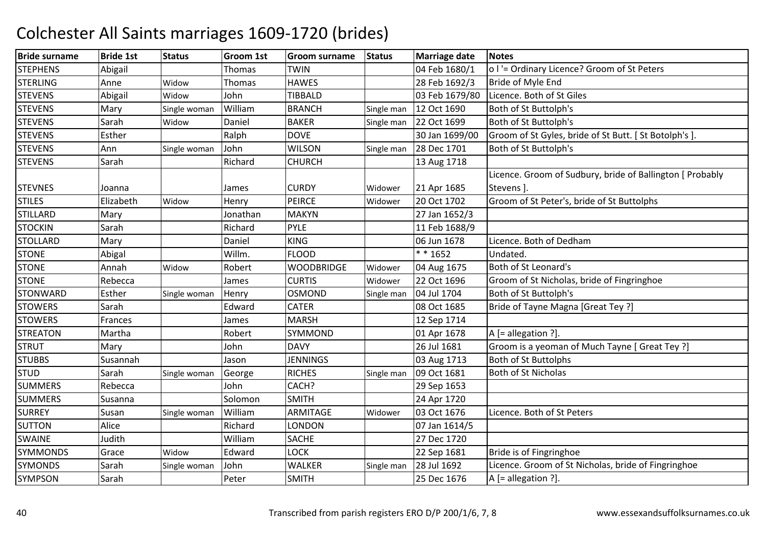| <b>Bride surname</b> | <b>Bride 1st</b> | <b>Status</b> | Groom 1st | <b>Groom surname</b> | <b>Status</b> | <b>Marriage date</b> | <b>Notes</b>                                              |
|----------------------|------------------|---------------|-----------|----------------------|---------------|----------------------|-----------------------------------------------------------|
| <b>STEPHENS</b>      | Abigail          |               | Thomas    | TWIN                 |               | 04 Feb 1680/1        | o I'= Ordinary Licence? Groom of St Peters                |
| <b>STERLING</b>      | Anne             | Widow         | Thomas    | <b>HAWES</b>         |               | 28 Feb 1692/3        | Bride of Myle End                                         |
| <b>STEVENS</b>       | Abigail          | Widow         | John      | <b>TIBBALD</b>       |               | 03 Feb 1679/80       | Licence. Both of St Giles                                 |
| <b>STEVENS</b>       | Mary             | Single woman  | William   | <b>BRANCH</b>        | Single man    | 12 Oct 1690          | Both of St Buttolph's                                     |
| <b>STEVENS</b>       | Sarah            | Widow         | Daniel    | <b>BAKER</b>         | Single man    | 22 Oct 1699          | Both of St Buttolph's                                     |
| <b>STEVENS</b>       | Esther           |               | Ralph     | <b>DOVE</b>          |               | 30 Jan 1699/00       | Groom of St Gyles, bride of St Butt. [St Botolph's].      |
| <b>STEVENS</b>       | Ann              | Single woman  | John      | <b>WILSON</b>        | Single man    | 28 Dec 1701          | Both of St Buttolph's                                     |
| <b>STEVENS</b>       | Sarah            |               | Richard   | <b>CHURCH</b>        |               | 13 Aug 1718          |                                                           |
|                      |                  |               |           |                      |               |                      | Licence. Groom of Sudbury, bride of Ballington [ Probably |
| <b>STEVNES</b>       | Joanna           |               | James     | <b>CURDY</b>         | Widower       | 21 Apr 1685          | Stevens ].                                                |
| <b>STILES</b>        | Elizabeth        | Widow         | Henry     | <b>PEIRCE</b>        | Widower       | 20 Oct 1702          | Groom of St Peter's, bride of St Buttolphs                |
| <b>STILLARD</b>      | Mary             |               | Jonathan  | <b>MAKYN</b>         |               | 27 Jan 1652/3        |                                                           |
| <b>STOCKIN</b>       | Sarah            |               | Richard   | <b>PYLE</b>          |               | 11 Feb 1688/9        |                                                           |
| <b>STOLLARD</b>      | Mary             |               | Daniel    | <b>KING</b>          |               | 06 Jun 1678          | Licence. Both of Dedham                                   |
| <b>STONE</b>         | Abigal           |               | Willm.    | <b>FLOOD</b>         |               | $* * 1652$           | Undated.                                                  |
| <b>STONE</b>         | Annah            | Widow         | Robert    | <b>WOODBRIDGE</b>    | Widower       | 04 Aug 1675          | Both of St Leonard's                                      |
| <b>STONE</b>         | Rebecca          |               | James     | <b>CURTIS</b>        | Widower       | 22 Oct 1696          | Groom of St Nicholas, bride of Fingringhoe                |
| <b>STONWARD</b>      | Esther           | Single woman  | Henry     | <b>OSMOND</b>        | Single man    | 04 Jul 1704          | Both of St Buttolph's                                     |
| <b>STOWERS</b>       | Sarah            |               | Edward    | <b>CATER</b>         |               | 08 Oct 1685          | Bride of Tayne Magna [Great Tey ?]                        |
| <b>STOWERS</b>       | Frances          |               | James     | <b>MARSH</b>         |               | 12 Sep 1714          |                                                           |
| <b>STREATON</b>      | Martha           |               | Robert    | SYMMOND              |               | 01 Apr 1678          | A [= allegation ?].                                       |
| <b>STRUT</b>         | Mary             |               | John      | <b>DAVY</b>          |               | 26 Jul 1681          | Groom is a yeoman of Much Tayne [ Great Tey ?]            |
| <b>STUBBS</b>        | Susannah         |               | Jason     | <b>JENNINGS</b>      |               | 03 Aug 1713          | <b>Both of St Buttolphs</b>                               |
| <b>STUD</b>          | Sarah            | Single woman  | George    | <b>RICHES</b>        | Single man    | 09 Oct 1681          | Both of St Nicholas                                       |
| <b>SUMMERS</b>       | Rebecca          |               | John      | CACH?                |               | 29 Sep 1653          |                                                           |
| <b>SUMMERS</b>       | Susanna          |               | Solomon   | <b>SMITH</b>         |               | 24 Apr 1720          |                                                           |
| <b>SURREY</b>        | Susan            | Single woman  | William   | ARMITAGE             | Widower       | 03 Oct 1676          | Licence. Both of St Peters                                |
| <b>SUTTON</b>        | Alice            |               | Richard   | LONDON               |               | 07 Jan 1614/5        |                                                           |
| <b>SWAINE</b>        | Judith           |               | William   | <b>SACHE</b>         |               | 27 Dec 1720          |                                                           |
| <b>SYMMONDS</b>      | Grace            | Widow         | Edward    | <b>LOCK</b>          |               | 22 Sep 1681          | Bride is of Fingringhoe                                   |
| <b>SYMONDS</b>       | Sarah            | Single woman  | John      | WALKER               | Single man    | 28 Jul 1692          | Licence. Groom of St Nicholas, bride of Fingringhoe       |
| <b>SYMPSON</b>       | Sarah            |               | Peter     | <b>SMITH</b>         |               | 25 Dec 1676          | $A$ [= allegation ?].                                     |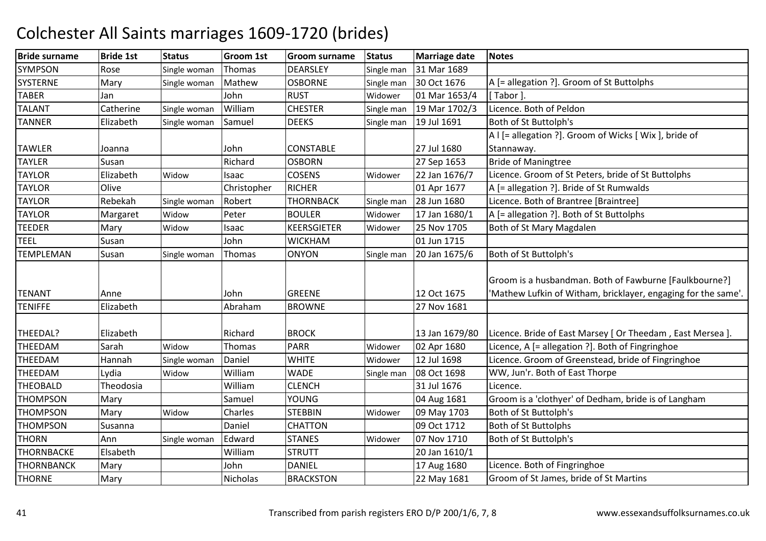| <b>Bride surname</b> | <b>Bride 1st</b> | <b>Status</b> | Groom 1st   | Groom surname    | <b>Status</b> | <b>Marriage date</b> | <b>Notes</b>                                                                                                            |
|----------------------|------------------|---------------|-------------|------------------|---------------|----------------------|-------------------------------------------------------------------------------------------------------------------------|
| <b>SYMPSON</b>       | Rose             | Single woman  | Thomas      | <b>DEARSLEY</b>  | Single man    | 31 Mar 1689          |                                                                                                                         |
| <b>SYSTERNE</b>      | Mary             | Single woman  | Mathew      | <b>OSBORNE</b>   | Single man    | 30 Oct 1676          | A [= allegation ?]. Groom of St Buttolphs                                                                               |
| <b>TABER</b>         | Jan              |               | John        | <b>RUST</b>      | Widower       | 01 Mar 1653/4        | Tabor 1.                                                                                                                |
| <b>TALANT</b>        | Catherine        | Single woman  | William     | <b>CHESTER</b>   | Single man    | 19 Mar 1702/3        | Licence. Both of Peldon                                                                                                 |
| <b>TANNER</b>        | Elizabeth        | Single woman  | Samuel      | <b>DEEKS</b>     | Single man    | 19 Jul 1691          | Both of St Buttolph's                                                                                                   |
|                      |                  |               |             |                  |               |                      | A I [= allegation ?]. Groom of Wicks [ Wix ], bride of                                                                  |
| <b>TAWLER</b>        | Joanna           |               | John        | <b>CONSTABLE</b> |               | 27 Jul 1680          | Stannaway.                                                                                                              |
| <b>TAYLER</b>        | Susan            |               | Richard     | <b>OSBORN</b>    |               | 27 Sep 1653          | <b>Bride of Maningtree</b>                                                                                              |
| <b>TAYLOR</b>        | Elizabeth        | Widow         | Isaac       | <b>COSENS</b>    | Widower       | 22 Jan 1676/7        | Licence. Groom of St Peters, bride of St Buttolphs                                                                      |
| <b>TAYLOR</b>        | Olive            |               | Christopher | <b>RICHER</b>    |               | 01 Apr 1677          | A [= allegation ?]. Bride of St Rumwalds                                                                                |
| <b>TAYLOR</b>        | Rebekah          | Single woman  | Robert      | <b>THORNBACK</b> | Single man    | 28 Jun 1680          | Licence. Both of Brantree [Braintree]                                                                                   |
| <b>TAYLOR</b>        | Margaret         | Widow         | Peter       | <b>BOULER</b>    | Widower       | 17 Jan 1680/1        | A [= allegation ?]. Both of St Buttolphs                                                                                |
| <b>TEEDER</b>        | Mary             | Widow         | Isaac       | KEERSGIETER      | Widower       | 25 Nov 1705          | Both of St Mary Magdalen                                                                                                |
| <b>TEEL</b>          | Susan            |               | John        | <b>WICKHAM</b>   |               | 01 Jun 1715          |                                                                                                                         |
| <b>TEMPLEMAN</b>     | Susan            | Single woman  | Thomas      | <b>ONYON</b>     | Single man    | 20 Jan 1675/6        | Both of St Buttolph's                                                                                                   |
| <b>TENANT</b>        | Anne             |               | John        | <b>GREENE</b>    |               | 12 Oct 1675          | Groom is a husbandman. Both of Fawburne [Faulkbourne?]<br>'Mathew Lufkin of Witham, bricklayer, engaging for the same'. |
| <b>TENIFFE</b>       | Elizabeth        |               | Abraham     | <b>BROWNE</b>    |               | 27 Nov 1681          |                                                                                                                         |
| THEEDAL?             | Elizabeth        |               | Richard     | <b>BROCK</b>     |               | 13 Jan 1679/80       | Licence. Bride of East Marsey [ Or Theedam, East Mersea ].                                                              |
| THEEDAM              | Sarah            | Widow         | Thomas      | <b>PARR</b>      | Widower       | 02 Apr 1680          | Licence, A [= allegation ?]. Both of Fingringhoe                                                                        |
| THEEDAM              | Hannah           | Single woman  | Daniel      | <b>WHITE</b>     | Widower       | 12 Jul 1698          | Licence. Groom of Greenstead, bride of Fingringhoe                                                                      |
| THEEDAM              | Lydia            | Widow         | William     | <b>WADE</b>      | Single man    | 08 Oct 1698          | WW, Jun'r. Both of East Thorpe                                                                                          |
| <b>THEOBALD</b>      | Theodosia        |               | William     | <b>CLENCH</b>    |               | 31 Jul 1676          | Licence.                                                                                                                |
| <b>THOMPSON</b>      | Mary             |               | Samuel      | <b>YOUNG</b>     |               | 04 Aug 1681          | Groom is a 'clothyer' of Dedham, bride is of Langham                                                                    |
| <b>THOMPSON</b>      | Mary             | Widow         | Charles     | <b>STEBBIN</b>   | Widower       | 09 May 1703          | Both of St Buttolph's                                                                                                   |
| <b>THOMPSON</b>      | Susanna          |               | Daniel      | <b>CHATTON</b>   |               | 09 Oct 1712          | <b>Both of St Buttolphs</b>                                                                                             |
| <b>THORN</b>         | Ann              | Single woman  | Edward      | <b>STANES</b>    | Widower       | 07 Nov 1710          | Both of St Buttolph's                                                                                                   |
| <b>THORNBACKE</b>    | Elsabeth         |               | William     | <b>STRUTT</b>    |               | 20 Jan 1610/1        |                                                                                                                         |
| <b>THORNBANCK</b>    | Mary             |               | John        | <b>DANIEL</b>    |               | 17 Aug 1680          | Licence. Both of Fingringhoe                                                                                            |
| <b>THORNE</b>        | Mary             |               | Nicholas    | <b>BRACKSTON</b> |               | 22 May 1681          | Groom of St James, bride of St Martins                                                                                  |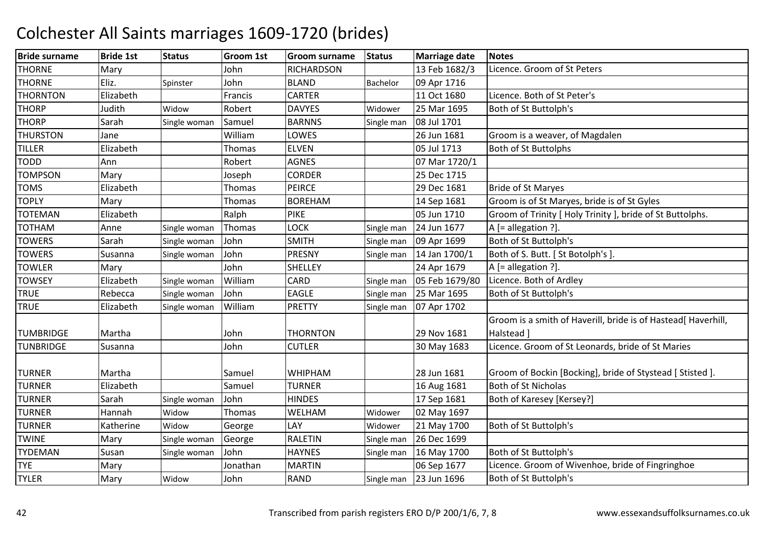| <b>Bride surname</b> | <b>Bride 1st</b> | <b>Status</b> | Groom 1st | <b>Groom surname</b> | <b>Status</b> | <b>Marriage date</b> | <b>Notes</b>                                                  |
|----------------------|------------------|---------------|-----------|----------------------|---------------|----------------------|---------------------------------------------------------------|
| <b>THORNE</b>        | Mary             |               | John      | <b>RICHARDSON</b>    |               | 13 Feb 1682/3        | Licence. Groom of St Peters                                   |
| <b>THORNE</b>        | Eliz.            | Spinster      | John      | <b>BLAND</b>         | Bachelor      | 09 Apr 1716          |                                                               |
| <b>THORNTON</b>      | Elizabeth        |               | Francis   | <b>CARTER</b>        |               | 11 Oct 1680          | Licence. Both of St Peter's                                   |
| <b>THORP</b>         | Judith           | Widow         | Robert    | <b>DAVYES</b>        | Widower       | 25 Mar 1695          | Both of St Buttolph's                                         |
| <b>THORP</b>         | Sarah            | Single woman  | Samuel    | <b>BARNNS</b>        | Single man    | 08 Jul 1701          |                                                               |
| <b>THURSTON</b>      | Jane             |               | William   | LOWES                |               | 26 Jun 1681          | Groom is a weaver, of Magdalen                                |
| <b>TILLER</b>        | Elizabeth        |               | Thomas    | <b>ELVEN</b>         |               | 05 Jul 1713          | <b>Both of St Buttolphs</b>                                   |
| <b>TODD</b>          | Ann              |               | Robert    | <b>AGNES</b>         |               | 07 Mar 1720/1        |                                                               |
| <b>TOMPSON</b>       | Mary             |               | Joseph    | <b>CORDER</b>        |               | 25 Dec 1715          |                                                               |
| <b>TOMS</b>          | Elizabeth        |               | Thomas    | <b>PEIRCE</b>        |               | 29 Dec 1681          | <b>Bride of St Maryes</b>                                     |
| <b>TOPLY</b>         | Mary             |               | Thomas    | <b>BOREHAM</b>       |               | 14 Sep 1681          | Groom is of St Maryes, bride is of St Gyles                   |
| <b>TOTEMAN</b>       | Elizabeth        |               | Ralph     | <b>PIKE</b>          |               | 05 Jun 1710          | Groom of Trinity [ Holy Trinity ], bride of St Buttolphs.     |
| <b>TOTHAM</b>        | Anne             | Single woman  | Thomas    | <b>LOCK</b>          | Single man    | 24 Jun 1677          | A [= allegation ?].                                           |
| <b>TOWERS</b>        | Sarah            | Single woman  | John      | <b>SMITH</b>         | Single man    | 09 Apr 1699          | Both of St Buttolph's                                         |
| <b>TOWERS</b>        | Susanna          | Single woman  | John      | <b>PRESNY</b>        | Single man    | 14 Jan 1700/1        | Both of S. Butt. [ St Botolph's ].                            |
| <b>TOWLER</b>        | Mary             |               | John      | <b>SHELLEY</b>       |               | 24 Apr 1679          | A [= allegation ?].                                           |
| <b>TOWSEY</b>        | Elizabeth        | Single woman  | William   | CARD                 | Single man    | 05 Feb 1679/80       | Licence. Both of Ardley                                       |
| <b>TRUE</b>          | Rebecca          | Single woman  | John      | <b>EAGLE</b>         | Single man    | 25 Mar 1695          | Both of St Buttolph's                                         |
| <b>TRUE</b>          | Elizabeth        | Single woman  | William   | <b>PRETTY</b>        | Single man    | 07 Apr 1702          |                                                               |
|                      |                  |               |           |                      |               |                      | Groom is a smith of Haverill, bride is of Hastead[ Haverhill, |
| <b>TUMBRIDGE</b>     | Martha           |               | John      | <b>THORNTON</b>      |               | 29 Nov 1681          | Halstead ]                                                    |
| <b>TUNBRIDGE</b>     | Susanna          |               | John      | <b>CUTLER</b>        |               | 30 May 1683          | Licence. Groom of St Leonards, bride of St Maries             |
|                      |                  |               |           |                      |               |                      |                                                               |
| <b>TURNER</b>        | Martha           |               | Samuel    | <b>WHIPHAM</b>       |               | 28 Jun 1681          | Groom of Bockin [Bocking], bride of Stystead [ Stisted ].     |
| <b>TURNER</b>        | Elizabeth        |               | Samuel    | <b>TURNER</b>        |               | 16 Aug 1681          | <b>Both of St Nicholas</b>                                    |
| <b>TURNER</b>        | Sarah            | Single woman  | John      | <b>HINDES</b>        |               | 17 Sep 1681          | Both of Karesey [Kersey?]                                     |
| <b>TURNER</b>        | Hannah           | Widow         | Thomas    | WELHAM               | Widower       | 02 May 1697          |                                                               |
| <b>TURNER</b>        | Katherine        | Widow         | George    | LAY                  | Widower       | 21 May 1700          | Both of St Buttolph's                                         |
| <b>TWINE</b>         | Mary             | Single woman  | George    | <b>RALETIN</b>       | Single man    | 26 Dec 1699          |                                                               |
| <b>TYDEMAN</b>       | Susan            | Single woman  | John      | <b>HAYNES</b>        | Single man    | 16 May 1700          | Both of St Buttolph's                                         |
| <b>TYE</b>           | Mary             |               | Jonathan  | <b>MARTIN</b>        |               | 06 Sep 1677          | Licence. Groom of Wivenhoe, bride of Fingringhoe              |
| <b>TYLER</b>         | Mary             | Widow         | John      | <b>RAND</b>          | Single man    | 23 Jun 1696          | Both of St Buttolph's                                         |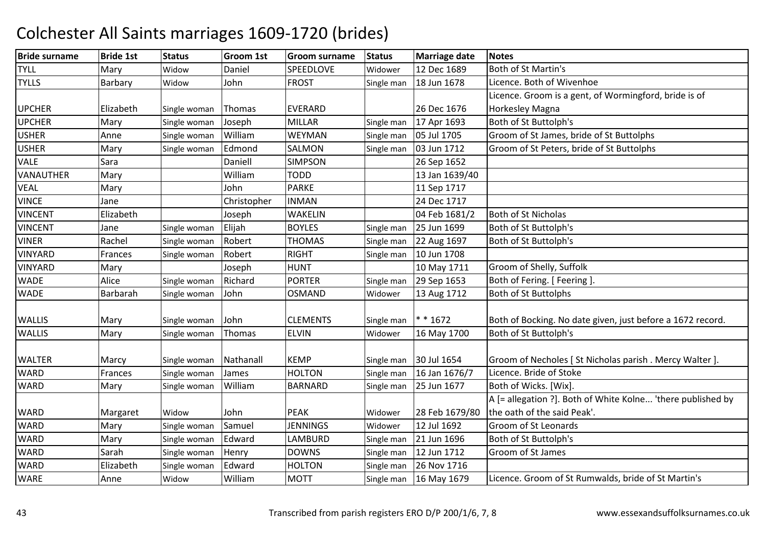#### Bride surnamee |Bride 1st |Status | Groom 1st | Groom surname | Status | Marriage date | Notes TYLL Mary WidowWidow Daniel SPEEDLOVE Widower 12 Dec 1689 Both of St Martin's<br>Widow John FROST Single man 18 Jun 1678 Licence. Both of Wi **TYLLS** Barbary Licence. Both of Wivenhoe UPCHER Elizabeth<br>UPCHER Mary Single woman Thomas EVERARD 26 Dec 1676<br>Single woman Joseph MILLAR Single man 17 Apr 1693 Licence. Groom is a gent, of Wormingford, bride is ofHorkesley MagnaR Mary Single woman Joseph MILLAR Single man 17 Apr 1693 Both of St Buttolph's UPCHERUSHERAnne Single woman William William WEYMAN Single man 05 Jul 1705 Groom of St James, bride of St Buttolphs<br>Edmond SALMON Single man 03 Jun 1712 Groom of St Peters, bride of St Buttolphs USHER Mary Single woman Edmond SALMONGroom of St Peters, bride of St Buttolphs VALEE Sara Sara Daniell SIMPSON 26 Sep 1652 **VANAUTHER** R Mary Nilliam <u>William TODD 13 Jan 1639/40</u><br>John PARKE 11 Sep 1717 VEAL Maryy John John John PARKE 11 Sep 1717<br>Christopher INMAN 24 Dec 1717 VINCE JaneChristopher 24 Dec 1717<br>04 Feb 1681/2 VINCENT ElizabethJoseph WAKELIN<br>Elijah BOYLES 04 Feb 1681/2 Both of St Nicholas<br>Single man 25 Jun 1699 Both of St Buttolph VINCENT JaneSingle woman 25 Jun 1699 Both of St Buttolph's<br>22 Aug 1697 Both of St Buttolph's VINERRachel Single woman Robert THOMAS Single man 22 Aug 1697 Both of St Buttolph's VINYARDD Frances Single woman Robert RIGHT Single man 10 Jun 1708 VINYARDMary 10 Joseph HUNT 10 May 1711 Groom of Shelly, Suffolk<br>Alice Single woman Richard PORTER Single man 29 Sep 1653 Both of Fering [Feering **WADE**  AliceSingle woman PORTER<br>OSMAND Both of Fering. [ Feering ] **WADE**  Barbarah $Single$  woman John Widower | 13 Aug 1712 | Both of St Buttolphs WALLIS Mary Single woman John CLEMENTS Single man  $*$  \* 1672 \* \* 1672 Both of Bocking. No date given, just before a 1672 record. **WALLIS** Mary Single woman Thomas ELVINWidower | 16 May 1700 | Both of St Buttolph's WALTER Marcy Single woman Nathanall KEMP<br>WARD Frances Single woman James HOLTON Single man 30 Jul 1654 Groom of Necholes [St Nicholas parish . Mercy Walter ].<br>Single man 16 Jan 1676/7 Licence. Bride of Stoke **WARD** Frances Single woman James HOLTON<br>
Mary Single woman William BARNARD Single man 16 Jan 1676/7 Licence. Bride of Stoke<br>Single man 25 Jun 1677 Both of Wicks. [Wix]. WARDSingle woman Both of Wicks. [Wix]. WARD Margaret Widow Vidow John PEAK Widower 28 Feb 1679/80<br>Single woman Samuel JENNINGS Widower 12 Jul 1692 A [= allegation ?]. Both of White Kolne... 'there published by the oath of the said Peak'. **WARD** D Mary Single woman Samuel JENNINGS Widower 12 Jul 1692 Groom of St Leonards **WARD** D Mary Single woman Edward LAMBURD Single man 21 Jun 1696 Both of St Buttolph's **WARD** D Sarah Single woman Henry DOWNS Single man 12 Jun 1712 Groom of St James **WARD** Elizabeth Single woman Edward HOLTON<br>
Anne Widow William MOTT Single man 26 Nov 1716<br>Single man 16 May 1679 WARE Anne**Widow**  WilliamLicence. Groom of St Rumwalds, bride of St Martin's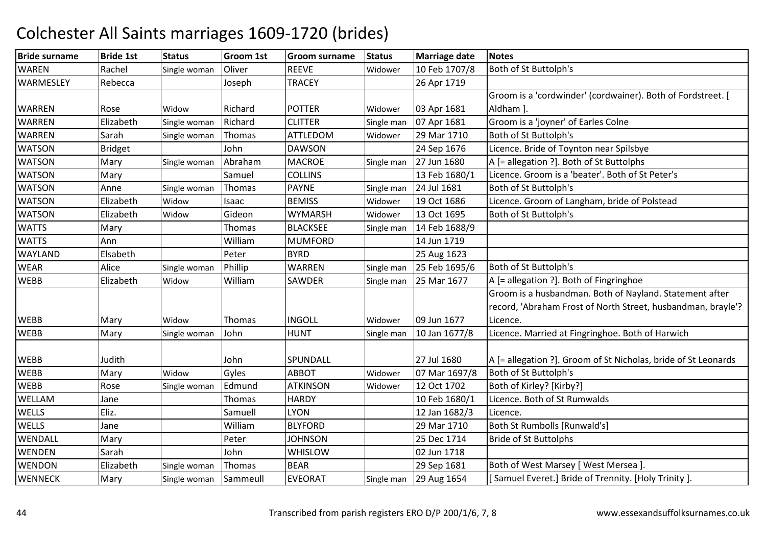#### Bride surnamee |Bride 1st |Status | Groom 1st | Groom surname | Status | Marriage date | Notes **WARFN** N Rachel Single woman Oliver REEVE Widower 10 Feb 1707/8 Both of St Buttolph's **WARMESLEY** Rebecca | Joseph TRACEY 26 Apr 1719 WARREN Rose Widow<br>WARREN Flizabeth Single v Widow Richard POTTER Widower 03 Apr 1681<br>Single woman Richard CLITTER Single man 07 Apr 1681 Groom is a 'cordwinder' (cordwainer). Both of Fordstreet. [ Aldham ].WARRENElizabeth Single woman Richard CLITTER Single man 07 Apr 1681 Groom is a 'joyner' of Earles Colne<br>Sarah Single woman Thomas ATTLEDOM Widower 29 Mar 1710 Both of St Buttoloh's WARRENSarah Single woman Thomas ATTLEDOM<br>Bridget Bill John DAWSON 29 Mar 1710 Both of St Buttolph's<br>24 Sep 1676 Licence. Bride of Tovi WATSONBridget 1.1 Iohn 1980 DAWSON 24 Sep 1676 Licence. Bride of Toynton near Spilsbye<br>Mary 1.1 Single woman Abraham MACROE 5ingle man 27 Jun 1680 A [= allegation ?]. Both of St Buttolphs **WATSON** Mary Single woman Abraham<br>Mary Samuel MACROE Single man 27 Jun 1680 A [= allegation ?]. Both of St Buttolphs<br>COLLINS 13 Feb 1680/1 Licence. Groom is a 'beater'. Both of St **WATSON** Mary Samuel COLLINS 13 Feb 1680/1 Licence. Groom is a 'beater'. Both of St Peter's<br>Anne Single woman Thomas PAYNE Single man 24 Jul 1681 Both of St Buttolph's WATSONN Anne Single woman Thomas PAYNE Single man 24 Jul 1681 Both of St Buttolph's **WATSON** Elizabeth Widow Isaac BEMISS Widower 19 Oct 1686 Licence. Groom of Langham, bride of Polstead<br>Elizabeth Widow Gideon WYMARSH Widower 13 Oct 1695 Both of St Buttolph's **WATSON** N Elizabeth Widow Gideon WYMARSH Widower 13 Oct 1695 Both of St Buttolph's **WATTS** S Mary Thomas BLACKSEE BLACKSEE Single man 14 Feb 1688/9 **WATTS**  Ann Williamm MUMFORD 14 Jun 1719 WAYLANDD Elsabeth Peter BYRD 25 Aug 1623 WEARAlice Single woman Phillip WARREN<br>Elizabeth Widow William SAWDER Single man  $\begin{array}{|l|l|} \hline \end{array}$  25 Feb 1695/6 Both of St Buttolph's<br>Single man 25 Mar 1677 A [= allegation ?]. Both **WEBB**  Elizabeth Widow WilliamSingle man 25 Mar 1677  $|A|$  = allegation ?]. Both of Fingringhoe WEBB Mary Widow w Thomas INGOLL Widower 09 Jun 1677 Groom is a husbandman. Both of Nayland. Statement after record, 'Abraham Frost of North Street, husbandman, brayle'? Licence.**WFBB** Mary Single woman John HUNT Single man 10 Jan 1677/8 Licence. Married at Fingringhoe. Both of Harwich WEBB Judith John SPUNDALL 27 Jul 168027 Jul 1680  $\overline{A}$  [= allegation ?]. Groom of St Nicholas, bride of St Leonards<br>07 Mar 1697/8 Both of St Buttolph's **WFRB** B Mary Widow Widow Gyles ABBOT Widower 07 Mar 1697/8 Both of St Buttolph's<br>Single woman Edmund ATKINSON Widower 12 Oct 1702 Both of Kirley? [Kirby WEBBRose Single woman Edmund ATKINS<br>Jane Thomas HARDY 12 Oct 1702 Both of Kirley? [Kirby?]<br>10 Feb 1680/1 Licence. Both of St Rumwalds WELLAMM Jane Thomas HARDY 10 Feb 1680/1 Licence. Both of St Rumwalds<br>EU CARL MONTEN UVON 143 by 1692/2 Licence. Both of St Rumwalds **WELLS** S Eliz. 1999 [Eliz. 2010] [Samuell LYON LYON
12 Jan 1682/3
Licence.
12 Jan 1682/3
Licence.
12 Mar 1710
Both St **WFLLS**  Jane William29 Mar 1710 Both St Rumbolls [Runwald's]<br>25 Dec 1714 Bride of St Buttolphs WENDALL MaryPeter JJOHNSON JOHNSON 25 Dec 1714 Bride of St Buttolphs<br>WHISLOW 02 Jun 1718 WENDENN Sarah John WHISLOW 02 Jun 1718<br>29 Sep 1681 **WENDON** Elizabeth Single woman Thomas BEAR 29 Sep 1681 Both of West Marsey [West Mersea ].<br>Mary Single woman Sammeull EVEORAT Single man 29 Aug 1654 [Samuel Everet.] Bride of Trennity. [Hence] **WENNECK** Samuel Everet.] Bride of Trennity. [Holy Trinity ]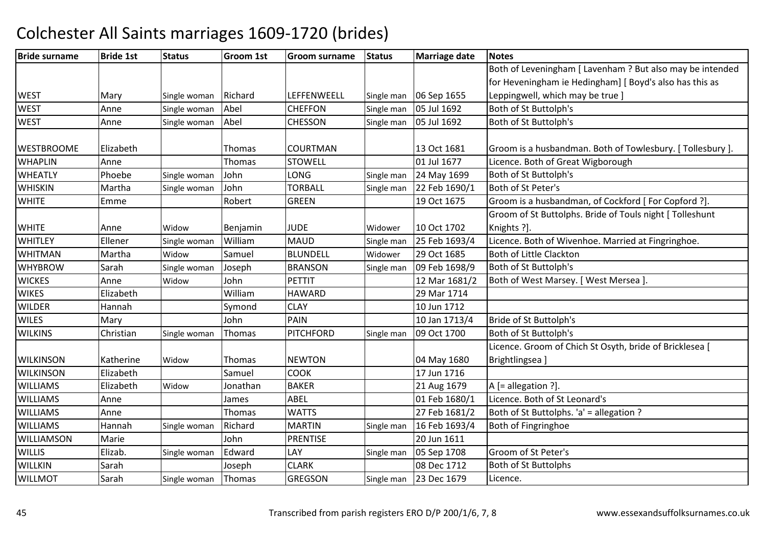| <b>Bride surname</b> | <b>Bride 1st</b> | <b>Status</b> | Groom 1st | Groom surname    | <b>Status</b> | <b>Marriage date</b> | <b>Notes</b>                                              |
|----------------------|------------------|---------------|-----------|------------------|---------------|----------------------|-----------------------------------------------------------|
|                      |                  |               |           |                  |               |                      | Both of Leveningham [ Lavenham ? But also may be intended |
|                      |                  |               |           |                  |               |                      | for Heveningham ie Hedingham] [ Boyd's also has this as   |
| <b>WEST</b>          | Mary             | Single woman  | Richard   | LEFFENWEELL      | Single man    | 06 Sep 1655          | Leppingwell, which may be true ]                          |
| <b>WEST</b>          | Anne             | Single woman  | Abel      | <b>CHEFFON</b>   | Single man    | 05 Jul 1692          | Both of St Buttolph's                                     |
| <b>WEST</b>          | Anne             | Single woman  | Abel      | <b>CHESSON</b>   | Single man    | 05 Jul 1692          | Both of St Buttolph's                                     |
| <b>WESTBROOME</b>    | Elizabeth        |               | Thomas    | <b>COURTMAN</b>  |               | 13 Oct 1681          | Groom is a husbandman. Both of Towlesbury. [Tollesbury ]. |
| <b>WHAPLIN</b>       | Anne             |               | Thomas    | <b>STOWELL</b>   |               | 01 Jul 1677          | Licence. Both of Great Wigborough                         |
| <b>WHEATLY</b>       | Phoebe           | Single woman  | John      | <b>LONG</b>      | Single man    | 24 May 1699          | Both of St Buttolph's                                     |
| <b>WHISKIN</b>       | Martha           | Single woman  | John      | <b>TORBALL</b>   | Single man    | 22 Feb 1690/1        | Both of St Peter's                                        |
| <b>WHITE</b>         | Emme             |               | Robert    | <b>GREEN</b>     |               | 19 Oct 1675          | Groom is a husbandman, of Cockford [For Copford ?].       |
|                      |                  |               |           |                  |               |                      | Groom of St Buttolphs. Bride of Touls night [ Tolleshunt  |
| <b>WHITE</b>         | Anne             | Widow         | Benjamin  | <b>JUDE</b>      | Widower       | 10 Oct 1702          | Knights ?].                                               |
| <b>WHITLEY</b>       | Ellener          | Single woman  | William   | <b>MAUD</b>      | Single man    | 25 Feb 1693/4        | Licence. Both of Wivenhoe. Married at Fingringhoe.        |
| <b>WHITMAN</b>       | Martha           | Widow         | Samuel    | <b>BLUNDELL</b>  | Widower       | 29 Oct 1685          | <b>Both of Little Clackton</b>                            |
| <b>WHYBROW</b>       | Sarah            | Single woman  | Joseph    | <b>BRANSON</b>   | Single man    | 09 Feb 1698/9        | Both of St Buttolph's                                     |
| <b>WICKES</b>        | Anne             | Widow         | John      | <b>PETTIT</b>    |               | 12 Mar 1681/2        | Both of West Marsey. [ West Mersea ].                     |
| <b>WIKES</b>         | Elizabeth        |               | William   | <b>HAWARD</b>    |               | 29 Mar 1714          |                                                           |
| <b>WILDER</b>        | Hannah           |               | Symond    | <b>CLAY</b>      |               | 10 Jun 1712          |                                                           |
| <b>WILES</b>         | Mary             |               | John      | PAIN             |               | 10 Jan 1713/4        | Bride of St Buttolph's                                    |
| <b>WILKINS</b>       | Christian        | Single woman  | Thomas    | <b>PITCHFORD</b> | Single man    | 09 Oct 1700          | Both of St Buttolph's                                     |
|                      |                  |               |           |                  |               |                      | Licence. Groom of Chich St Osyth, bride of Bricklesea [   |
| <b>WILKINSON</b>     | Katherine        | Widow         | Thomas    | <b>NEWTON</b>    |               | 04 May 1680          | Brightlingsea                                             |
| <b>WILKINSON</b>     | Elizabeth        |               | Samuel    | <b>COOK</b>      |               | 17 Jun 1716          |                                                           |
| <b>WILLIAMS</b>      | Elizabeth        | Widow         | Jonathan  | <b>BAKER</b>     |               | 21 Aug 1679          | A [= allegation ?].                                       |
| <b>WILLIAMS</b>      | Anne             |               | James     | ABEL             |               | 01 Feb 1680/1        | Licence. Both of St Leonard's                             |
| <b>WILLIAMS</b>      | Anne             |               | Thomas    | <b>WATTS</b>     |               | 27 Feb 1681/2        | Both of St Buttolphs. 'a' = allegation ?                  |
| <b>WILLIAMS</b>      | Hannah           | Single woman  | Richard   | <b>MARTIN</b>    | Single man    | 16 Feb 1693/4        | Both of Fingringhoe                                       |
| WILLIAMSON           | Marie            |               | John      | <b>PRENTISE</b>  |               | 20 Jun 1611          |                                                           |
| <b>WILLIS</b>        | Elizab.          | Single woman  | Edward    | LAY              | Single man    | 05 Sep 1708          | Groom of St Peter's                                       |
| WILLKIN              | Sarah            |               | Joseph    | <b>CLARK</b>     |               | 08 Dec 1712          | <b>Both of St Buttolphs</b>                               |
| <b>WILLMOT</b>       | Sarah            | Single woman  | Thomas    | <b>GREGSON</b>   | Single man    | 23 Dec 1679          | Licence.                                                  |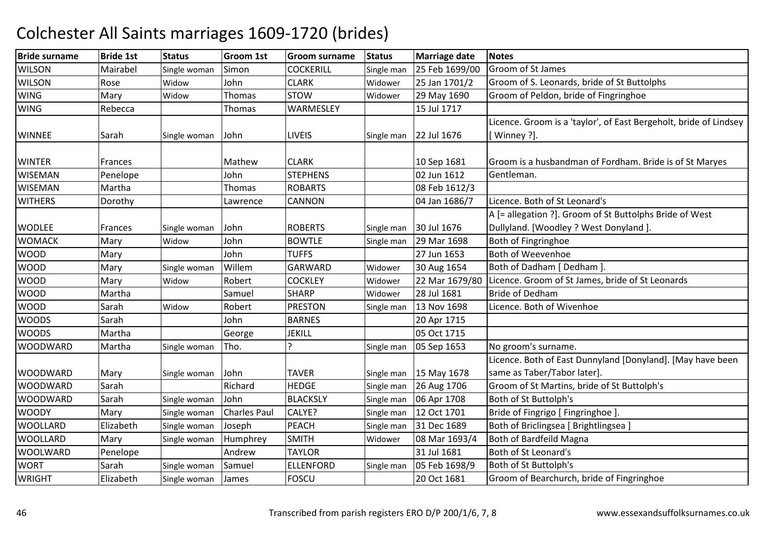| <b>Bride surname</b> | <b>Bride 1st</b> | <b>Status</b> | Groom 1st           | <b>Groom surname</b> | <b>Status</b> | <b>Marriage date</b> | <b>Notes</b>                                                      |
|----------------------|------------------|---------------|---------------------|----------------------|---------------|----------------------|-------------------------------------------------------------------|
| <b>WILSON</b>        | Mairabel         | Single woman  | Simon               | <b>COCKERILL</b>     | Single man    | 25 Feb 1699/00       | Groom of St James                                                 |
| <b>WILSON</b>        | Rose             | Widow         | John                | <b>CLARK</b>         | Widower       | 25 Jan 1701/2        | Groom of S. Leonards, bride of St Buttolphs                       |
| <b>WING</b>          | Mary             | Widow         | Thomas              | <b>STOW</b>          | Widower       | 29 May 1690          | Groom of Peldon, bride of Fingringhoe                             |
| <b>WING</b>          | Rebecca          |               | Thomas              | WARMESLEY            |               | 15 Jul 1717          |                                                                   |
|                      |                  |               |                     |                      |               |                      | Licence. Groom is a 'taylor', of East Bergeholt, bride of Lindsey |
| <b>WINNEE</b>        | Sarah            | Single woman  | John                | <b>LIVEIS</b>        | Single man    | 22 Jul 1676          | Winney ?].                                                        |
|                      |                  |               |                     |                      |               |                      |                                                                   |
| <b>WINTER</b>        | Frances          |               | Mathew              | <b>CLARK</b>         |               | 10 Sep 1681          | Groom is a husbandman of Fordham. Bride is of St Maryes           |
| <b>WISEMAN</b>       | Penelope         |               | John                | <b>STEPHENS</b>      |               | 02 Jun 1612          | Gentleman.                                                        |
| <b>WISEMAN</b>       | Martha           |               | Thomas              | <b>ROBARTS</b>       |               | 08 Feb 1612/3        |                                                                   |
| <b>WITHERS</b>       | Dorothy          |               | Lawrence            | <b>CANNON</b>        |               | 04 Jan 1686/7        | Licence. Both of St Leonard's                                     |
|                      |                  |               |                     |                      |               |                      | A [= allegation ?]. Groom of St Buttolphs Bride of West           |
| <b>WODLEE</b>        | Frances          | Single woman  | John                | <b>ROBERTS</b>       | Single man    | 30 Jul 1676          | Dullyland. [Woodley ? West Donyland ].                            |
| <b>WOMACK</b>        | Mary             | Widow         | John                | <b>BOWTLE</b>        | Single man    | 29 Mar 1698          | Both of Fingringhoe                                               |
| <b>WOOD</b>          | Mary             |               | John                | <b>TUFFS</b>         |               | 27 Jun 1653          | <b>Both of Weevenhoe</b>                                          |
| <b>WOOD</b>          | Mary             | Single woman  | Willem              | GARWARD              | Widower       | 30 Aug 1654          | Both of Dadham [ Dedham ].                                        |
| <b>WOOD</b>          | Mary             | Widow         | Robert              | <b>COCKLEY</b>       | Widower       | 22 Mar 1679/80       | Licence. Groom of St James, bride of St Leonards                  |
| <b>WOOD</b>          | Martha           |               | Samuel              | <b>SHARP</b>         | Widower       | 28 Jul 1681          | <b>Bride of Dedham</b>                                            |
| <b>WOOD</b>          | Sarah            | Widow         | Robert              | <b>PRESTON</b>       | Single man    | 13 Nov 1698          | Licence. Both of Wivenhoe                                         |
| <b>WOODS</b>         | Sarah            |               | John                | <b>BARNES</b>        |               | 20 Apr 1715          |                                                                   |
| <b>WOODS</b>         | Martha           |               | George              | <b>JEKILL</b>        |               | 05 Oct 1715          |                                                                   |
| <b>WOODWARD</b>      | Martha           | Single woman  | Tho.                |                      | Single man    | 05 Sep 1653          | No groom's surname.                                               |
|                      |                  |               |                     |                      |               |                      | Licence. Both of East Dunnyland [Donyland]. [May have been        |
| <b>WOODWARD</b>      | Mary             | Single woman  | John                | <b>TAVER</b>         | Single man    | 15 May 1678          | same as Taber/Tabor later].                                       |
| <b>WOODWARD</b>      | Sarah            |               | Richard             | <b>HEDGE</b>         | Single man    | 26 Aug 1706          | Groom of St Martins, bride of St Buttolph's                       |
| <b>WOODWARD</b>      | Sarah            | Single woman  | John                | <b>BLACKSLY</b>      | Single man    | 06 Apr 1708          | Both of St Buttolph's                                             |
| <b>WOODY</b>         | Mary             | Single woman  | <b>Charles Paul</b> | CALYE?               | Single man    | 12 Oct 1701          | Bride of Fingrigo [ Fingringhoe ].                                |
| <b>WOOLLARD</b>      | Elizabeth        | Single woman  | Joseph              | <b>PEACH</b>         | Single man    | 31 Dec 1689          | Both of Briclingsea [ Brightlingsea ]                             |
| <b>WOOLLARD</b>      | Mary             | Single woman  | Humphrey            | <b>SMITH</b>         | Widower       | 08 Mar 1693/4        | Both of Bardfeild Magna                                           |
| <b>WOOLWARD</b>      | Penelope         |               | Andrew              | <b>TAYLOR</b>        |               | 31 Jul 1681          | Both of St Leonard's                                              |
| <b>WORT</b>          | Sarah            | Single woman  | Samuel              | <b>ELLENFORD</b>     | Single man    | 05 Feb 1698/9        | Both of St Buttolph's                                             |
| <b>WRIGHT</b>        | Elizabeth        | Single woman  | James               | <b>FOSCU</b>         |               | 20 Oct 1681          | Groom of Bearchurch, bride of Fingringhoe                         |